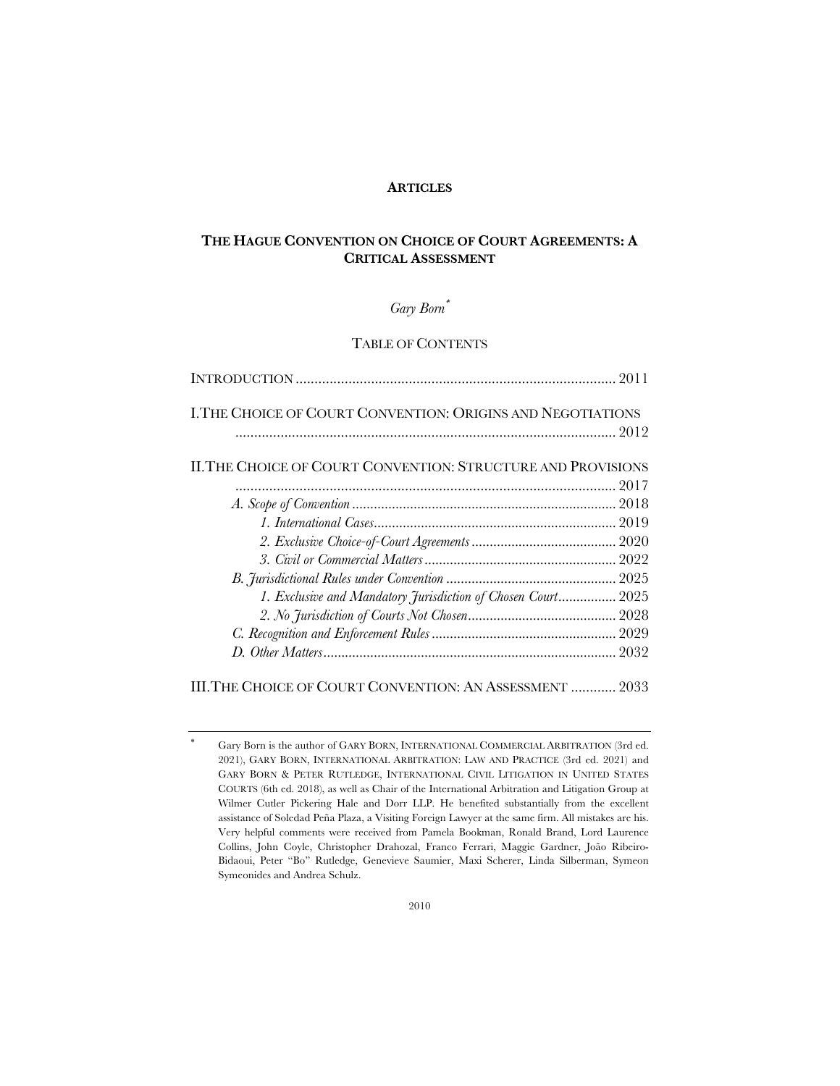### **ARTICLES**

# **THE HAGUE CONVENTION ON CHOICE OF COURT AGREEMENTS: A CRITICAL ASSESSMENT**

# *Gary Born*\*

# TABLE OF CONTENTS

| I. THE CHOICE OF COURT CONVENTION: ORIGINS AND NEGOTIATIONS<br>II. THE CHOICE OF COURT CONVENTION: STRUCTURE AND PROVISIONS<br>1. Exclusive and Mandatory Jurisdiction of Chosen Court 2025 |  |
|---------------------------------------------------------------------------------------------------------------------------------------------------------------------------------------------|--|
|                                                                                                                                                                                             |  |
|                                                                                                                                                                                             |  |
|                                                                                                                                                                                             |  |
|                                                                                                                                                                                             |  |
|                                                                                                                                                                                             |  |
|                                                                                                                                                                                             |  |
|                                                                                                                                                                                             |  |
|                                                                                                                                                                                             |  |
|                                                                                                                                                                                             |  |
|                                                                                                                                                                                             |  |
|                                                                                                                                                                                             |  |
|                                                                                                                                                                                             |  |
|                                                                                                                                                                                             |  |

III.THE CHOICE OF COURT CONVENTION: AN ASSESSMENT ............ 2033

Gary Born is the author of GARY BORN, INTERNATIONAL COMMERCIAL ARBITRATION (3rd ed. 2021), GARY BORN, INTERNATIONAL ARBITRATION: LAW AND PRACTICE (3rd ed. 2021) and GARY BORN & PETER RUTLEDGE, INTERNATIONAL CIVIL LITIGATION IN UNITED STATES COURTS (6th ed. 2018), as well as Chair of the International Arbitration and Litigation Group at Wilmer Cutler Pickering Hale and Dorr LLP. He benefited substantially from the excellent assistance of Soledad Peña Plaza, a Visiting Foreign Lawyer at the same firm. All mistakes are his. Very helpful comments were received from Pamela Bookman, Ronald Brand, Lord Laurence Collins, John Coyle, Christopher Drahozal, Franco Ferrari, Maggie Gardner, João Ribeiro-Bidaoui, Peter "Bo" Rutledge, Genevieve Saumier, Maxi Scherer, Linda Silberman, Symeon Symeonides and Andrea Schulz.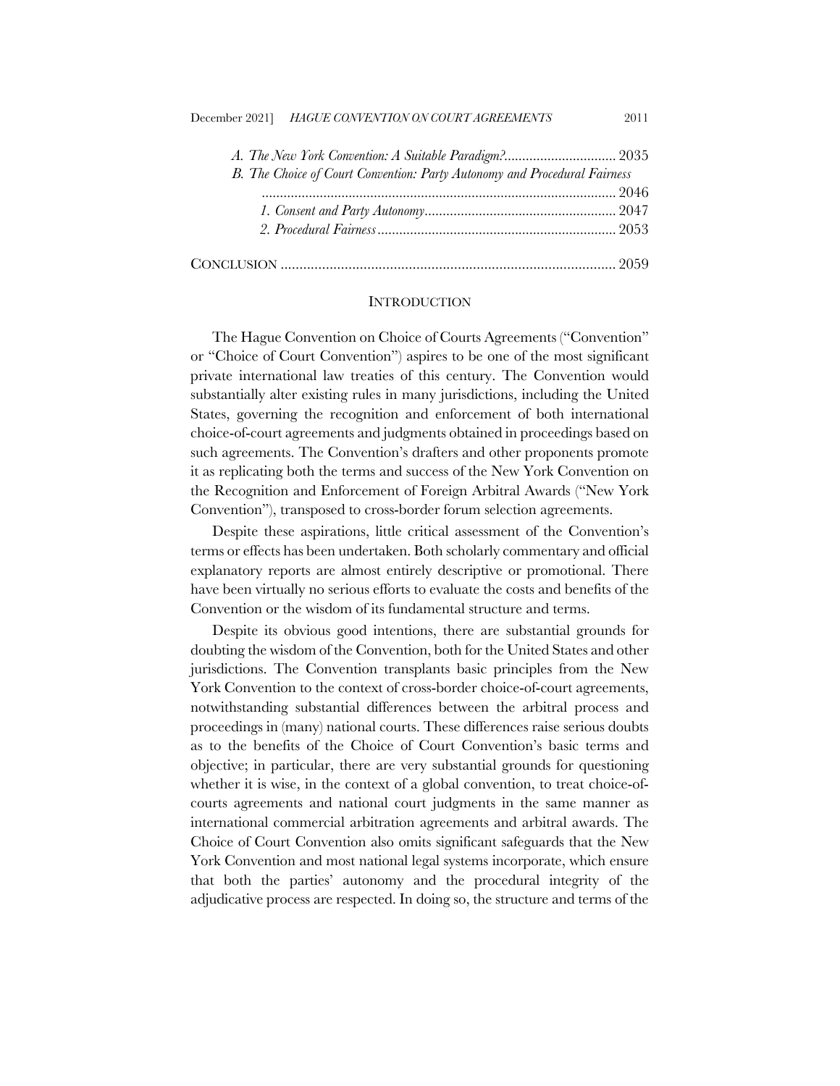| B. The Choice of Court Convention: Party Autonomy and Procedural Fairness |  |
|---------------------------------------------------------------------------|--|
|                                                                           |  |
|                                                                           |  |
|                                                                           |  |
|                                                                           |  |

# **INTRODUCTION**

The Hague Convention on Choice of Courts Agreements ("Convention" or "Choice of Court Convention") aspires to be one of the most significant private international law treaties of this century. The Convention would substantially alter existing rules in many jurisdictions, including the United States, governing the recognition and enforcement of both international choice-of-court agreements and judgments obtained in proceedings based on such agreements. The Convention's drafters and other proponents promote it as replicating both the terms and success of the New York Convention on the Recognition and Enforcement of Foreign Arbitral Awards ("New York Convention"), transposed to cross-border forum selection agreements.

Despite these aspirations, little critical assessment of the Convention's terms or effects has been undertaken. Both scholarly commentary and official explanatory reports are almost entirely descriptive or promotional. There have been virtually no serious efforts to evaluate the costs and benefits of the Convention or the wisdom of its fundamental structure and terms.

Despite its obvious good intentions, there are substantial grounds for doubting the wisdom of the Convention, both for the United States and other jurisdictions. The Convention transplants basic principles from the New York Convention to the context of cross-border choice-of-court agreements, notwithstanding substantial differences between the arbitral process and proceedings in (many) national courts. These differences raise serious doubts as to the benefits of the Choice of Court Convention's basic terms and objective; in particular, there are very substantial grounds for questioning whether it is wise, in the context of a global convention, to treat choice-ofcourts agreements and national court judgments in the same manner as international commercial arbitration agreements and arbitral awards. The Choice of Court Convention also omits significant safeguards that the New York Convention and most national legal systems incorporate, which ensure that both the parties' autonomy and the procedural integrity of the adjudicative process are respected. In doing so, the structure and terms of the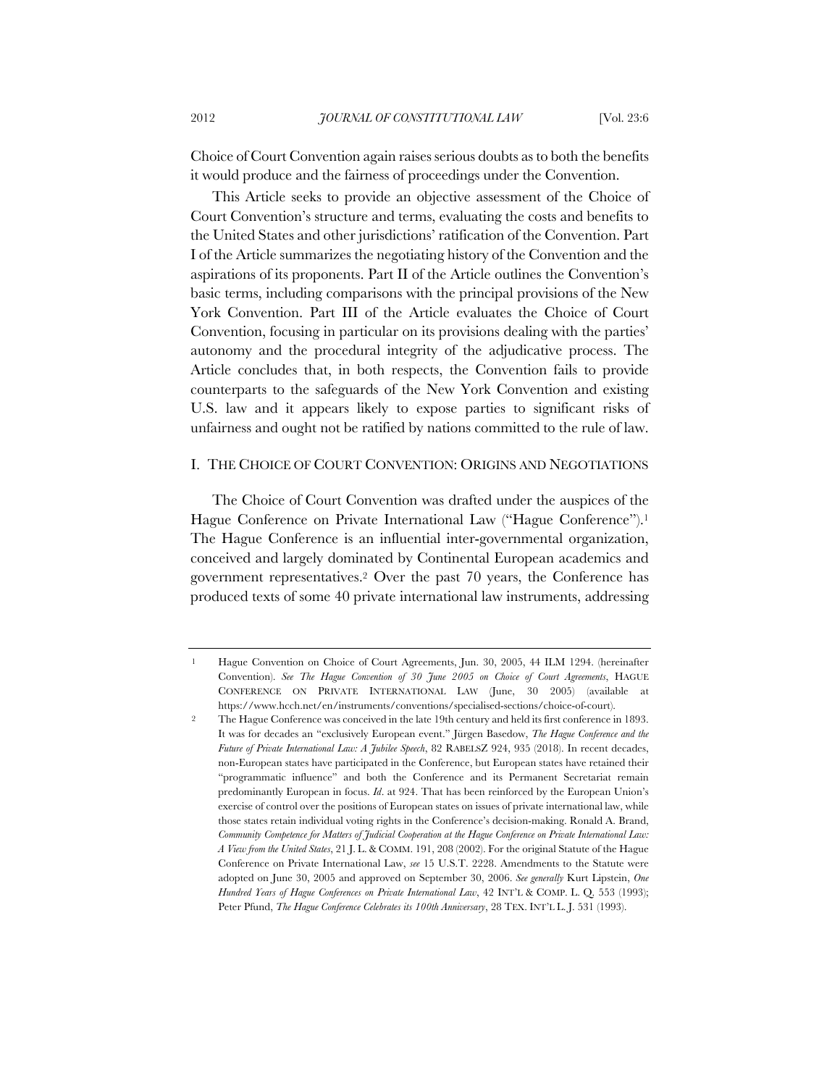Choice of Court Convention again raises serious doubts as to both the benefits it would produce and the fairness of proceedings under the Convention.

This Article seeks to provide an objective assessment of the Choice of Court Convention's structure and terms, evaluating the costs and benefits to the United States and other jurisdictions' ratification of the Convention. Part I of the Article summarizes the negotiating history of the Convention and the aspirations of its proponents. Part II of the Article outlines the Convention's basic terms, including comparisons with the principal provisions of the New York Convention. Part III of the Article evaluates the Choice of Court Convention, focusing in particular on its provisions dealing with the parties' autonomy and the procedural integrity of the adjudicative process. The Article concludes that, in both respects, the Convention fails to provide counterparts to the safeguards of the New York Convention and existing U.S. law and it appears likely to expose parties to significant risks of unfairness and ought not be ratified by nations committed to the rule of law.

#### I. THE CHOICE OF COURT CONVENTION: ORIGINS AND NEGOTIATIONS

The Choice of Court Convention was drafted under the auspices of the Hague Conference on Private International Law ("Hague Conference").<sup>1</sup> The Hague Conference is an influential inter-governmental organization, conceived and largely dominated by Continental European academics and government representatives.2 Over the past 70 years, the Conference has produced texts of some 40 private international law instruments, addressing

<sup>1</sup> Hague Convention on Choice of Court Agreements, Jun. 30, 2005, 44 ILM 1294. (hereinafter Convention). *See The Hague Convention of 30 June 2005 on Choice of Court Agreements*, HAGUE CONFERENCE ON PRIVATE INTERNATIONAL LAW (June, 30 2005) (available at https://www.hcch.net/en/instruments/conventions/specialised-sections/choice-of-court).

<sup>2</sup> The Hague Conference was conceived in the late 19th century and held its first conference in 1893. It was for decades an "exclusively European event." Jürgen Basedow, *The Hague Conference and the Future of Private International Law: A Jubilee Speech*, 82 RABELSZ 924, 935 (2018). In recent decades, non-European states have participated in the Conference, but European states have retained their "programmatic influence" and both the Conference and its Permanent Secretariat remain predominantly European in focus. *Id*. at 924. That has been reinforced by the European Union's exercise of control over the positions of European states on issues of private international law, while those states retain individual voting rights in the Conference's decision-making. Ronald A. Brand, *Community Competence for Matters of Judicial Cooperation at the Hague Conference on Private International Law: A View from the United States*, 21 J. L. & COMM. 191, 208 (2002). For the original Statute of the Hague Conference on Private International Law, *see* 15 U.S.T. 2228. Amendments to the Statute were adopted on June 30, 2005 and approved on September 30, 2006. *See generally* Kurt Lipstein, *One Hundred Years of Hague Conferences on Private International Law*, 42 INT'L & COMP. L. Q. 553 (1993); Peter Pfund, *The Hague Conference Celebrates its 100th Anniversary*, 28 TEX. INT'L L. J. 531 (1993).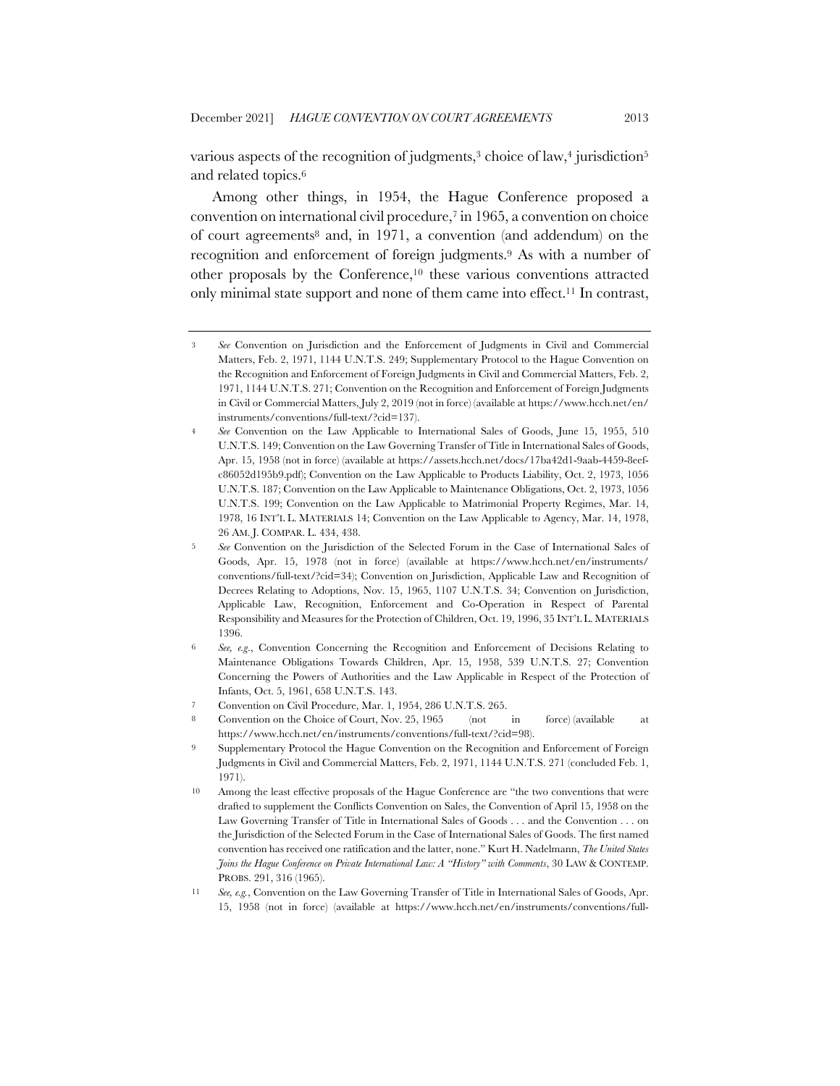various aspects of the recognition of judgments,<sup>3</sup> choice of law,<sup>4</sup> jurisdiction<sup>5</sup> and related topics.6

Among other things, in 1954, the Hague Conference proposed a convention on international civil procedure,7 in 1965, a convention on choice of court agreements8 and, in 1971, a convention (and addendum) on the recognition and enforcement of foreign judgments.9 As with a number of other proposals by the Conference,10 these various conventions attracted only minimal state support and none of them came into effect.11 In contrast,

<sup>3</sup> *See* Convention on Jurisdiction and the Enforcement of Judgments in Civil and Commercial Matters, Feb. 2, 1971, 1144 U.N.T.S. 249; Supplementary Protocol to the Hague Convention on the Recognition and Enforcement of Foreign Judgments in Civil and Commercial Matters, Feb. 2, 1971, 1144 U.N.T.S. 271; Convention on the Recognition and Enforcement of Foreign Judgments in Civil or Commercial Matters, July 2, 2019 (not in force) (available at https://www.hcch.net/en/ instruments/conventions/full-text/?cid=137).

<sup>4</sup> *See* Convention on the Law Applicable to International Sales of Goods, June 15, 1955, 510 U.N.T.S. 149; Convention on the Law Governing Transfer of Title in International Sales of Goods, Apr. 15, 1958 (not in force) (available at https://assets.hcch.net/docs/17ba42d1-9aab-4459-8eefc86052d195b9.pdf); Convention on the Law Applicable to Products Liability, Oct. 2, 1973, 1056 U.N.T.S. 187; Convention on the Law Applicable to Maintenance Obligations, Oct. 2, 1973, 1056 U.N.T.S. 199; Convention on the Law Applicable to Matrimonial Property Regimes, Mar. 14, 1978, 16 INT'L L. MATERIALS 14; Convention on the Law Applicable to Agency, Mar. 14, 1978, 26 AM. J. COMPAR. L. 434, 438.

<sup>5</sup> *See* Convention on the Jurisdiction of the Selected Forum in the Case of International Sales of Goods, Apr. 15, 1978 (not in force) (available at https://www.hcch.net/en/instruments/ conventions/full-text/?cid=34); Convention on Jurisdiction, Applicable Law and Recognition of Decrees Relating to Adoptions, Nov. 15, 1965, 1107 U.N.T.S. 34; Convention on Jurisdiction, Applicable Law, Recognition, Enforcement and Co-Operation in Respect of Parental Responsibility and Measures for the Protection of Children, Oct. 19, 1996, 35 INT'L L. MATERIALS 1396.

<sup>6</sup> *See, e.g*., Convention Concerning the Recognition and Enforcement of Decisions Relating to Maintenance Obligations Towards Children, Apr. 15, 1958, 539 U.N.T.S. 27; Convention Concerning the Powers of Authorities and the Law Applicable in Respect of the Protection of Infants, Oct. 5, 1961, 658 U.N.T.S. 143.

<sup>7</sup> Convention on Civil Procedure, Mar. 1, 1954, 286 U.N.T.S. 265.

<sup>8</sup> Convention on the Choice of Court, Nov. 25, 1965 (not in force) (available at https://www.hcch.net/en/instruments/conventions/full-text/?cid=98).

<sup>9</sup> Supplementary Protocol the Hague Convention on the Recognition and Enforcement of Foreign Judgments in Civil and Commercial Matters, Feb. 2, 1971, 1144 U.N.T.S. 271 (concluded Feb. 1, 1971).

<sup>10</sup> Among the least effective proposals of the Hague Conference are "the two conventions that were drafted to supplement the Conflicts Convention on Sales, the Convention of April 15, 1958 on the Law Governing Transfer of Title in International Sales of Goods . . . and the Convention . . . on the Jurisdiction of the Selected Forum in the Case of International Sales of Goods. The first named convention has received one ratification and the latter, none." Kurt H. Nadelmann, *The United States Joins the Hague Conference on Private International Law: A "History" with Comments*, 30 LAW & CONTEMP. PROBS. 291, 316 (1965).

<sup>11</sup> *See, e.g.*, Convention on the Law Governing Transfer of Title in International Sales of Goods, Apr. 15, 1958 (not in force) (available at https://www.hcch.net/en/instruments/conventions/full-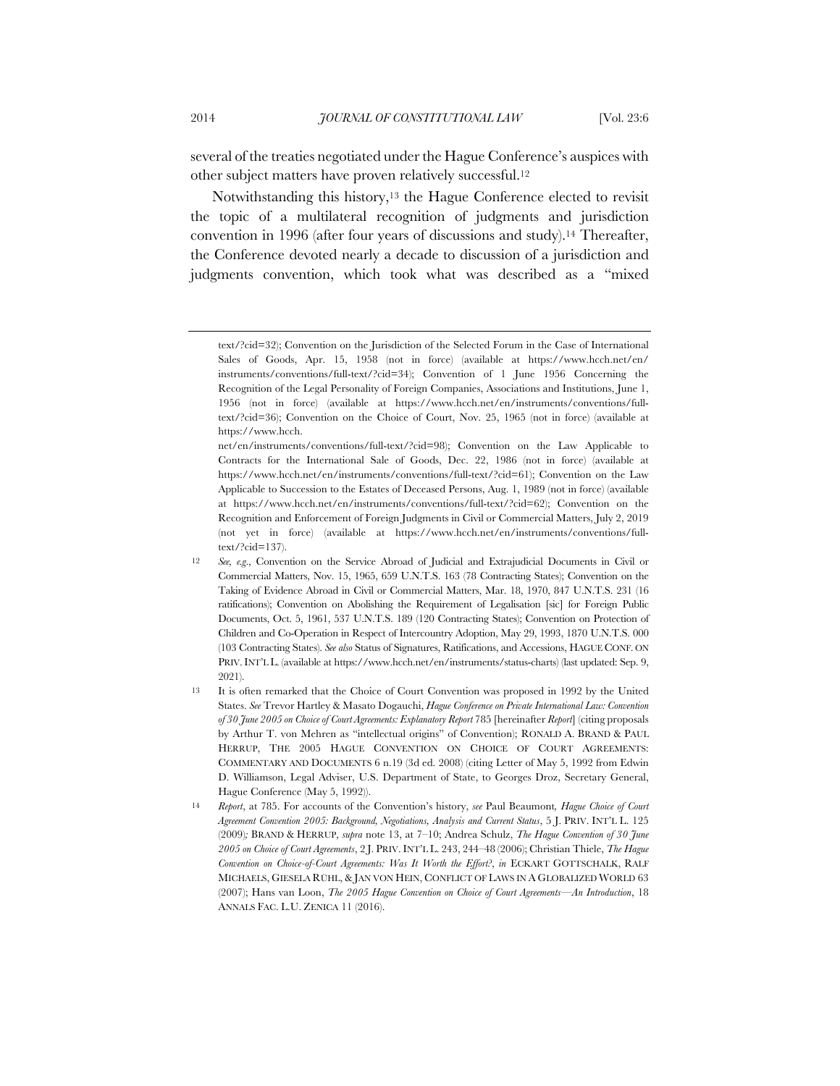several of the treaties negotiated under the Hague Conference's auspices with other subject matters have proven relatively successful.12

Notwithstanding this history,13 the Hague Conference elected to revisit the topic of a multilateral recognition of judgments and jurisdiction convention in 1996 (after four years of discussions and study).14 Thereafter, the Conference devoted nearly a decade to discussion of a jurisdiction and judgments convention, which took what was described as a "mixed

text/?cid=32); Convention on the Jurisdiction of the Selected Forum in the Case of International Sales of Goods, Apr. 15, 1958 (not in force) (available at https://www.hcch.net/en/ instruments/conventions/full-text/?cid=34); Convention of 1 June 1956 Concerning the Recognition of the Legal Personality of Foreign Companies, Associations and Institutions, June 1, 1956 (not in force) (available at https://www.hcch.net/en/instruments/conventions/fulltext/?cid=36); Convention on the Choice of Court, Nov. 25, 1965 (not in force) (available at https://www.hcch.

net/en/instruments/conventions/full-text/?cid=98); Convention on the Law Applicable to Contracts for the International Sale of Goods, Dec. 22, 1986 (not in force) (available at https://www.hcch.net/en/instruments/conventions/full-text/?cid=61); Convention on the Law Applicable to Succession to the Estates of Deceased Persons, Aug. 1, 1989 (not in force) (available at https://www.hcch.net/en/instruments/conventions/full-text/?cid=62); Convention on the Recognition and Enforcement of Foreign Judgments in Civil or Commercial Matters, July 2, 2019 (not yet in force) (available at https://www.hcch.net/en/instruments/conventions/fulltext/?cid=137).

<sup>12</sup> *See, e.g*., Convention on the Service Abroad of Judicial and Extrajudicial Documents in Civil or Commercial Matters, Nov. 15, 1965, 659 U.N.T.S. 163 (78 Contracting States); Convention on the Taking of Evidence Abroad in Civil or Commercial Matters, Mar. 18, 1970, 847 U.N.T.S. 231 (16 ratifications); Convention on Abolishing the Requirement of Legalisation [sic] for Foreign Public Documents, Oct. 5, 1961, 537 U.N.T.S. 189 (120 Contracting States); Convention on Protection of Children and Co-Operation in Respect of Intercountry Adoption, May 29, 1993, 1870 U.N.T.S. 000 (103 Contracting States). *See also* Status of Signatures, Ratifications, and Accessions, HAGUE CONF. ON PRIV. INT'L L. (available at https://www.hcch.net/en/instruments/status-charts) (last updated: Sep. 9, 2021).

<sup>13</sup> It is often remarked that the Choice of Court Convention was proposed in 1992 by the United States. *See* Trevor Hartley & Masato Dogauchi, *Hague Conference on Private International Law: Convention of 30 June 2005 on Choice of Court Agreements: Explanatory Report* 785 [hereinafter *Report*] (citing proposals by Arthur T. von Mehren as "intellectual origins" of Convention); RONALD A. BRAND & PAUL HERRUP, THE 2005 HAGUE CONVENTION ON CHOICE OF COURT AGREEMENTS: COMMENTARY AND DOCUMENTS 6 n.19 (3d ed. 2008) (citing Letter of May 5, 1992 from Edwin D. Williamson, Legal Adviser, U.S. Department of State, to Georges Droz, Secretary General, Hague Conference (May 5, 1992)).

<sup>14</sup> *Report*, at 785. For accounts of the Convention's history, *see* Paul Beaumont*, Hague Choice of Court Agreement Convention 2005: Background, Negotiations, Analysis and Current Status*, 5 J. PRIV. INT'L L. 125 (2009)*;* BRAND & HERRUP, *supra* note 13, at 7–10; Andrea Schulz, *The Hague Convention of 30 June 2005 on Choice of Court Agreements*, 2 J. PRIV. INT'L L. 243, 244–48 (2006); Christian Thiele, *The Hague Convention on Choice-of-Court Agreements: Was It Worth the Effort?*, *in* ECKART GOTTSCHALK, RALF MICHAELS, GIESELA RÜHL, & JAN VON HEIN, CONFLICT OF LAWS IN A GLOBALIZED WORLD 63 (2007); Hans van Loon, *The 2005 Hague Convention on Choice of Court Agreements—An Introduction*, 18 ANNALS FAC. L.U. ZENICA 11 (2016).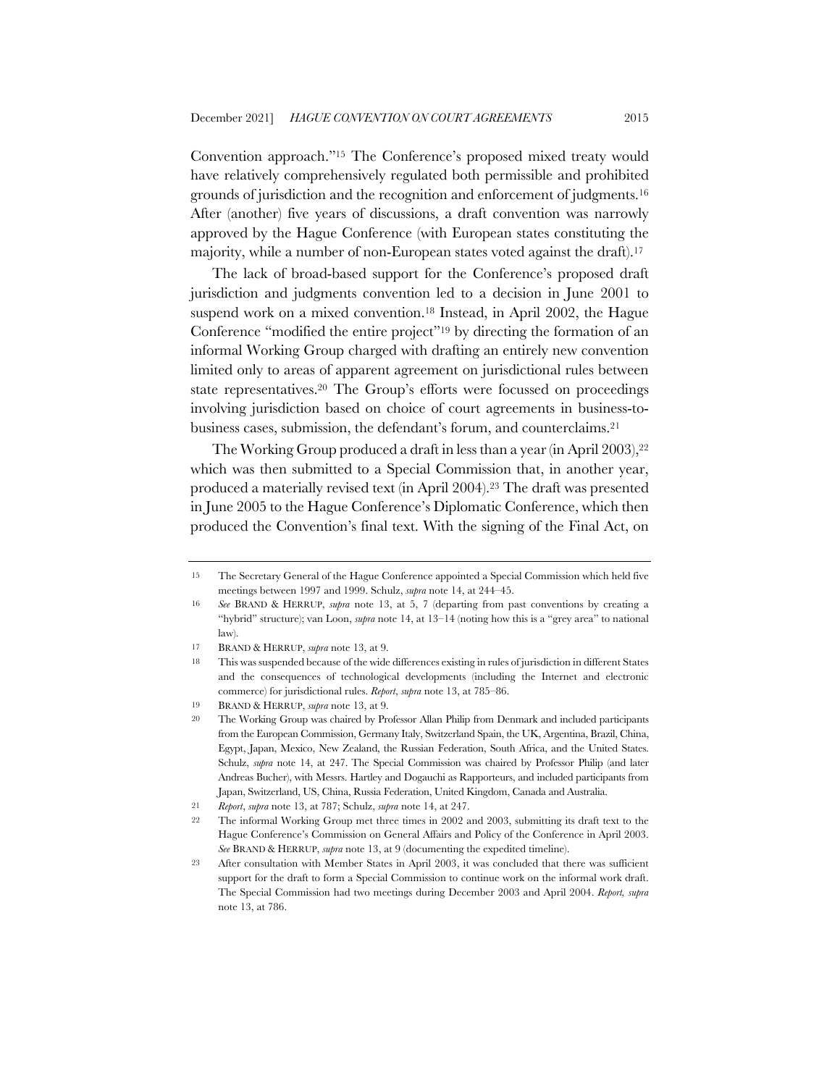Convention approach."15 The Conference's proposed mixed treaty would have relatively comprehensively regulated both permissible and prohibited grounds of jurisdiction and the recognition and enforcement of judgments.16 After (another) five years of discussions, a draft convention was narrowly approved by the Hague Conference (with European states constituting the majority, while a number of non-European states voted against the draft).17

The lack of broad-based support for the Conference's proposed draft jurisdiction and judgments convention led to a decision in June 2001 to suspend work on a mixed convention.18 Instead, in April 2002, the Hague Conference "modified the entire project"19 by directing the formation of an informal Working Group charged with drafting an entirely new convention limited only to areas of apparent agreement on jurisdictional rules between state representatives.20 The Group's efforts were focussed on proceedings involving jurisdiction based on choice of court agreements in business-tobusiness cases, submission, the defendant's forum, and counterclaims.21

The Working Group produced a draft in less than a year (in April 2003),<sup>22</sup> which was then submitted to a Special Commission that, in another year, produced a materially revised text (in April 2004).23 The draft was presented in June 2005 to the Hague Conference's Diplomatic Conference, which then produced the Convention's final text. With the signing of the Final Act, on

<sup>15</sup> The Secretary General of the Hague Conference appointed a Special Commission which held five meetings between 1997 and 1999. Schulz, *supra* note 14, at 244–45.

<sup>16</sup> *See* BRAND & HERRUP, *supra* note 13, at 5, 7 (departing from past conventions by creating a "hybrid" structure); van Loon, *supra* note 14, at 13–14 (noting how this is a "grey area" to national law).

<sup>17</sup> BRAND & HERRUP, *supra* note 13, at 9.

<sup>18</sup> This was suspended because of the wide differences existing in rules of jurisdiction in different States and the consequences of technological developments (including the Internet and electronic commerce) for jurisdictional rules. *Report*, *supra* note 13, at 785–86.

<sup>19</sup> BRAND & HERRUP, *supra* note 13, at 9.

<sup>20</sup> The Working Group was chaired by Professor Allan Philip from Denmark and included participants from the European Commission, Germany Italy, Switzerland Spain, the UK, Argentina, Brazil, China, Egypt, Japan, Mexico, New Zealand, the Russian Federation, South Africa, and the United States. Schulz, *supra* note 14, at 247. The Special Commission was chaired by Professor Philip (and later Andreas Bucher), with Messrs. Hartley and Dogauchi as Rapporteurs, and included participants from Japan, Switzerland, US, China, Russia Federation, United Kingdom, Canada and Australia.

<sup>21</sup> *Report*, *supra* note 13, at 787; Schulz, *supra* note 14, at 247.

<sup>22</sup> The informal Working Group met three times in 2002 and 2003, submitting its draft text to the Hague Conference's Commission on General Affairs and Policy of the Conference in April 2003. *See* BRAND & HERRUP, *supra* note 13, at 9 (documenting the expedited timeline).

<sup>23</sup> After consultation with Member States in April 2003, it was concluded that there was sufficient support for the draft to form a Special Commission to continue work on the informal work draft. The Special Commission had two meetings during December 2003 and April 2004. *Report, supra* note 13, at 786.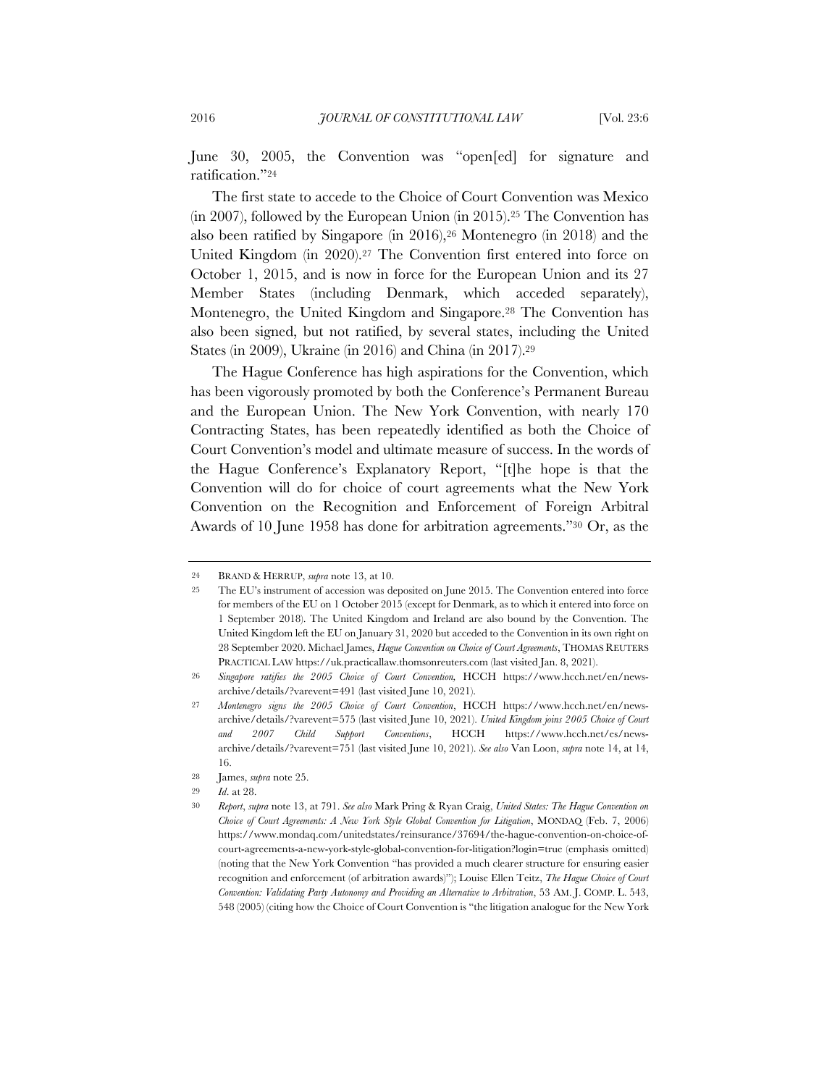June 30, 2005, the Convention was "open[ed] for signature and ratification."24

The first state to accede to the Choice of Court Convention was Mexico (in 2007), followed by the European Union (in 2015).25 The Convention has also been ratified by Singapore (in 2016),26 Montenegro (in 2018) and the United Kingdom (in 2020).27 The Convention first entered into force on October 1, 2015, and is now in force for the European Union and its 27 Member States (including Denmark, which acceded separately), Montenegro, the United Kingdom and Singapore.28 The Convention has also been signed, but not ratified, by several states, including the United States (in 2009), Ukraine (in 2016) and China (in 2017).29

The Hague Conference has high aspirations for the Convention, which has been vigorously promoted by both the Conference's Permanent Bureau and the European Union. The New York Convention, with nearly 170 Contracting States, has been repeatedly identified as both the Choice of Court Convention's model and ultimate measure of success. In the words of the Hague Conference's Explanatory Report, "[t]he hope is that the Convention will do for choice of court agreements what the New York Convention on the Recognition and Enforcement of Foreign Arbitral Awards of 10 June 1958 has done for arbitration agreements."30 Or, as the

<sup>24</sup> BRAND & HERRUP, *supra* note 13, at 10.

<sup>25</sup> The EU's instrument of accession was deposited on June 2015. The Convention entered into force for members of the EU on 1 October 2015 (except for Denmark, as to which it entered into force on 1 September 2018). The United Kingdom and Ireland are also bound by the Convention. The United Kingdom left the EU on January 31, 2020 but acceded to the Convention in its own right on 28 September 2020. Michael James, *Hague Convention on Choice of Court Agreements*, THOMAS REUTERS PRACTICAL LAW https://uk.practicallaw.thomsonreuters.com (last visited Jan. 8, 2021).

<sup>26</sup> *Singapore ratifies the 2005 Choice of Court Convention,* HCCH https://www.hcch.net/en/newsarchive/details/?varevent=491 (last visited June 10, 2021).

<sup>27</sup> *Montenegro signs the 2005 Choice of Court Convention*, HCCH https://www.hcch.net/en/newsarchive/details/?varevent=575 (last visited June 10, 2021). *United Kingdom joins 2005 Choice of Court and 2007 Child Support Conventions*, HCCH https://www.hcch.net/es/newsarchive/details/?varevent=751 (last visited June 10, 2021). *See also* Van Loon, *supra* note 14, at 14, 16.

<sup>28</sup> James, *supra* note 25.

<sup>29</sup> *Id*. at 28.

<sup>30</sup> *Report*, *supra* note 13, at 791. *See also* Mark Pring & Ryan Craig, *United States: The Hague Convention on Choice of Court Agreements: A New York Style Global Convention for Litigation*, MONDAQ (Feb. 7, 2006) https://www.mondaq.com/unitedstates/reinsurance/37694/the-hague-convention-on-choice-ofcourt-agreements-a-new-york-style-global-convention-for-litigation?login=true (emphasis omitted) (noting that the New York Convention "has provided a much clearer structure for ensuring easier recognition and enforcement (of arbitration awards)"); Louise Ellen Teitz, *The Hague Choice of Court Convention: Validating Party Autonomy and Providing an Alternative to Arbitration*, 53 AM. J. COMP. L. 543, 548 (2005) (citing how the Choice of Court Convention is "the litigation analogue for the New York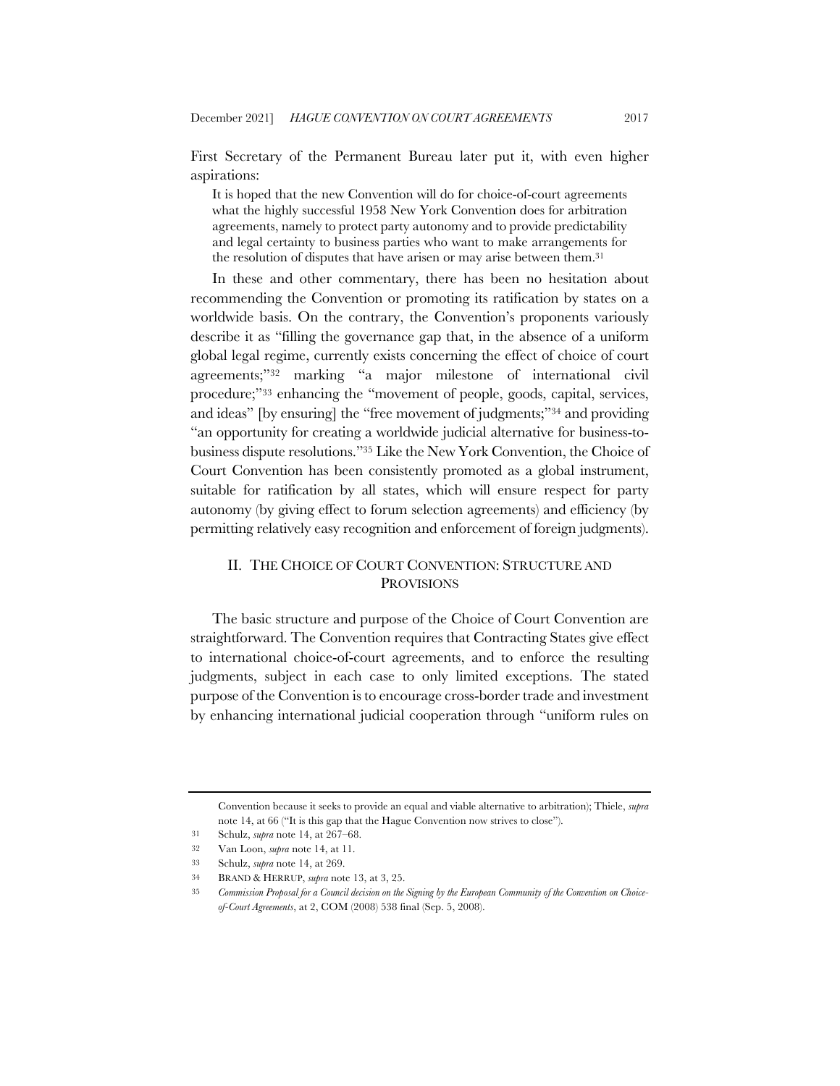First Secretary of the Permanent Bureau later put it, with even higher aspirations:

It is hoped that the new Convention will do for choice-of-court agreements what the highly successful 1958 New York Convention does for arbitration agreements, namely to protect party autonomy and to provide predictability and legal certainty to business parties who want to make arrangements for the resolution of disputes that have arisen or may arise between them.31

In these and other commentary, there has been no hesitation about recommending the Convention or promoting its ratification by states on a worldwide basis. On the contrary, the Convention's proponents variously describe it as "filling the governance gap that, in the absence of a uniform global legal regime, currently exists concerning the effect of choice of court agreements;"32 marking "a major milestone of international civil procedure;"33 enhancing the "movement of people, goods, capital, services, and ideas" [by ensuring] the "free movement of judgments;"34 and providing "an opportunity for creating a worldwide judicial alternative for business-tobusiness dispute resolutions."35 Like the New York Convention, the Choice of Court Convention has been consistently promoted as a global instrument, suitable for ratification by all states, which will ensure respect for party autonomy (by giving effect to forum selection agreements) and efficiency (by permitting relatively easy recognition and enforcement of foreign judgments).

# II. THE CHOICE OF COURT CONVENTION: STRUCTURE AND **PROVISIONS**

The basic structure and purpose of the Choice of Court Convention are straightforward. The Convention requires that Contracting States give effect to international choice-of-court agreements, and to enforce the resulting judgments, subject in each case to only limited exceptions. The stated purpose of the Convention is to encourage cross-border trade and investment by enhancing international judicial cooperation through "uniform rules on

Convention because it seeks to provide an equal and viable alternative to arbitration); Thiele, *supra* note 14, at 66 ("It is this gap that the Hague Convention now strives to close").

<sup>31</sup> Schulz, *supra* note 14, at 267–68.

<sup>32</sup> Van Loon, *supra* note 14, at 11.

<sup>33</sup> Schulz, *supra* note 14, at 269.

<sup>34</sup> BRAND & HERRUP, *supra* note 13, at 3, 25.

<sup>35</sup> *Commission Proposal for a Council decision on the Signing by the European Community of the Convention on Choiceof-Court Agreements*, at 2, COM (2008) 538 final (Sep. 5, 2008).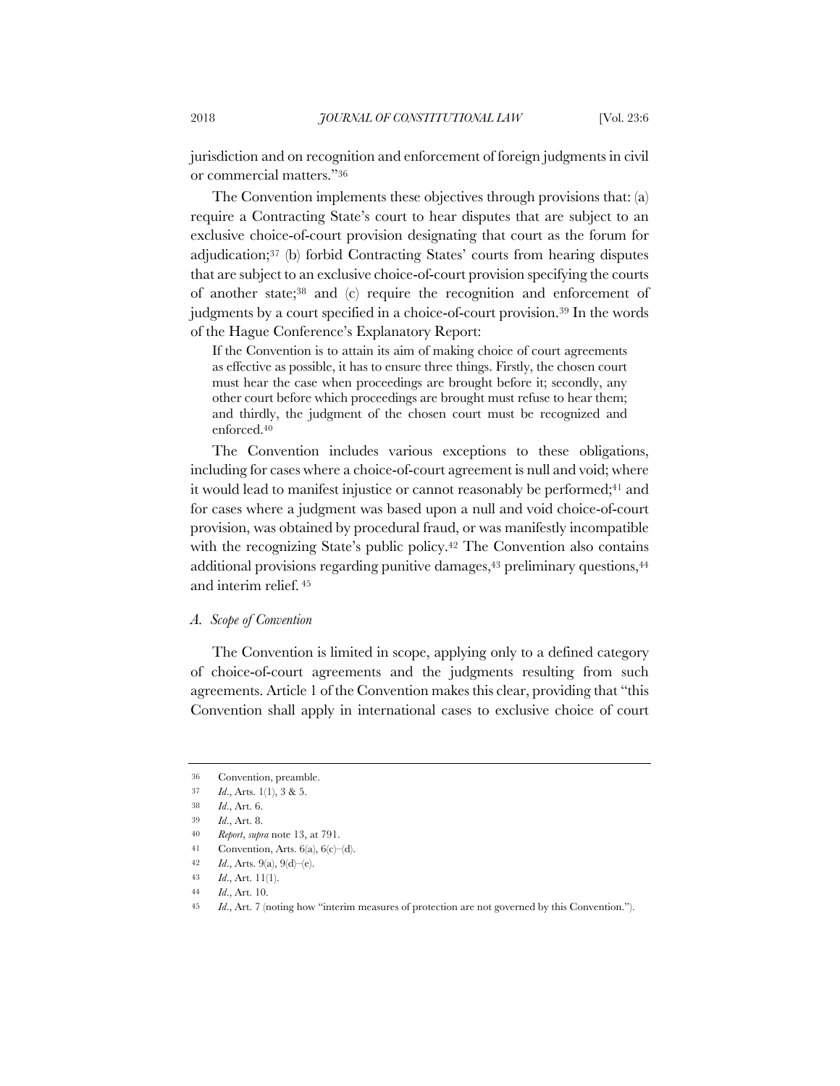jurisdiction and on recognition and enforcement of foreign judgments in civil or commercial matters."36

The Convention implements these objectives through provisions that: (a) require a Contracting State's court to hear disputes that are subject to an exclusive choice-of-court provision designating that court as the forum for adjudication;37 (b) forbid Contracting States' courts from hearing disputes that are subject to an exclusive choice-of-court provision specifying the courts of another state;38 and (c) require the recognition and enforcement of judgments by a court specified in a choice-of-court provision.39 In the words of the Hague Conference's Explanatory Report:

If the Convention is to attain its aim of making choice of court agreements as effective as possible, it has to ensure three things. Firstly, the chosen court must hear the case when proceedings are brought before it; secondly, any other court before which proceedings are brought must refuse to hear them; and thirdly, the judgment of the chosen court must be recognized and enforced.40

The Convention includes various exceptions to these obligations, including for cases where a choice-of-court agreement is null and void; where it would lead to manifest injustice or cannot reasonably be performed;<sup>41</sup> and for cases where a judgment was based upon a null and void choice-of-court provision, was obtained by procedural fraud, or was manifestly incompatible with the recognizing State's public policy.<sup>42</sup> The Convention also contains additional provisions regarding punitive damages,<sup>43</sup> preliminary questions,<sup>44</sup> and interim relief. <sup>45</sup>

### *A. Scope of Convention*

The Convention is limited in scope, applying only to a defined category of choice-of-court agreements and the judgments resulting from such agreements. Article 1 of the Convention makes this clear, providing that "this Convention shall apply in international cases to exclusive choice of court

<sup>36</sup> Convention, preamble.

<sup>37</sup> *Id*., Arts. 1(1), 3 & 5.

<sup>38</sup> *Id*., Art. 6.

<sup>39</sup> *Id*., Art. 8.

<sup>40</sup> *Report*, *supra* note 13, at 791.

<sup>41</sup> Convention, Arts. 6(a), 6(c)–(d).

<sup>42</sup> *Id*., Arts. 9(a), 9(d)–(e).

<sup>43</sup> *Id*., Art. 11(1).

<sup>44</sup> *Id*., Art. 10.

<sup>45</sup> *Id*., Art. 7 (noting how "interim measures of protection are not governed by this Convention.").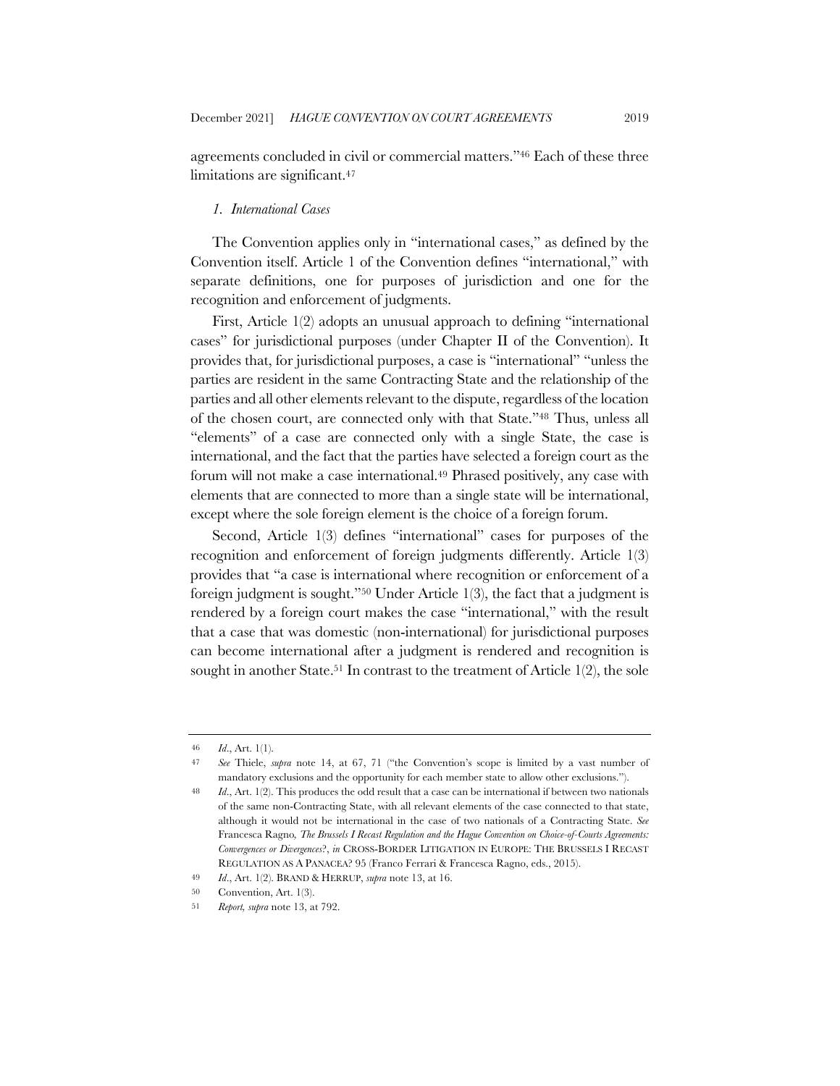agreements concluded in civil or commercial matters."46 Each of these three limitations are significant.47

### *1. International Cases*

The Convention applies only in "international cases," as defined by the Convention itself. Article 1 of the Convention defines "international," with separate definitions, one for purposes of jurisdiction and one for the recognition and enforcement of judgments.

First, Article 1(2) adopts an unusual approach to defining "international cases" for jurisdictional purposes (under Chapter II of the Convention). It provides that, for jurisdictional purposes, a case is "international" "unless the parties are resident in the same Contracting State and the relationship of the parties and all other elements relevant to the dispute, regardless of the location of the chosen court, are connected only with that State."48 Thus, unless all "elements" of a case are connected only with a single State, the case is international, and the fact that the parties have selected a foreign court as the forum will not make a case international.<sup>49</sup> Phrased positively, any case with elements that are connected to more than a single state will be international, except where the sole foreign element is the choice of a foreign forum.

Second, Article 1(3) defines "international" cases for purposes of the recognition and enforcement of foreign judgments differently. Article 1(3) provides that "a case is international where recognition or enforcement of a foreign judgment is sought."50 Under Article 1(3), the fact that a judgment is rendered by a foreign court makes the case "international," with the result that a case that was domestic (non-international) for jurisdictional purposes can become international after a judgment is rendered and recognition is sought in another State.<sup>51</sup> In contrast to the treatment of Article 1(2), the sole

<sup>46</sup> *Id*., Art. 1(1).

<sup>47</sup> *See* Thiele, *supra* note 14, at 67, 71 ("the Convention's scope is limited by a vast number of mandatory exclusions and the opportunity for each member state to allow other exclusions.").

<sup>48</sup> *Id*., Art. 1(2). This produces the odd result that a case can be international if between two nationals of the same non-Contracting State, with all relevant elements of the case connected to that state, although it would not be international in the case of two nationals of a Contracting State. *See*  Francesca Ragno*, The Brussels I Recast Regulation and the Hague Convention on Choice-of-Courts Agreements: Convergences or Divergences*?, *in* CROSS-BORDER LITIGATION IN EUROPE: THE BRUSSELS I RECAST REGULATION AS A PANACEA? 95 (Franco Ferrari & Francesca Ragno, eds., 2015).

<sup>49</sup> *Id*., Art. 1(2). BRAND & HERRUP, *supra* note 13, at 16.

<sup>50</sup> Convention, Art. 1(3).

<sup>51</sup> *Report, supra* note 13, at 792.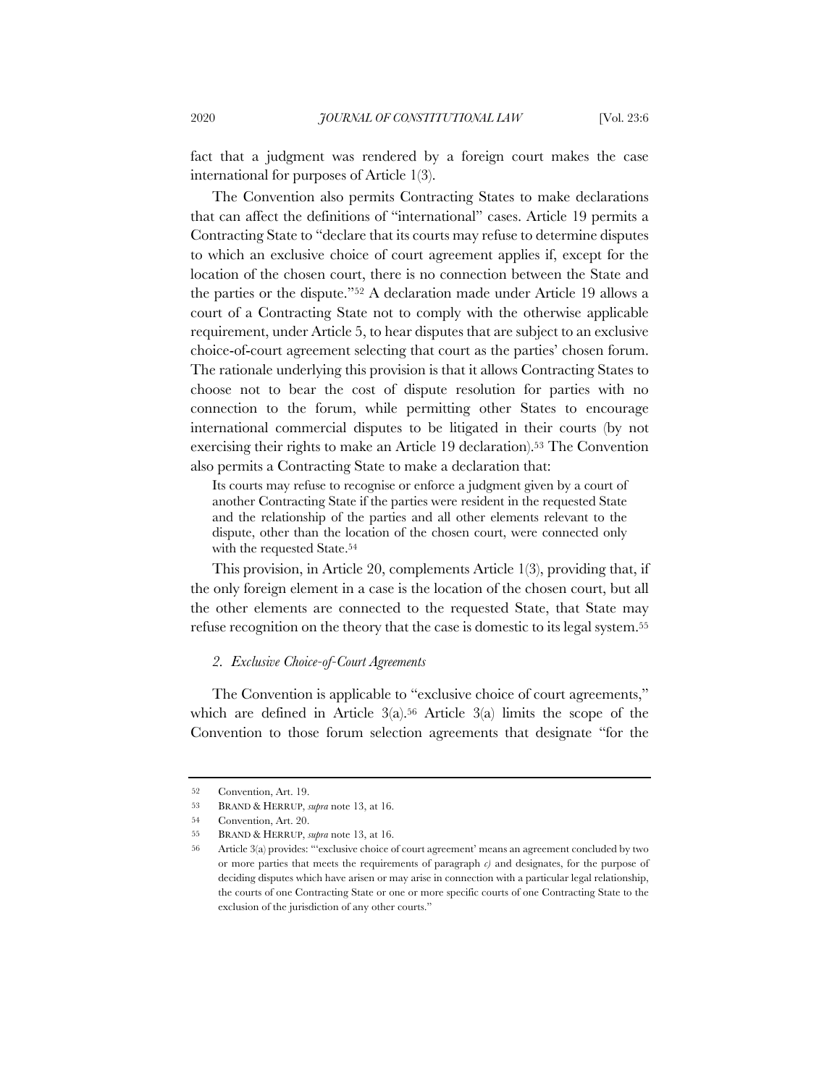fact that a judgment was rendered by a foreign court makes the case international for purposes of Article 1(3).

The Convention also permits Contracting States to make declarations that can affect the definitions of "international" cases. Article 19 permits a Contracting State to "declare that its courts may refuse to determine disputes to which an exclusive choice of court agreement applies if, except for the location of the chosen court, there is no connection between the State and the parties or the dispute."52 A declaration made under Article 19 allows a court of a Contracting State not to comply with the otherwise applicable requirement, under Article 5, to hear disputes that are subject to an exclusive choice-of-court agreement selecting that court as the parties' chosen forum. The rationale underlying this provision is that it allows Contracting States to choose not to bear the cost of dispute resolution for parties with no connection to the forum, while permitting other States to encourage international commercial disputes to be litigated in their courts (by not exercising their rights to make an Article 19 declaration).53 The Convention also permits a Contracting State to make a declaration that:

Its courts may refuse to recognise or enforce a judgment given by a court of another Contracting State if the parties were resident in the requested State and the relationship of the parties and all other elements relevant to the dispute, other than the location of the chosen court, were connected only with the requested State.<sup>54</sup>

This provision, in Article 20, complements Article 1(3), providing that, if the only foreign element in a case is the location of the chosen court, but all the other elements are connected to the requested State, that State may refuse recognition on the theory that the case is domestic to its legal system.55

#### *2. Exclusive Choice-of-Court Agreements*

The Convention is applicable to "exclusive choice of court agreements," which are defined in Article  $3(a)$ .<sup>56</sup> Article  $3(a)$  limits the scope of the Convention to those forum selection agreements that designate "for the

<sup>52</sup> Convention, Art. 19.

<sup>53</sup> BRAND & HERRUP, *supra* note 13, at 16.

<sup>54</sup> Convention, Art. 20.

<sup>55</sup> BRAND & HERRUP, *supra* note 13, at 16.

<sup>56</sup> Article 3(a) provides: "'exclusive choice of court agreement' means an agreement concluded by two or more parties that meets the requirements of paragraph *c)* and designates, for the purpose of deciding disputes which have arisen or may arise in connection with a particular legal relationship, the courts of one Contracting State or one or more specific courts of one Contracting State to the exclusion of the jurisdiction of any other courts."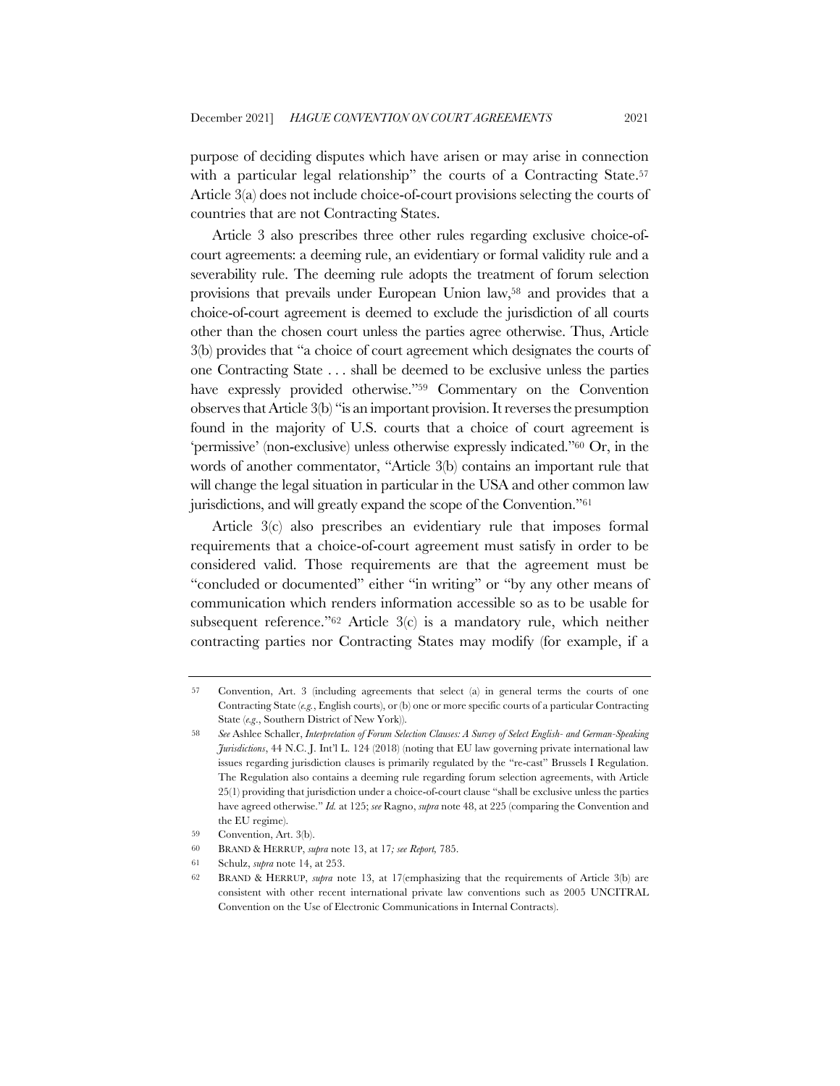purpose of deciding disputes which have arisen or may arise in connection with a particular legal relationship" the courts of a Contracting State.<sup>57</sup> Article 3(a) does not include choice-of-court provisions selecting the courts of countries that are not Contracting States.

Article 3 also prescribes three other rules regarding exclusive choice-ofcourt agreements: a deeming rule, an evidentiary or formal validity rule and a severability rule. The deeming rule adopts the treatment of forum selection provisions that prevails under European Union law,58 and provides that a choice-of-court agreement is deemed to exclude the jurisdiction of all courts other than the chosen court unless the parties agree otherwise. Thus, Article 3(b) provides that "a choice of court agreement which designates the courts of one Contracting State . . . shall be deemed to be exclusive unless the parties have expressly provided otherwise."<sup>59</sup> Commentary on the Convention observes that Article 3(b) "is an important provision. It reverses the presumption found in the majority of U.S. courts that a choice of court agreement is 'permissive' (non-exclusive) unless otherwise expressly indicated."60 Or, in the words of another commentator, "Article 3(b) contains an important rule that will change the legal situation in particular in the USA and other common law jurisdictions, and will greatly expand the scope of the Convention."61

Article 3(c) also prescribes an evidentiary rule that imposes formal requirements that a choice-of-court agreement must satisfy in order to be considered valid. Those requirements are that the agreement must be "concluded or documented" either "in writing" or "by any other means of communication which renders information accessible so as to be usable for subsequent reference."62 Article 3(c) is a mandatory rule, which neither contracting parties nor Contracting States may modify (for example, if a

<sup>57</sup> Convention, Art. 3 (including agreements that select (a) in general terms the courts of one Contracting State (*e.g.*, English courts), or (b) one or more specific courts of a particular Contracting State (*e.g*., Southern District of New York)).

<sup>58</sup> *See* Ashlee Schaller, *Interpretation of Forum Selection Clauses: A Survey of Select English- and German-Speaking Jurisdictions*, 44 N.C. J. Int'l L. 124 (2018) (noting that EU law governing private international law issues regarding jurisdiction clauses is primarily regulated by the "re-cast" Brussels I Regulation. The Regulation also contains a deeming rule regarding forum selection agreements, with Article 25(1) providing that jurisdiction under a choice-of-court clause "shall be exclusive unless the parties have agreed otherwise." *Id.* at 125; *see* Ragno, *supra* note 48, at 225 (comparing the Convention and the EU regime).

<sup>59</sup> Convention, Art. 3(b).

<sup>60</sup> BRAND & HERRUP, *supra* note 13, at 17*; see Report,* 785.

<sup>61</sup> Schulz, *supra* note 14, at 253.

<sup>62</sup> BRAND & HERRUP, *supra* note 13, at 17(emphasizing that the requirements of Article 3(b) are consistent with other recent international private law conventions such as 2005 UNCITRAL Convention on the Use of Electronic Communications in Internal Contracts).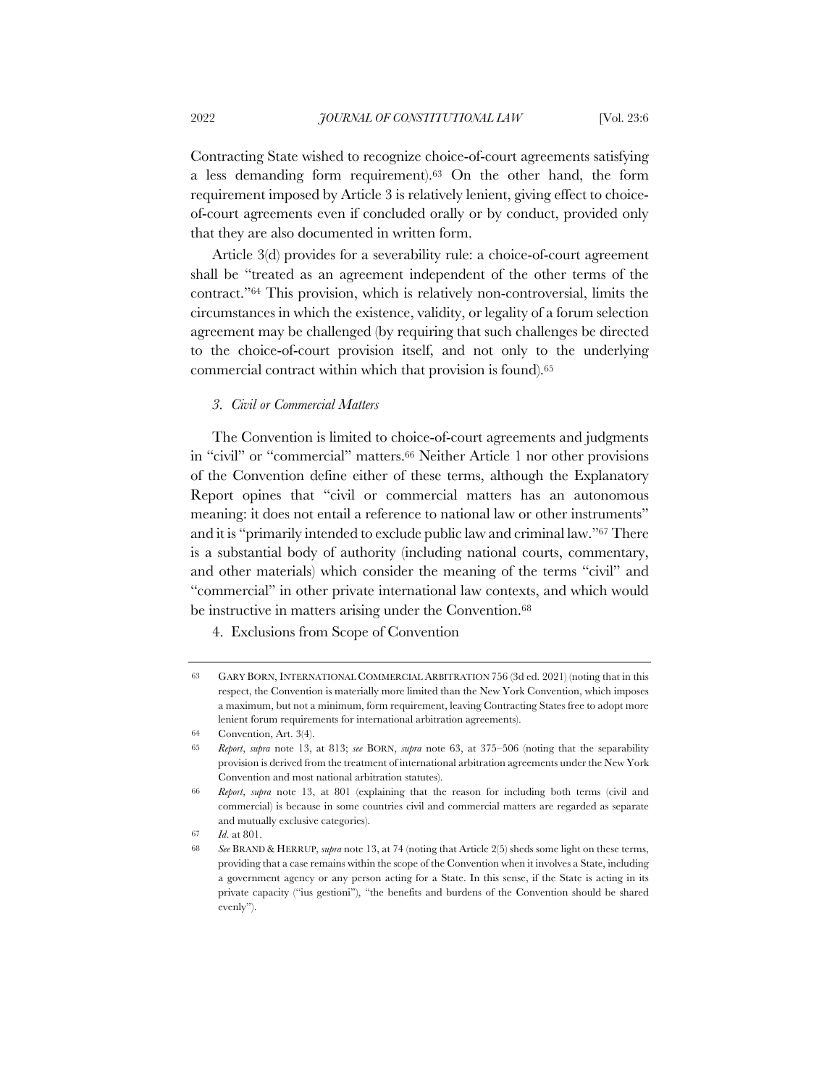Contracting State wished to recognize choice-of-court agreements satisfying a less demanding form requirement).63 On the other hand, the form requirement imposed by Article 3 is relatively lenient, giving effect to choiceof-court agreements even if concluded orally or by conduct, provided only that they are also documented in written form.

Article 3(d) provides for a severability rule: a choice-of-court agreement shall be "treated as an agreement independent of the other terms of the contract."64 This provision, which is relatively non-controversial, limits the circumstances in which the existence, validity, or legality of a forum selection agreement may be challenged (by requiring that such challenges be directed to the choice-of-court provision itself, and not only to the underlying commercial contract within which that provision is found).65

#### *3. Civil or Commercial Matters*

The Convention is limited to choice-of-court agreements and judgments in "civil" or "commercial" matters.66 Neither Article 1 nor other provisions of the Convention define either of these terms, although the Explanatory Report opines that "civil or commercial matters has an autonomous meaning: it does not entail a reference to national law or other instruments" and it is "primarily intended to exclude public law and criminal law."67 There is a substantial body of authority (including national courts, commentary, and other materials) which consider the meaning of the terms "civil" and "commercial" in other private international law contexts, and which would be instructive in matters arising under the Convention.<sup>68</sup>

4. Exclusions from Scope of Convention

<sup>63</sup> GARY BORN, INTERNATIONAL COMMERCIAL ARBITRATION 756 (3d ed. 2021) (noting that in this respect, the Convention is materially more limited than the New York Convention, which imposes a maximum, but not a minimum, form requirement, leaving Contracting States free to adopt more lenient forum requirements for international arbitration agreements).

<sup>64</sup> Convention, Art. 3(4).

<sup>65</sup> *Report*, *supra* note 13, at 813; *see* BORN, *supra* note 63, at 375–506 (noting that the separability provision is derived from the treatment of international arbitration agreements under the New York Convention and most national arbitration statutes).

<sup>66</sup> *Report*, *supra* note 13, at 801 (explaining that the reason for including both terms (civil and commercial) is because in some countries civil and commercial matters are regarded as separate and mutually exclusive categories).

<sup>67</sup> *Id*. at 801.

<sup>68</sup> *See* BRAND & HERRUP, *supra* note 13, at 74 (noting that Article 2(5) sheds some light on these terms, providing that a case remains within the scope of the Convention when it involves a State, including a government agency or any person acting for a State. In this sense, if the State is acting in its private capacity ("ius gestioni"), "the benefits and burdens of the Convention should be shared evenly").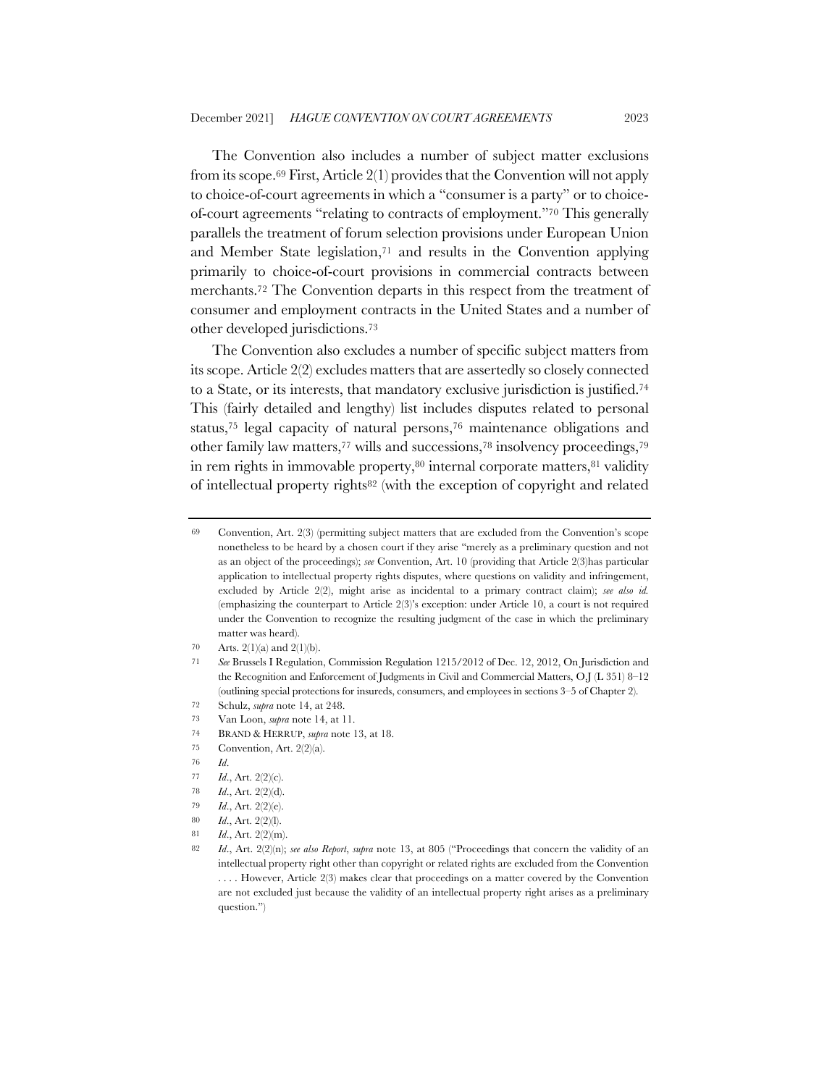The Convention also includes a number of subject matter exclusions from its scope.69 First, Article 2(1) provides that the Convention will not apply to choice-of-court agreements in which a "consumer is a party" or to choiceof-court agreements "relating to contracts of employment."70 This generally parallels the treatment of forum selection provisions under European Union and Member State legislation,71 and results in the Convention applying primarily to choice-of-court provisions in commercial contracts between merchants.72 The Convention departs in this respect from the treatment of consumer and employment contracts in the United States and a number of other developed jurisdictions.73

The Convention also excludes a number of specific subject matters from its scope. Article 2(2) excludes matters that are assertedly so closely connected to a State, or its interests, that mandatory exclusive jurisdiction is justified.74 This (fairly detailed and lengthy) list includes disputes related to personal status,75 legal capacity of natural persons,76 maintenance obligations and other family law matters,77 wills and successions,78 insolvency proceedings,79 in rem rights in immovable property,<sup>80</sup> internal corporate matters,<sup>81</sup> validity of intellectual property rights82 (with the exception of copyright and related

- 74 BRAND & HERRUP, *supra* note 13, at 18.
- 75 Convention, Art. 2(2)(a).

- 77 *Id*., Art. 2(2)(c).
- 78 *Id*., Art. 2(2)(d).

- 80 *Id*., Art. 2(2)(l).
- 81 *Id*., Art. 2(2)(m).

<sup>69</sup> Convention, Art. 2(3) (permitting subject matters that are excluded from the Convention's scope nonetheless to be heard by a chosen court if they arise "merely as a preliminary question and not as an object of the proceedings); *see* Convention, Art. 10 (providing that Article 2(3)has particular application to intellectual property rights disputes, where questions on validity and infringement, excluded by Article 2(2), might arise as incidental to a primary contract claim); *see also id.*  (emphasizing the counterpart to Article 2(3)'s exception: under Article 10, a court is not required under the Convention to recognize the resulting judgment of the case in which the preliminary matter was heard).

<sup>70</sup> Arts. 2(1)(a) and 2(1)(b).

<sup>71</sup> *See* Brussels I Regulation, Commission Regulation 1215/2012 of Dec. 12, 2012, On Jurisdiction and the Recognition and Enforcement of Judgments in Civil and Commercial Matters, O.J (L 351) 8–12 (outlining special protections for insureds, consumers, and employees in sections 3–5 of Chapter 2).

<sup>72</sup> Schulz, *supra* note 14, at 248.

<sup>73</sup> Van Loon, *supra* note 14, at 11.

<sup>76</sup> *Id*.

<sup>79</sup> *Id*., Art. 2(2)(e).

<sup>82</sup> *Id*., Art. 2(2)(n); *see also Report*, *supra* note 13, at 805 ("Proceedings that concern the validity of an intellectual property right other than copyright or related rights are excluded from the Convention . . . . However, Article 2(3) makes clear that proceedings on a matter covered by the Convention are not excluded just because the validity of an intellectual property right arises as a preliminary question.")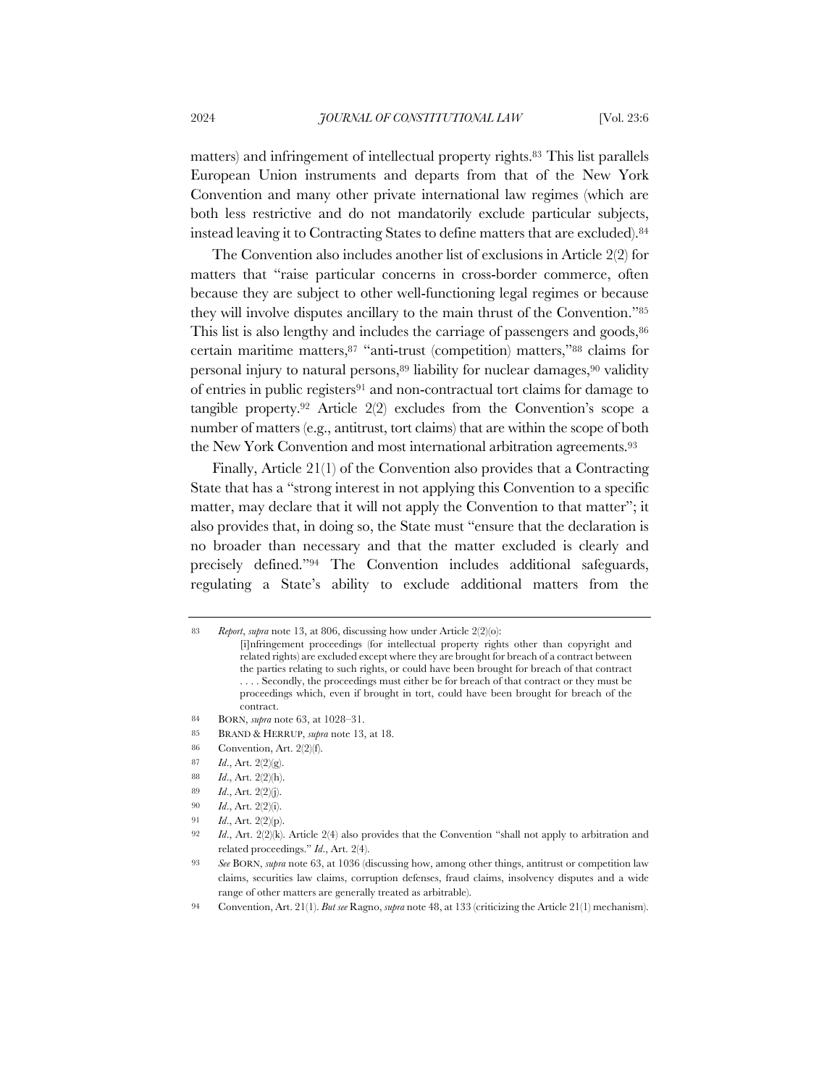matters) and infringement of intellectual property rights.83 This list parallels European Union instruments and departs from that of the New York Convention and many other private international law regimes (which are both less restrictive and do not mandatorily exclude particular subjects, instead leaving it to Contracting States to define matters that are excluded).84

The Convention also includes another list of exclusions in Article 2(2) for matters that "raise particular concerns in cross-border commerce, often because they are subject to other well-functioning legal regimes or because they will involve disputes ancillary to the main thrust of the Convention."85 This list is also lengthy and includes the carriage of passengers and goods,  $86$ certain maritime matters,87 "anti-trust (competition) matters,"88 claims for personal injury to natural persons,<sup>89</sup> liability for nuclear damages,<sup>90</sup> validity of entries in public registers91 and non-contractual tort claims for damage to tangible property.92 Article 2(2) excludes from the Convention's scope a number of matters (e.g., antitrust, tort claims) that are within the scope of both the New York Convention and most international arbitration agreements.93

Finally, Article 21(1) of the Convention also provides that a Contracting State that has a "strong interest in not applying this Convention to a specific matter, may declare that it will not apply the Convention to that matter"; it also provides that, in doing so, the State must "ensure that the declaration is no broader than necessary and that the matter excluded is clearly and precisely defined."94 The Convention includes additional safeguards, regulating a State's ability to exclude additional matters from the

<sup>83</sup> *Report*, *supra* note 13, at 806, discussing how under Article 2(2)(o):

<sup>[</sup>i]nfringement proceedings (for intellectual property rights other than copyright and related rights) are excluded except where they are brought for breach of a contract between the parties relating to such rights, or could have been brought for breach of that contract . . . . Secondly, the proceedings must either be for breach of that contract or they must be proceedings which, even if brought in tort, could have been brought for breach of the contract.

<sup>84</sup> BORN, *supra* note 63, at 1028–31.

<sup>85</sup> BRAND & HERRUP, *supra* note 13, at 18.

<sup>86</sup> Convention, Art. 2(2)(f).

<sup>87</sup> *Id*., Art. 2(2)(g).

<sup>88</sup> *Id*., Art. 2(2)(h).

<sup>89</sup> *Id*., Art. 2(2)(j).

<sup>90</sup> *Id*., Art. 2(2)(i).

<sup>91</sup> *Id*., Art. 2(2)(p).

<sup>92</sup> *Id*., Art. 2(2)(k). Article 2(4) also provides that the Convention "shall not apply to arbitration and related proceedings." *Id*., Art. 2(4).

<sup>93</sup> *See* BORN, *supra* note 63, at 1036 (discussing how, among other things, antitrust or competition law claims, securities law claims, corruption defenses, fraud claims, insolvency disputes and a wide range of other matters are generally treated as arbitrable).

<sup>94</sup> Convention, Art. 21(1). *But see* Ragno, *supra* note 48, at 133 (criticizing the Article 21(1) mechanism).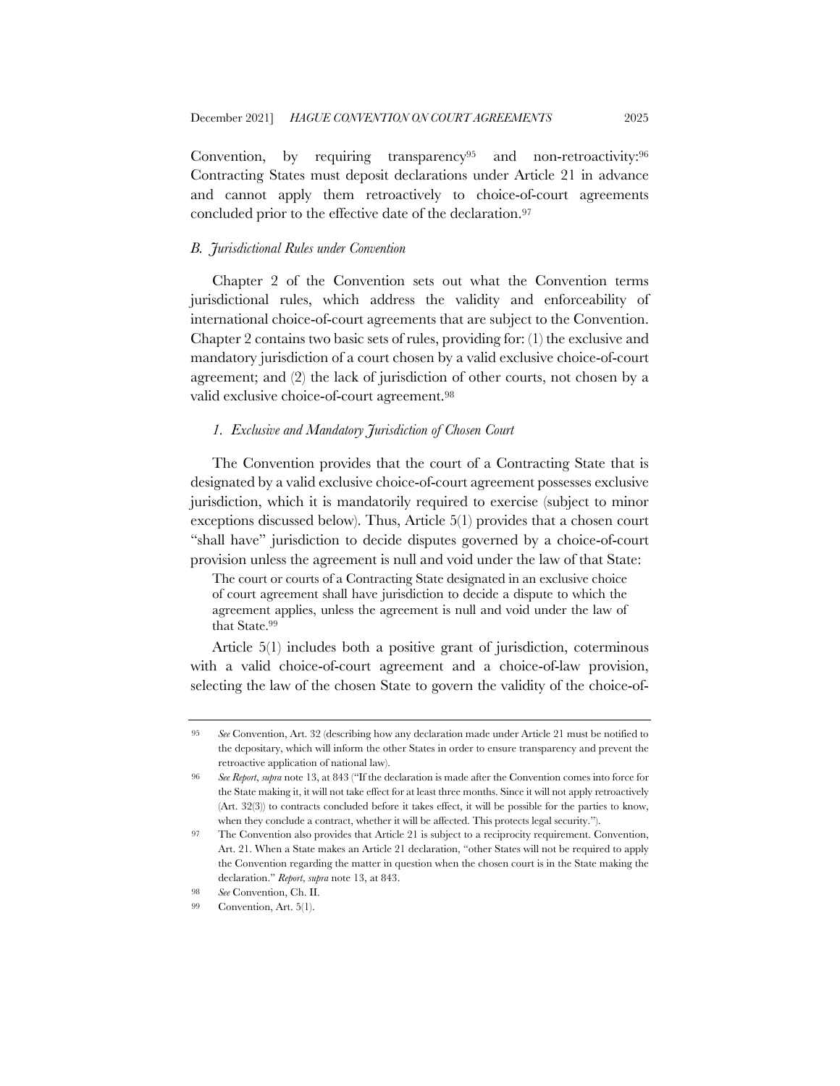Convention, by requiring transparency<sup>95</sup> and non-retroactivity:<sup>96</sup> Contracting States must deposit declarations under Article 21 in advance and cannot apply them retroactively to choice-of-court agreements concluded prior to the effective date of the declaration.97

## *B. Jurisdictional Rules under Convention*

Chapter 2 of the Convention sets out what the Convention terms jurisdictional rules, which address the validity and enforceability of international choice-of-court agreements that are subject to the Convention. Chapter 2 contains two basic sets of rules, providing for: (1) the exclusive and mandatory jurisdiction of a court chosen by a valid exclusive choice-of-court agreement; and (2) the lack of jurisdiction of other courts, not chosen by a valid exclusive choice-of-court agreement.98

## *1. Exclusive and Mandatory Jurisdiction of Chosen Court*

The Convention provides that the court of a Contracting State that is designated by a valid exclusive choice-of-court agreement possesses exclusive jurisdiction, which it is mandatorily required to exercise (subject to minor exceptions discussed below). Thus, Article 5(1) provides that a chosen court "shall have" jurisdiction to decide disputes governed by a choice-of-court provision unless the agreement is null and void under the law of that State:

The court or courts of a Contracting State designated in an exclusive choice of court agreement shall have jurisdiction to decide a dispute to which the agreement applies, unless the agreement is null and void under the law of that State.<sup>99</sup>

Article 5(1) includes both a positive grant of jurisdiction, coterminous with a valid choice-of-court agreement and a choice-of-law provision, selecting the law of the chosen State to govern the validity of the choice-of-

<sup>95</sup> *See* Convention, Art. 32 (describing how any declaration made under Article 21 must be notified to the depositary, which will inform the other States in order to ensure transparency and prevent the retroactive application of national law).

<sup>96</sup> *See Report*, *supra* note 13, at 843 ("If the declaration is made after the Convention comes into force for the State making it, it will not take effect for at least three months. Since it will not apply retroactively (Art. 32(3)) to contracts concluded before it takes effect, it will be possible for the parties to know, when they conclude a contract, whether it will be affected. This protects legal security.").

<sup>97</sup> The Convention also provides that Article 21 is subject to a reciprocity requirement. Convention, Art. 21. When a State makes an Article 21 declaration, "other States will not be required to apply the Convention regarding the matter in question when the chosen court is in the State making the declaration." *Report*, *supra* note 13, at 843.

<sup>98</sup> *See* Convention, Ch. II.

<sup>99</sup> Convention, Art. 5(1).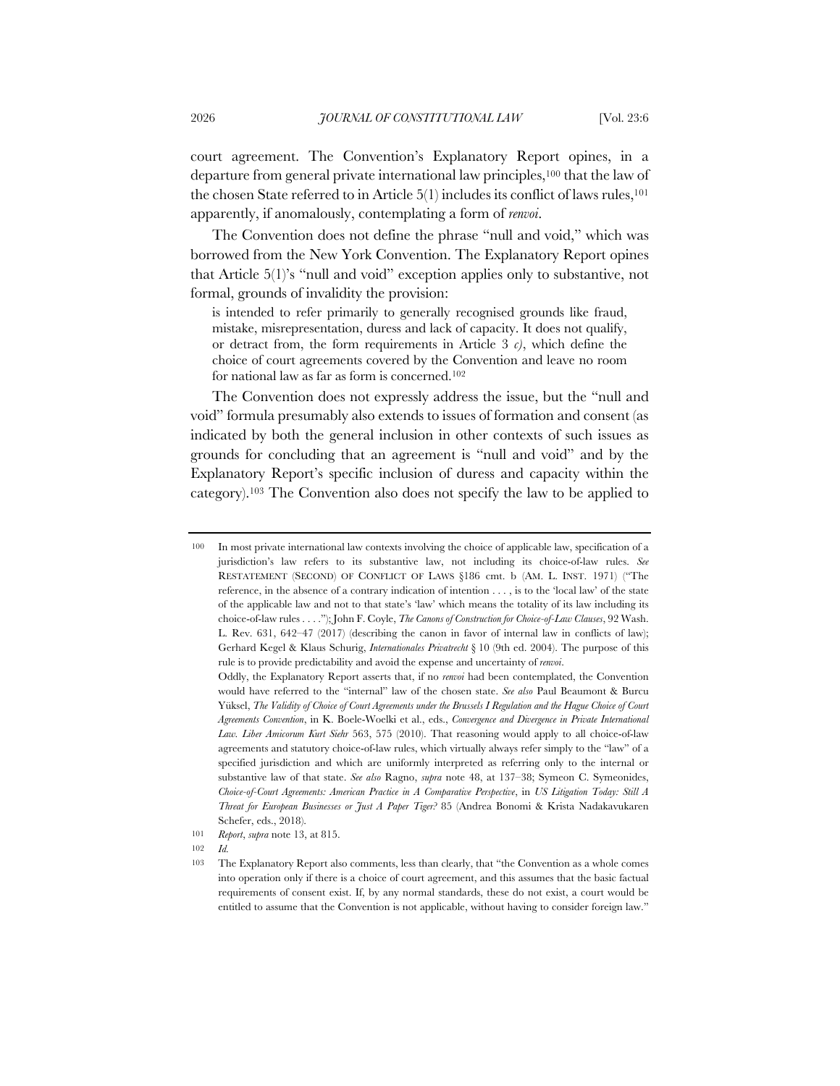court agreement. The Convention's Explanatory Report opines, in a departure from general private international law principles,100 that the law of the chosen State referred to in Article  $5(1)$  includes its conflict of laws rules,<sup>101</sup> apparently, if anomalously, contemplating a form of *renvoi*.

The Convention does not define the phrase "null and void," which was borrowed from the New York Convention. The Explanatory Report opines that Article 5(1)'s "null and void" exception applies only to substantive, not formal, grounds of invalidity the provision:

is intended to refer primarily to generally recognised grounds like fraud, mistake, misrepresentation, duress and lack of capacity. It does not qualify, or detract from, the form requirements in Article 3 *c)*, which define the choice of court agreements covered by the Convention and leave no room for national law as far as form is concerned.102

The Convention does not expressly address the issue, but the "null and void" formula presumably also extends to issues of formation and consent (as indicated by both the general inclusion in other contexts of such issues as grounds for concluding that an agreement is "null and void" and by the Explanatory Report's specific inclusion of duress and capacity within the category).103 The Convention also does not specify the law to be applied to

<sup>100</sup> In most private international law contexts involving the choice of applicable law, specification of a jurisdiction's law refers to its substantive law, not including its choice-of-law rules. *See*  RESTATEMENT (SECOND) OF CONFLICT OF LAWS §186 cmt. b (AM. L. INST. 1971) ("The reference, in the absence of a contrary indication of intention . . . , is to the 'local law' of the state of the applicable law and not to that state's 'law' which means the totality of its law including its choice-of-law rules . . . ."); John F. Coyle, *The Canons of Construction for Choice-of-Law Clauses*, 92 Wash. L. Rev. 631, 642–47 (2017) (describing the canon in favor of internal law in conflicts of law); Gerhard Kegel & Klaus Schurig, *Internationales Privatrecht* § 10 (9th ed. 2004). The purpose of this rule is to provide predictability and avoid the expense and uncertainty of *renvoi*.

Oddly, the Explanatory Report asserts that, if no *renvoi* had been contemplated, the Convention would have referred to the "internal" law of the chosen state. *See also* Paul Beaumont & Burcu Yüksel, *The Validity of Choice of Court Agreements under the Brussels I Regulation and the Hague Choice of Court Agreements Convention*, in K. Boele-Woelki et al., eds., *Convergence and Divergence in Private International Law. Liber Amicorum Kurt Siehr* 563, 575 (2010). That reasoning would apply to all choice-of-law agreements and statutory choice-of-law rules, which virtually always refer simply to the "law" of a specified jurisdiction and which are uniformly interpreted as referring only to the internal or substantive law of that state. *See also* Ragno, *supra* note 48, at 137–38; Symeon C. Symeonides, *Choice-of-Court Agreements: American Practice in A Comparative Perspective*, in *US Litigation Today: Still A Threat for European Businesses or Just A Paper Tiger?* 85 (Andrea Bonomi & Krista Nadakavukaren Schefer, eds., 2018).

<sup>101</sup> *Report*, *supra* note 13, at 815.

<sup>102</sup> *Id.*

<sup>103</sup> The Explanatory Report also comments, less than clearly, that "the Convention as a whole comes into operation only if there is a choice of court agreement, and this assumes that the basic factual requirements of consent exist. If, by any normal standards, these do not exist, a court would be entitled to assume that the Convention is not applicable, without having to consider foreign law."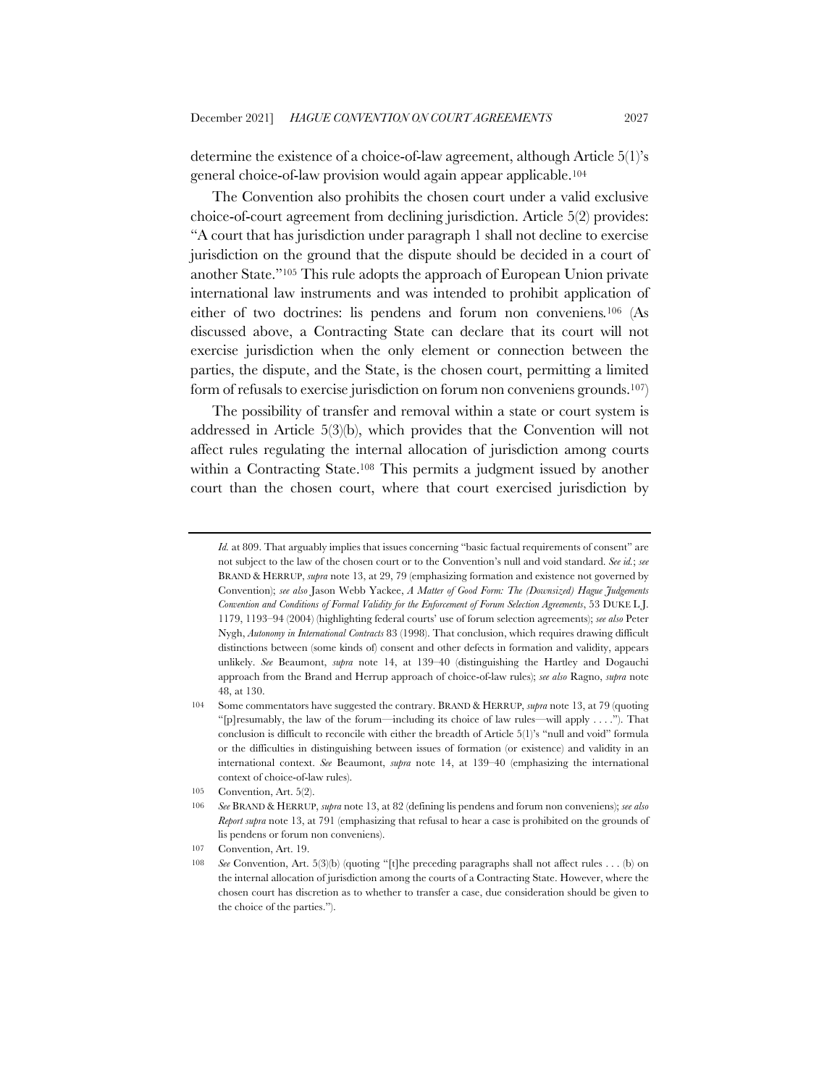determine the existence of a choice-of-law agreement, although Article 5(1)'s general choice-of-law provision would again appear applicable.104

The Convention also prohibits the chosen court under a valid exclusive choice-of-court agreement from declining jurisdiction. Article 5(2) provides: "A court that has jurisdiction under paragraph 1 shall not decline to exercise jurisdiction on the ground that the dispute should be decided in a court of another State."105 This rule adopts the approach of European Union private international law instruments and was intended to prohibit application of either of two doctrines: lis pendens and forum non conveniens*.*<sup>106</sup> (As discussed above, a Contracting State can declare that its court will not exercise jurisdiction when the only element or connection between the parties, the dispute, and the State, is the chosen court, permitting a limited form of refusals to exercise jurisdiction on forum non conveniens grounds.107)

The possibility of transfer and removal within a state or court system is addressed in Article 5(3)(b), which provides that the Convention will not affect rules regulating the internal allocation of jurisdiction among courts within a Contracting State.<sup>108</sup> This permits a judgment issued by another court than the chosen court, where that court exercised jurisdiction by

*Id.* at 809. That arguably implies that issues concerning "basic factual requirements of consent" are not subject to the law of the chosen court or to the Convention's null and void standard. *See id.*; *see* BRAND & HERRUP, *supra* note 13, at 29, 79 (emphasizing formation and existence not governed by Convention); *see also* Jason Webb Yackee, *A Matter of Good Form: The (Downsized) Hague Judgements Convention and Conditions of Formal Validity for the Enforcement of Forum Selection Agreements*, 53 DUKE L J. 1179, 1193–94 (2004) (highlighting federal courts' use of forum selection agreements); *see also* Peter Nygh, *Autonomy in International Contracts* 83 (1998). That conclusion, which requires drawing difficult distinctions between (some kinds of) consent and other defects in formation and validity, appears unlikely. *See* Beaumont, *supra* note 14, at 139–40 (distinguishing the Hartley and Dogauchi approach from the Brand and Herrup approach of choice-of-law rules); *see also* Ragno, *supra* note 48, at 130.

<sup>104</sup> Some commentators have suggested the contrary. BRAND & HERRUP, *supra* note 13, at 79 (quoting "[p]resumably, the law of the forum—including its choice of law rules—will apply . . . ."). That conclusion is difficult to reconcile with either the breadth of Article 5(1)'s "null and void" formula or the difficulties in distinguishing between issues of formation (or existence) and validity in an international context. *See* Beaumont, *supra* note 14, at 139–40 (emphasizing the international context of choice-of-law rules).

<sup>105</sup> Convention, Art. 5(2).

<sup>106</sup> *See* BRAND & HERRUP, *supra* note 13, at 82 (defining lis pendens and forum non conveniens); *see also Report supra* note 13, at 791 (emphasizing that refusal to hear a case is prohibited on the grounds of lis pendens or forum non conveniens).

<sup>107</sup> Convention, Art. 19.

<sup>108</sup> *See* Convention, Art. 5(3)(b) (quoting "[t]he preceding paragraphs shall not affect rules . . . (b) on the internal allocation of jurisdiction among the courts of a Contracting State. However, where the chosen court has discretion as to whether to transfer a case, due consideration should be given to the choice of the parties.").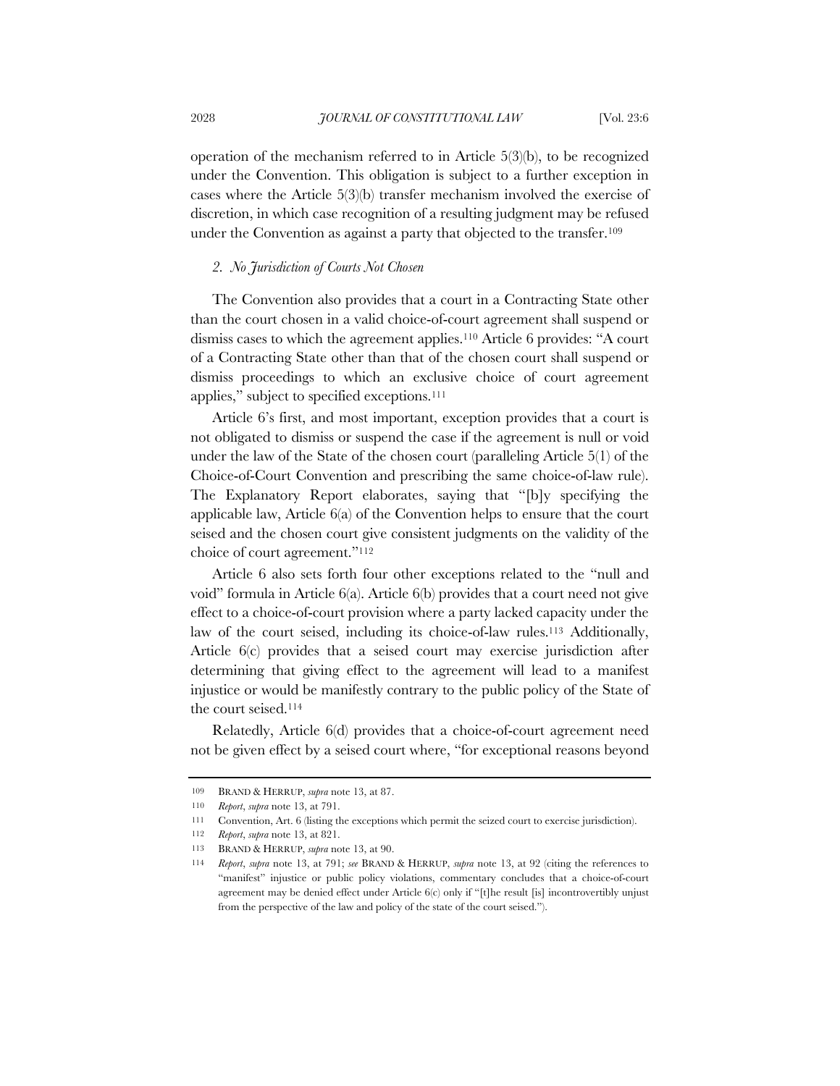operation of the mechanism referred to in Article 5(3)(b), to be recognized under the Convention. This obligation is subject to a further exception in cases where the Article 5(3)(b) transfer mechanism involved the exercise of discretion, in which case recognition of a resulting judgment may be refused under the Convention as against a party that objected to the transfer.<sup>109</sup>

# *2. No Jurisdiction of Courts Not Chosen*

The Convention also provides that a court in a Contracting State other than the court chosen in a valid choice-of-court agreement shall suspend or dismiss cases to which the agreement applies.110 Article 6 provides: "A court of a Contracting State other than that of the chosen court shall suspend or dismiss proceedings to which an exclusive choice of court agreement applies," subject to specified exceptions.111

Article 6's first, and most important, exception provides that a court is not obligated to dismiss or suspend the case if the agreement is null or void under the law of the State of the chosen court (paralleling Article 5(1) of the Choice-of-Court Convention and prescribing the same choice-of-law rule). The Explanatory Report elaborates, saying that "[b]y specifying the applicable law, Article 6(a) of the Convention helps to ensure that the court seised and the chosen court give consistent judgments on the validity of the choice of court agreement."112

Article 6 also sets forth four other exceptions related to the "null and void" formula in Article 6(a). Article 6(b) provides that a court need not give effect to a choice-of-court provision where a party lacked capacity under the law of the court seised, including its choice-of-law rules.113 Additionally, Article 6(c) provides that a seised court may exercise jurisdiction after determining that giving effect to the agreement will lead to a manifest injustice or would be manifestly contrary to the public policy of the State of the court seised.114

Relatedly, Article 6(d) provides that a choice-of-court agreement need not be given effect by a seised court where, "for exceptional reasons beyond

<sup>109</sup> BRAND & HERRUP, *supra* note 13, at 87.

<sup>110</sup> *Report*, *supra* note 13, at 791.

<sup>111</sup> Convention, Art. 6 (listing the exceptions which permit the seized court to exercise jurisdiction).

<sup>112</sup> *Report*, *supra* note 13, at 821.

<sup>113</sup> BRAND & HERRUP, *supra* note 13, at 90.

<sup>114</sup> *Report*, *supra* note 13, at 791; *see* BRAND & HERRUP, *supra* note 13, at 92 (citing the references to "manifest" injustice or public policy violations, commentary concludes that a choice-of-court agreement may be denied effect under Article 6(c) only if "[t]he result [is] incontrovertibly unjust from the perspective of the law and policy of the state of the court seised.").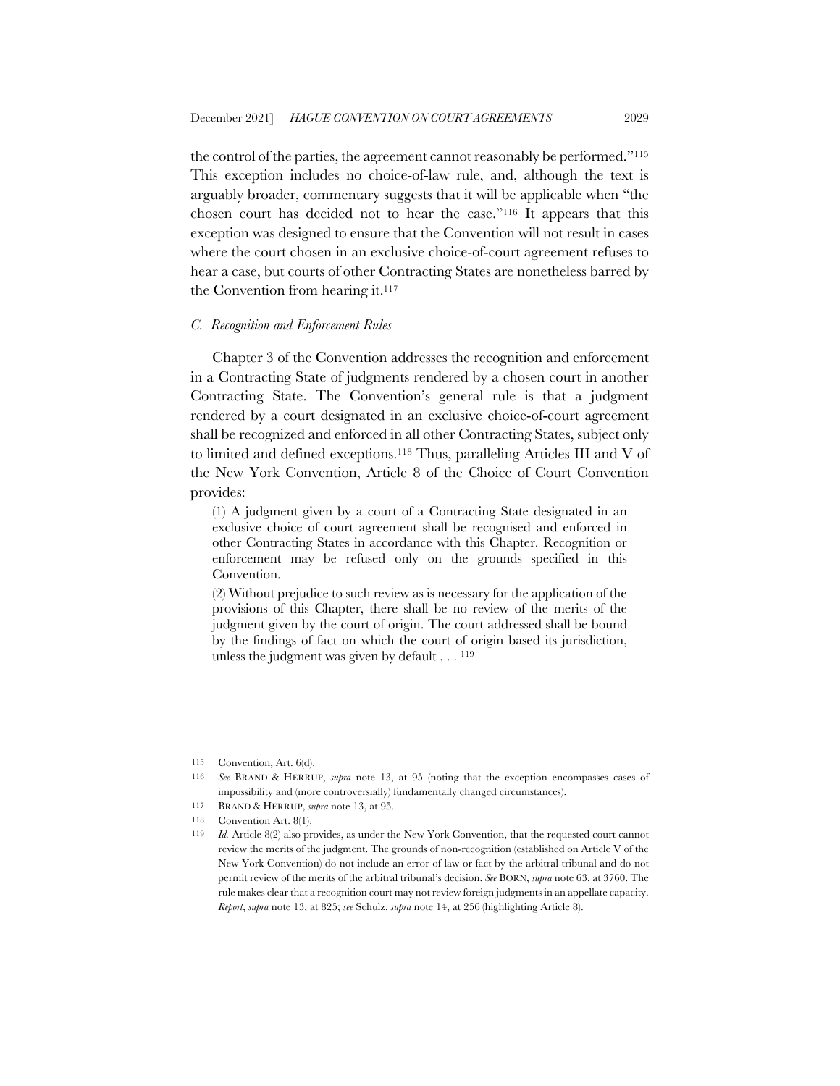the control of the parties, the agreement cannot reasonably be performed."115 This exception includes no choice-of-law rule, and, although the text is arguably broader, commentary suggests that it will be applicable when "the chosen court has decided not to hear the case."116 It appears that this exception was designed to ensure that the Convention will not result in cases where the court chosen in an exclusive choice-of-court agreement refuses to hear a case, but courts of other Contracting States are nonetheless barred by the Convention from hearing it.117

#### *C. Recognition and Enforcement Rules*

Chapter 3 of the Convention addresses the recognition and enforcement in a Contracting State of judgments rendered by a chosen court in another Contracting State. The Convention's general rule is that a judgment rendered by a court designated in an exclusive choice-of-court agreement shall be recognized and enforced in all other Contracting States, subject only to limited and defined exceptions.118 Thus, paralleling Articles III and V of the New York Convention, Article 8 of the Choice of Court Convention provides:

(1) A judgment given by a court of a Contracting State designated in an exclusive choice of court agreement shall be recognised and enforced in other Contracting States in accordance with this Chapter. Recognition or enforcement may be refused only on the grounds specified in this Convention.

(2) Without prejudice to such review as is necessary for the application of the provisions of this Chapter, there shall be no review of the merits of the judgment given by the court of origin. The court addressed shall be bound by the findings of fact on which the court of origin based its jurisdiction, unless the judgment was given by default . . . 119

<sup>115</sup> Convention, Art. 6(d).

<sup>116</sup> *See* BRAND & HERRUP, *supra* note 13, at 95 (noting that the exception encompasses cases of impossibility and (more controversially) fundamentally changed circumstances).

<sup>117</sup> BRAND & HERRUP, *supra* note 13, at 95.

<sup>118</sup> Convention Art. 8(1).

<sup>119</sup> *Id.* Article 8(2) also provides, as under the New York Convention, that the requested court cannot review the merits of the judgment. The grounds of non-recognition (established on Article V of the New York Convention) do not include an error of law or fact by the arbitral tribunal and do not permit review of the merits of the arbitral tribunal's decision. *See* BORN, *supra* note 63, at 3760. The rule makes clear that a recognition court may not review foreign judgments in an appellate capacity. *Report*, *supra* note 13, at 825; *see* Schulz, *supra* note 14, at 256 (highlighting Article 8).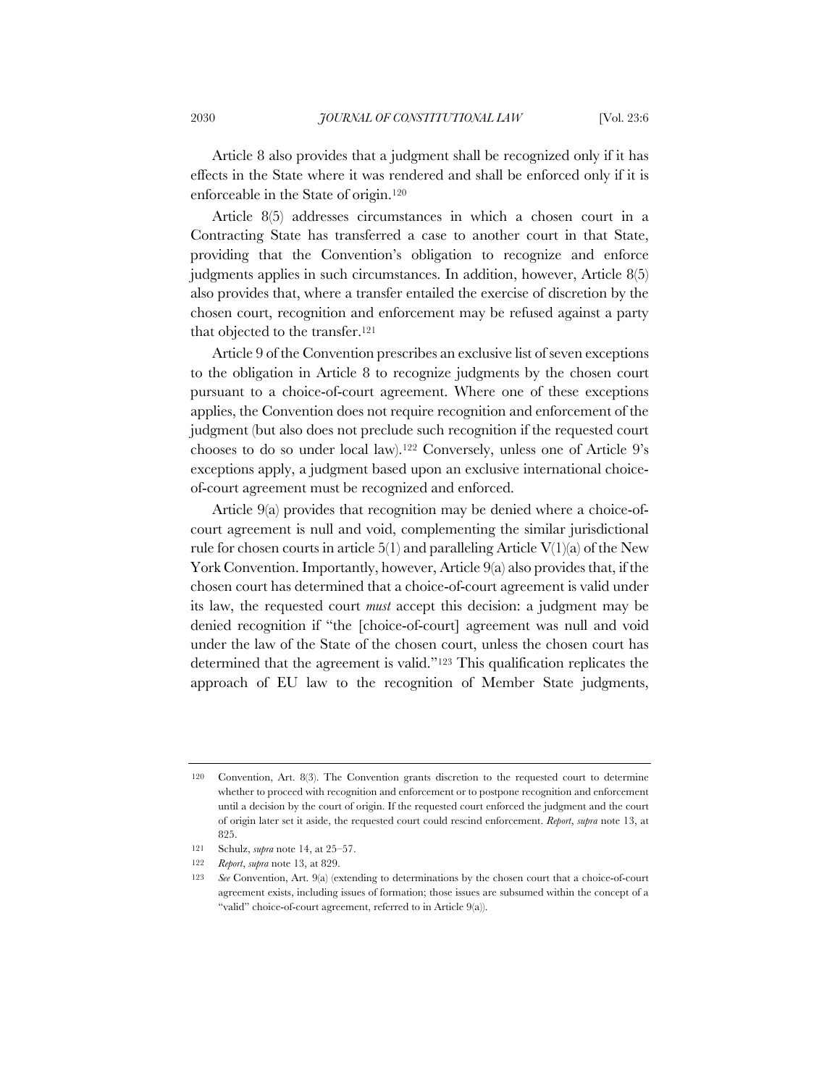Article 8 also provides that a judgment shall be recognized only if it has effects in the State where it was rendered and shall be enforced only if it is enforceable in the State of origin.120

Article 8(5) addresses circumstances in which a chosen court in a Contracting State has transferred a case to another court in that State, providing that the Convention's obligation to recognize and enforce judgments applies in such circumstances. In addition, however, Article 8(5) also provides that, where a transfer entailed the exercise of discretion by the chosen court, recognition and enforcement may be refused against a party that objected to the transfer.121

Article 9 of the Convention prescribes an exclusive list of seven exceptions to the obligation in Article 8 to recognize judgments by the chosen court pursuant to a choice-of-court agreement. Where one of these exceptions applies, the Convention does not require recognition and enforcement of the judgment (but also does not preclude such recognition if the requested court chooses to do so under local law).122 Conversely, unless one of Article 9's exceptions apply, a judgment based upon an exclusive international choiceof-court agreement must be recognized and enforced.

Article 9(a) provides that recognition may be denied where a choice-ofcourt agreement is null and void, complementing the similar jurisdictional rule for chosen courts in article  $5(1)$  and paralleling Article  $V(1)(a)$  of the New York Convention. Importantly, however, Article 9(a) also provides that, if the chosen court has determined that a choice-of-court agreement is valid under its law, the requested court *must* accept this decision: a judgment may be denied recognition if "the [choice-of-court] agreement was null and void under the law of the State of the chosen court, unless the chosen court has determined that the agreement is valid."123 This qualification replicates the approach of EU law to the recognition of Member State judgments,

<sup>120</sup> Convention, Art. 8(3). The Convention grants discretion to the requested court to determine whether to proceed with recognition and enforcement or to postpone recognition and enforcement until a decision by the court of origin. If the requested court enforced the judgment and the court of origin later set it aside, the requested court could rescind enforcement. *Report*, *supra* note 13, at 825.

<sup>121</sup> Schulz, *supra* note 14, at 25–57.

<sup>122</sup> *Report*, *supra* note 13, at 829.

<sup>123</sup> *See* Convention, Art. 9(a) (extending to determinations by the chosen court that a choice-of-court agreement exists, including issues of formation; those issues are subsumed within the concept of a "valid" choice-of-court agreement, referred to in Article 9(a)).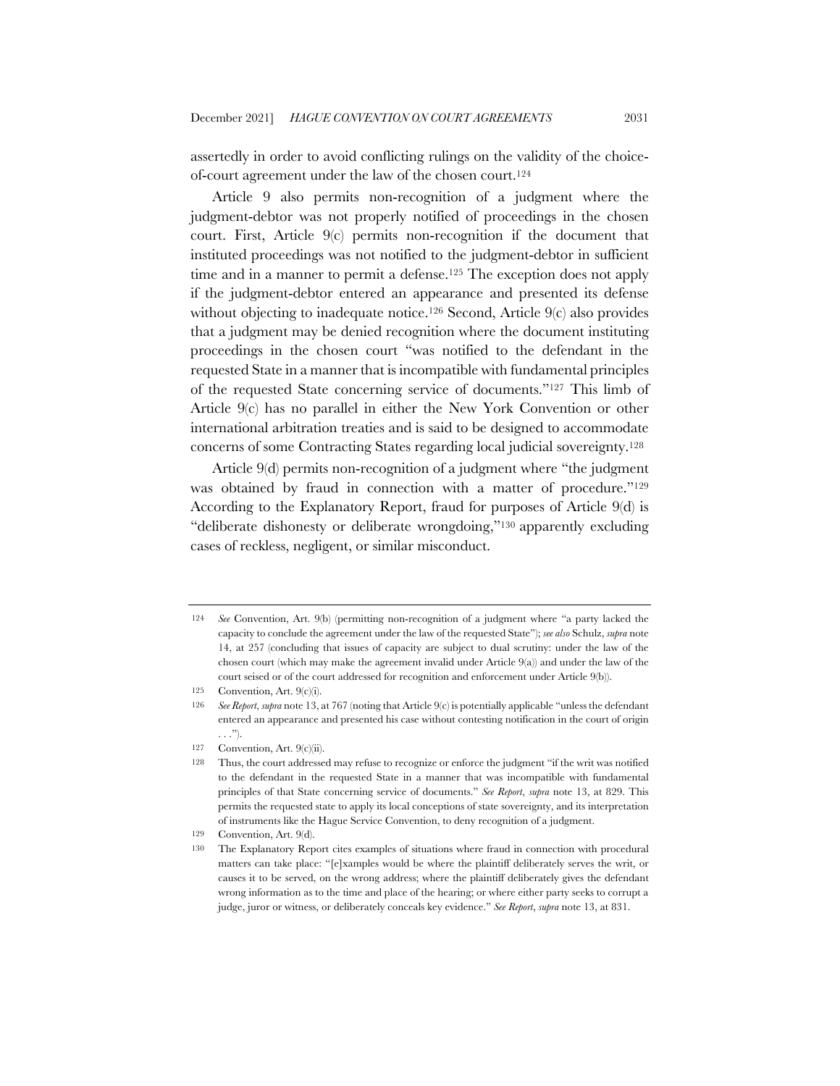assertedly in order to avoid conflicting rulings on the validity of the choiceof-court agreement under the law of the chosen court.124

Article 9 also permits non-recognition of a judgment where the judgment-debtor was not properly notified of proceedings in the chosen court. First, Article 9(c) permits non-recognition if the document that instituted proceedings was not notified to the judgment-debtor in sufficient time and in a manner to permit a defense.<sup>125</sup> The exception does not apply if the judgment-debtor entered an appearance and presented its defense without objecting to inadequate notice.<sup>126</sup> Second, Article 9(c) also provides that a judgment may be denied recognition where the document instituting proceedings in the chosen court "was notified to the defendant in the requested State in a manner that is incompatible with fundamental principles of the requested State concerning service of documents."127 This limb of Article 9(c) has no parallel in either the New York Convention or other international arbitration treaties and is said to be designed to accommodate concerns of some Contracting States regarding local judicial sovereignty.128

Article 9(d) permits non-recognition of a judgment where "the judgment was obtained by fraud in connection with a matter of procedure."<sup>129</sup> According to the Explanatory Report, fraud for purposes of Article 9(d) is "deliberate dishonesty or deliberate wrongdoing,"130 apparently excluding cases of reckless, negligent, or similar misconduct.

127 Convention, Art. 9(c)(ii).

<sup>124</sup> *See* Convention, Art. 9(b) (permitting non-recognition of a judgment where "a party lacked the capacity to conclude the agreement under the law of the requested State"); *see also* Schulz, *supra* note 14, at 257 (concluding that issues of capacity are subject to dual scrutiny: under the law of the chosen court (which may make the agreement invalid under Article 9(a)) and under the law of the court seised or of the court addressed for recognition and enforcement under Article 9(b)).

<sup>125</sup> Convention, Art. 9(c)(i).

<sup>126</sup> *See Report*, *supra* note 13, at 767 (noting that Article 9(c) is potentially applicable "unless the defendant entered an appearance and presented his case without contesting notification in the court of origin . . .").

<sup>128</sup> Thus, the court addressed may refuse to recognize or enforce the judgment "if the writ was notified to the defendant in the requested State in a manner that was incompatible with fundamental principles of that State concerning service of documents." *See Report*, *supra* note 13, at 829. This permits the requested state to apply its local conceptions of state sovereignty, and its interpretation of instruments like the Hague Service Convention, to deny recognition of a judgment.

<sup>129</sup> Convention, Art. 9(d).

<sup>130</sup> The Explanatory Report cites examples of situations where fraud in connection with procedural matters can take place: "[e]xamples would be where the plaintiff deliberately serves the writ, or causes it to be served, on the wrong address; where the plaintiff deliberately gives the defendant wrong information as to the time and place of the hearing; or where either party seeks to corrupt a judge, juror or witness, or deliberately conceals key evidence." *See Report*, *supra* note 13, at 831.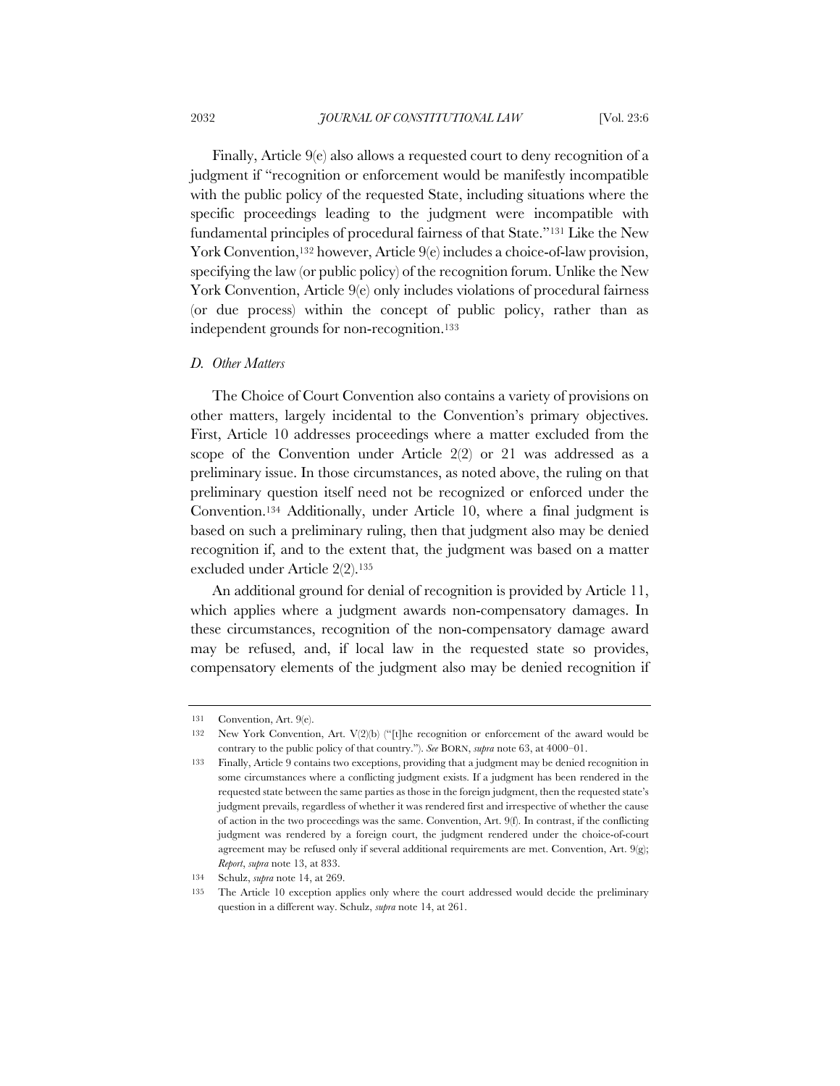Finally, Article 9(e) also allows a requested court to deny recognition of a judgment if "recognition or enforcement would be manifestly incompatible with the public policy of the requested State, including situations where the specific proceedings leading to the judgment were incompatible with fundamental principles of procedural fairness of that State."131 Like the New York Convention,<sup>132</sup> however, Article 9(e) includes a choice-of-law provision, specifying the law (or public policy) of the recognition forum. Unlike the New York Convention, Article 9(e) only includes violations of procedural fairness (or due process) within the concept of public policy, rather than as independent grounds for non-recognition.133

## *D. Other Matters*

The Choice of Court Convention also contains a variety of provisions on other matters, largely incidental to the Convention's primary objectives. First, Article 10 addresses proceedings where a matter excluded from the scope of the Convention under Article 2(2) or 21 was addressed as a preliminary issue. In those circumstances, as noted above, the ruling on that preliminary question itself need not be recognized or enforced under the Convention.134 Additionally, under Article 10, where a final judgment is based on such a preliminary ruling, then that judgment also may be denied recognition if, and to the extent that, the judgment was based on a matter excluded under Article 2(2).135

An additional ground for denial of recognition is provided by Article 11, which applies where a judgment awards non-compensatory damages. In these circumstances, recognition of the non-compensatory damage award may be refused, and, if local law in the requested state so provides, compensatory elements of the judgment also may be denied recognition if

<sup>131</sup> Convention, Art. 9(e).

<sup>132</sup> New York Convention, Art. V(2)(b) ("[t]he recognition or enforcement of the award would be contrary to the public policy of that country."). *See* BORN, *supra* note 63, at 4000–01.

<sup>133</sup> Finally, Article 9 contains two exceptions, providing that a judgment may be denied recognition in some circumstances where a conflicting judgment exists. If a judgment has been rendered in the requested state between the same parties as those in the foreign judgment, then the requested state's judgment prevails, regardless of whether it was rendered first and irrespective of whether the cause of action in the two proceedings was the same. Convention, Art. 9(f). In contrast, if the conflicting judgment was rendered by a foreign court, the judgment rendered under the choice-of-court agreement may be refused only if several additional requirements are met. Convention, Art. 9(g); *Report*, *supra* note 13, at 833.

<sup>134</sup> Schulz, *supra* note 14, at 269.

<sup>135</sup> The Article 10 exception applies only where the court addressed would decide the preliminary question in a different way. Schulz, *supra* note 14, at 261.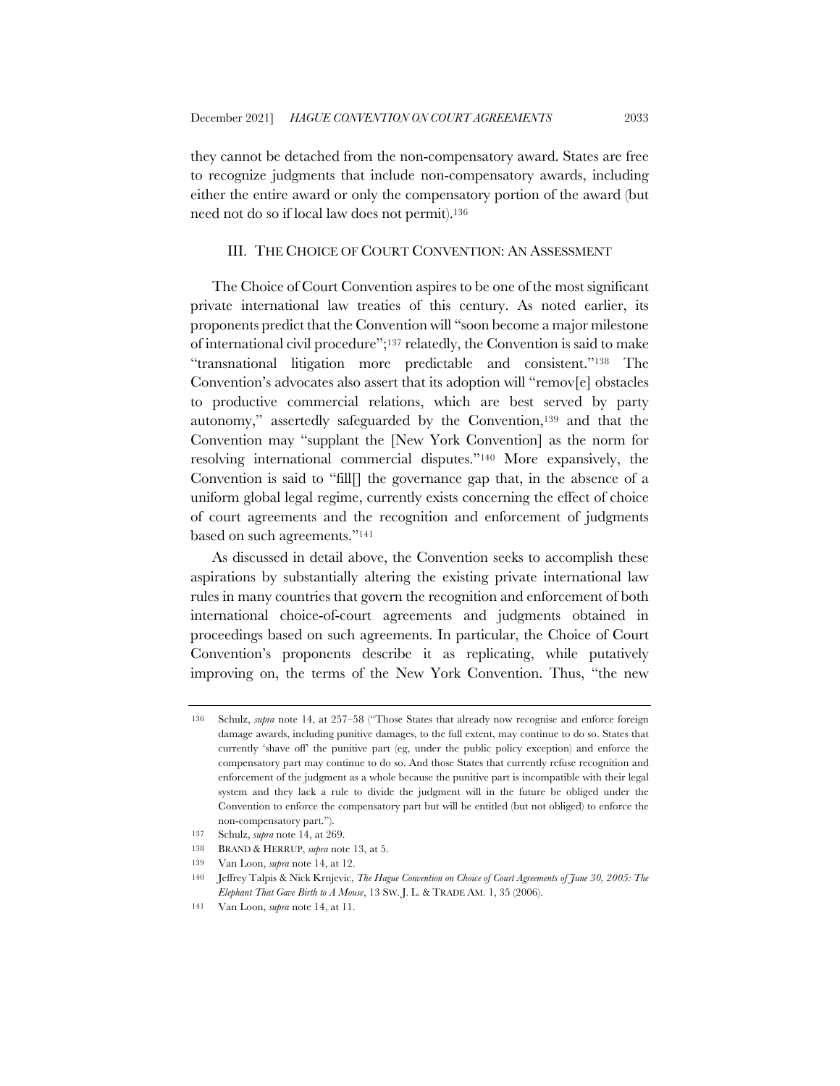they cannot be detached from the non-compensatory award. States are free to recognize judgments that include non-compensatory awards, including either the entire award or only the compensatory portion of the award (but need not do so if local law does not permit).136

# III. THE CHOICE OF COURT CONVENTION: AN ASSESSMENT

The Choice of Court Convention aspires to be one of the most significant private international law treaties of this century. As noted earlier, its proponents predict that the Convention will "soon become a major milestone of international civil procedure";137 relatedly, the Convention is said to make "transnational litigation more predictable and consistent."138 The Convention's advocates also assert that its adoption will "remov[e] obstacles to productive commercial relations, which are best served by party autonomy," assertedly safeguarded by the Convention,139 and that the Convention may "supplant the [New York Convention] as the norm for resolving international commercial disputes."140 More expansively, the Convention is said to "fill[] the governance gap that, in the absence of a uniform global legal regime, currently exists concerning the effect of choice of court agreements and the recognition and enforcement of judgments based on such agreements."141

As discussed in detail above, the Convention seeks to accomplish these aspirations by substantially altering the existing private international law rules in many countries that govern the recognition and enforcement of both international choice-of-court agreements and judgments obtained in proceedings based on such agreements. In particular, the Choice of Court Convention's proponents describe it as replicating, while putatively improving on, the terms of the New York Convention. Thus, "the new

<sup>136</sup> Schulz, *supra* note 14, at 257–58 ("Those States that already now recognise and enforce foreign damage awards, including punitive damages, to the full extent, may continue to do so. States that currently 'shave off' the punitive part (eg, under the public policy exception) and enforce the compensatory part may continue to do so. And those States that currently refuse recognition and enforcement of the judgment as a whole because the punitive part is incompatible with their legal system and they lack a rule to divide the judgment will in the future be obliged under the Convention to enforce the compensatory part but will be entitled (but not obliged) to enforce the non-compensatory part.").

<sup>137</sup> Schulz, *supra* note 14, at 269.

<sup>138</sup> BRAND & HERRUP, *supra* note 13, at 5.

<sup>139</sup> Van Loon, *supra* note 14, at 12.

<sup>140</sup> Jeffrey Talpis & Nick Krnjevic, *The Hague Convention on Choice of Court Agreements of June 30, 2005: The Elephant That Gave Birth to A Mouse*, 13 SW. J. L. & TRADE AM. 1, 35 (2006).

<sup>141</sup> Van Loon, *supra* note 14, at 11.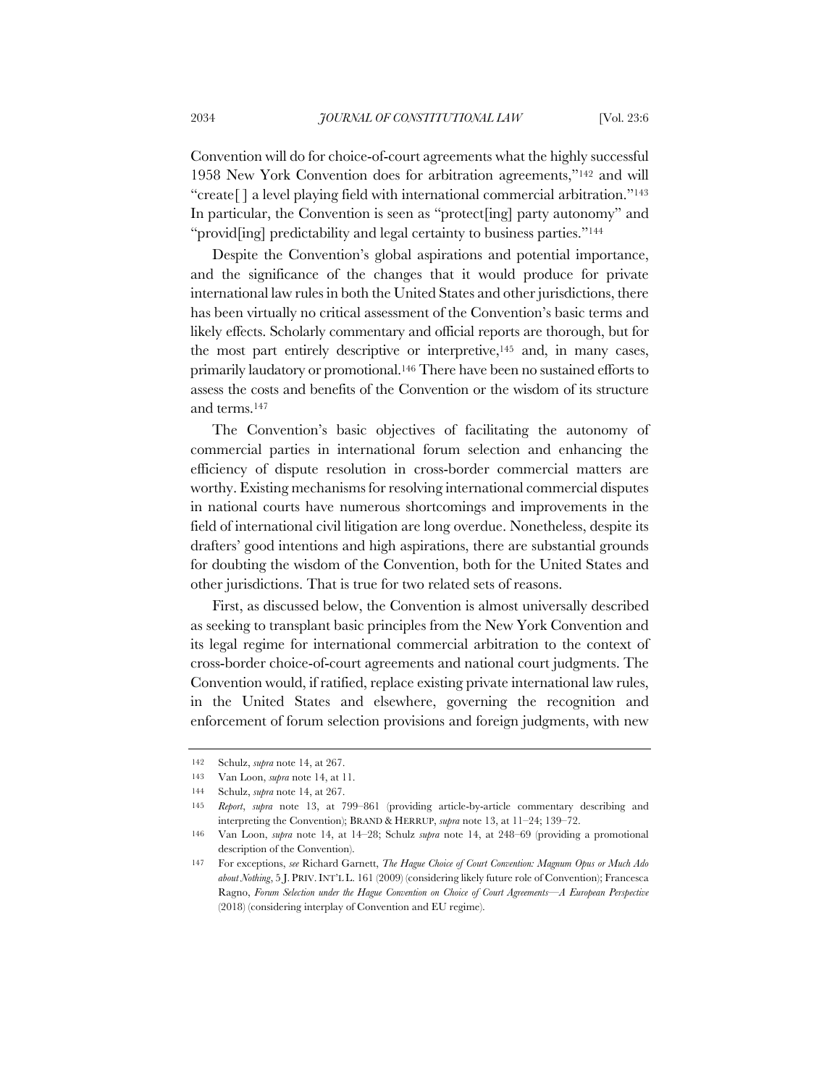Convention will do for choice-of-court agreements what the highly successful 1958 New York Convention does for arbitration agreements,"142 and will "create[ ] a level playing field with international commercial arbitration."143 In particular, the Convention is seen as "protect[ing] party autonomy" and "provid[ing] predictability and legal certainty to business parties."<sup>144</sup>

Despite the Convention's global aspirations and potential importance, and the significance of the changes that it would produce for private international law rules in both the United States and other jurisdictions, there has been virtually no critical assessment of the Convention's basic terms and likely effects. Scholarly commentary and official reports are thorough, but for the most part entirely descriptive or interpretive,145 and, in many cases, primarily laudatory or promotional.146 There have been no sustained efforts to assess the costs and benefits of the Convention or the wisdom of its structure and terms.147

The Convention's basic objectives of facilitating the autonomy of commercial parties in international forum selection and enhancing the efficiency of dispute resolution in cross-border commercial matters are worthy. Existing mechanisms for resolving international commercial disputes in national courts have numerous shortcomings and improvements in the field of international civil litigation are long overdue. Nonetheless, despite its drafters' good intentions and high aspirations, there are substantial grounds for doubting the wisdom of the Convention, both for the United States and other jurisdictions. That is true for two related sets of reasons.

First, as discussed below, the Convention is almost universally described as seeking to transplant basic principles from the New York Convention and its legal regime for international commercial arbitration to the context of cross-border choice-of-court agreements and national court judgments. The Convention would, if ratified, replace existing private international law rules, in the United States and elsewhere, governing the recognition and enforcement of forum selection provisions and foreign judgments, with new

<sup>142</sup> Schulz, *supra* note 14, at 267.

<sup>143</sup> Van Loon, *supra* note 14, at 11.

<sup>144</sup> Schulz, *supra* note 14, at 267.

<sup>145</sup> *Report*, *supra* note 13, at 799–861 (providing article-by-article commentary describing and interpreting the Convention); BRAND & HERRUP, *supra* note 13, at 11–24; 139–72.

<sup>146</sup> Van Loon, *supra* note 14, at 14–28; Schulz *supra* note 14, at 248–69 (providing a promotional description of the Convention).

<sup>147</sup> For exceptions, *see* Richard Garnett, *The Hague Choice of Court Convention: Magnum Opus or Much Ado about Nothing*, 5 J. PRIV.INT'L L. 161 (2009) (considering likely future role of Convention); Francesca Ragno, *Forum Selection under the Hague Convention on Choice of Court Agreements—A European Perspective*  (2018) (considering interplay of Convention and EU regime).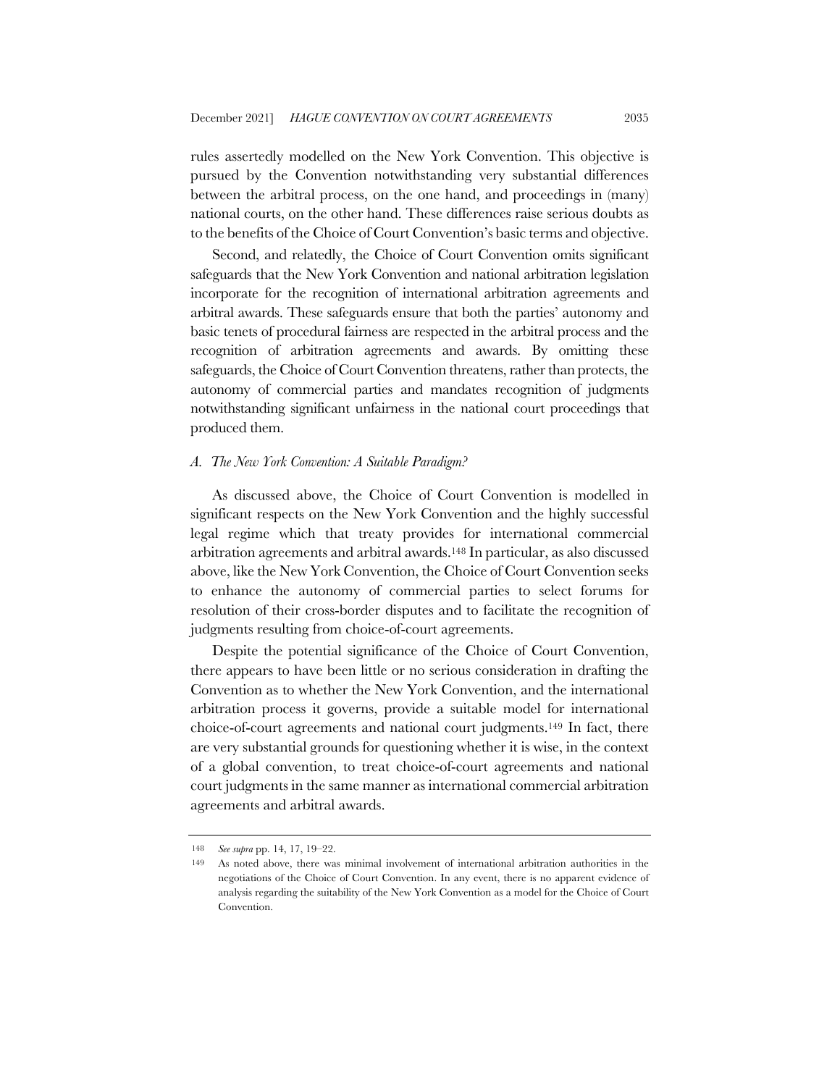rules assertedly modelled on the New York Convention. This objective is pursued by the Convention notwithstanding very substantial differences between the arbitral process, on the one hand, and proceedings in (many) national courts, on the other hand. These differences raise serious doubts as to the benefits of the Choice of Court Convention's basic terms and objective.

Second, and relatedly, the Choice of Court Convention omits significant safeguards that the New York Convention and national arbitration legislation incorporate for the recognition of international arbitration agreements and arbitral awards. These safeguards ensure that both the parties' autonomy and basic tenets of procedural fairness are respected in the arbitral process and the recognition of arbitration agreements and awards. By omitting these safeguards, the Choice of Court Convention threatens, rather than protects, the autonomy of commercial parties and mandates recognition of judgments notwithstanding significant unfairness in the national court proceedings that produced them.

#### *A. The New York Convention: A Suitable Paradigm?*

As discussed above, the Choice of Court Convention is modelled in significant respects on the New York Convention and the highly successful legal regime which that treaty provides for international commercial arbitration agreements and arbitral awards.148 In particular, as also discussed above, like the New York Convention, the Choice of Court Convention seeks to enhance the autonomy of commercial parties to select forums for resolution of their cross-border disputes and to facilitate the recognition of judgments resulting from choice-of-court agreements.

Despite the potential significance of the Choice of Court Convention, there appears to have been little or no serious consideration in drafting the Convention as to whether the New York Convention, and the international arbitration process it governs, provide a suitable model for international choice-of-court agreements and national court judgments.149 In fact, there are very substantial grounds for questioning whether it is wise, in the context of a global convention, to treat choice-of-court agreements and national court judgments in the same manner as international commercial arbitration agreements and arbitral awards.

<sup>148</sup> *See supra* pp. 14, 17, 19–22.

<sup>149</sup> As noted above, there was minimal involvement of international arbitration authorities in the negotiations of the Choice of Court Convention. In any event, there is no apparent evidence of analysis regarding the suitability of the New York Convention as a model for the Choice of Court Convention.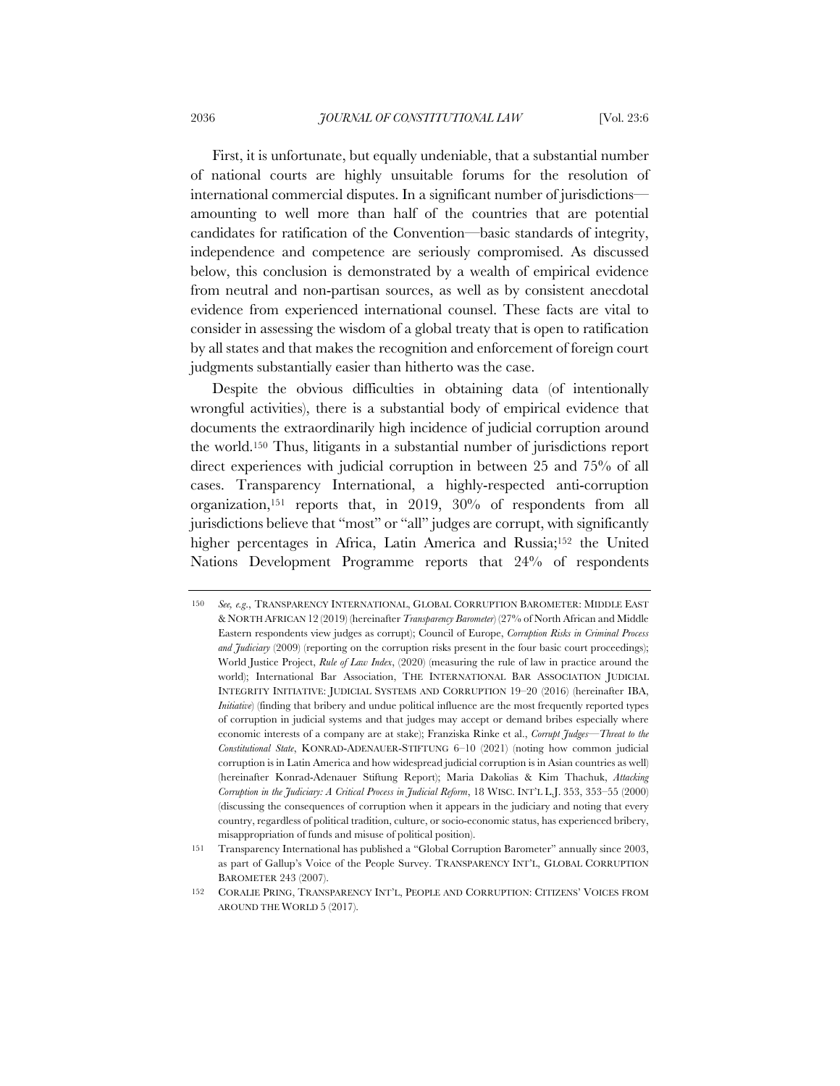First, it is unfortunate, but equally undeniable, that a substantial number of national courts are highly unsuitable forums for the resolution of international commercial disputes. In a significant number of jurisdictions amounting to well more than half of the countries that are potential candidates for ratification of the Convention—basic standards of integrity, independence and competence are seriously compromised. As discussed below, this conclusion is demonstrated by a wealth of empirical evidence from neutral and non-partisan sources, as well as by consistent anecdotal evidence from experienced international counsel. These facts are vital to consider in assessing the wisdom of a global treaty that is open to ratification by all states and that makes the recognition and enforcement of foreign court judgments substantially easier than hitherto was the case.

Despite the obvious difficulties in obtaining data (of intentionally wrongful activities), there is a substantial body of empirical evidence that documents the extraordinarily high incidence of judicial corruption around the world.150 Thus, litigants in a substantial number of jurisdictions report direct experiences with judicial corruption in between 25 and 75% of all cases. Transparency International, a highly-respected anti-corruption organization,151 reports that, in 2019, 30% of respondents from all jurisdictions believe that "most" or "all" judges are corrupt, with significantly higher percentages in Africa, Latin America and Russia;152 the United Nations Development Programme reports that 24% of respondents

<sup>150</sup> *See, e.g*., TRANSPARENCY INTERNATIONAL, GLOBAL CORRUPTION BAROMETER: MIDDLE EAST & NORTH AFRICAN 12 (2019) (hereinafter *Transparency Barometer*) (27% of North African and Middle Eastern respondents view judges as corrupt); Council of Europe, *Corruption Risks in Criminal Process and Judiciary* (2009) (reporting on the corruption risks present in the four basic court proceedings); World Justice Project, *Rule of Law Index*, (2020) (measuring the rule of law in practice around the world); International Bar Association, THE INTERNATIONAL BAR ASSOCIATION JUDICIAL INTEGRITY INITIATIVE: JUDICIAL SYSTEMS AND CORRUPTION 19–20 (2016) (hereinafter IBA, *Initiative*) (finding that bribery and undue political influence are the most frequently reported types of corruption in judicial systems and that judges may accept or demand bribes especially where economic interests of a company are at stake); Franziska Rinke et al., *Corrupt Judges—Threat to the Constitutional State*, KONRAD-ADENAUER-STIFTUNG 6–10 (2021) (noting how common judicial corruption is in Latin America and how widespread judicial corruption is in Asian countries as well) (hereinafter Konrad-Adenauer Stiftung Report); Maria Dakolias & Kim Thachuk, *Attacking Corruption in the Judiciary: A Critical Process in Judicial Reform*, 18 WISC. INT'L L.J. 353, 353–55 (2000) (discussing the consequences of corruption when it appears in the judiciary and noting that every country, regardless of political tradition, culture, or socio-economic status, has experienced bribery, misappropriation of funds and misuse of political position).

<sup>151</sup> Transparency International has published a "Global Corruption Barometer" annually since 2003, as part of Gallup's Voice of the People Survey. TRANSPARENCY INT'L, GLOBAL CORRUPTION BAROMETER 243 (2007).

<sup>152</sup> CORALIE PRING, TRANSPARENCY INT'L, PEOPLE AND CORRUPTION: CITIZENS' VOICES FROM AROUND THE WORLD 5 (2017).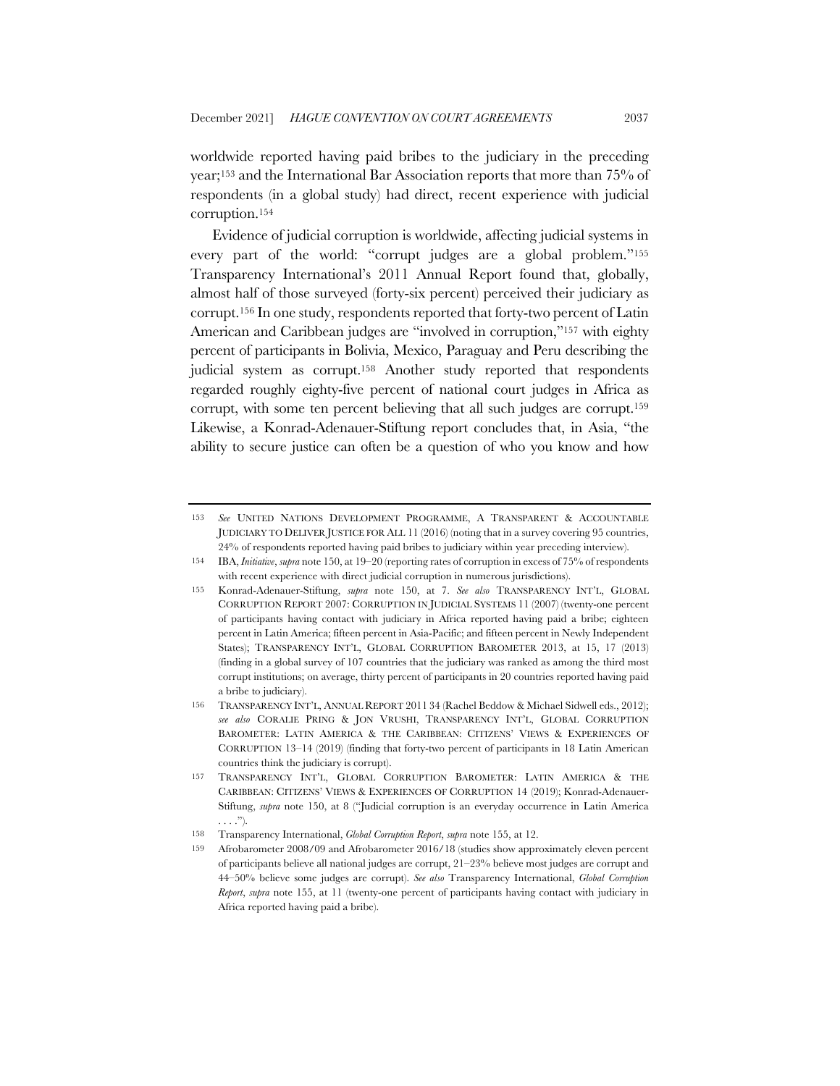worldwide reported having paid bribes to the judiciary in the preceding year;153 and the International Bar Association reports that more than 75% of respondents (in a global study) had direct, recent experience with judicial corruption.154

Evidence of judicial corruption is worldwide, affecting judicial systems in every part of the world: "corrupt judges are a global problem."155 Transparency International's 2011 Annual Report found that, globally, almost half of those surveyed (forty-six percent) perceived their judiciary as corrupt.156 In one study, respondents reported that forty-two percent of Latin American and Caribbean judges are "involved in corruption,"157 with eighty percent of participants in Bolivia, Mexico, Paraguay and Peru describing the judicial system as corrupt.158 Another study reported that respondents regarded roughly eighty-five percent of national court judges in Africa as corrupt, with some ten percent believing that all such judges are corrupt.159 Likewise, a Konrad-Adenauer-Stiftung report concludes that, in Asia, "the ability to secure justice can often be a question of who you know and how

<sup>153</sup> *See* UNITED NATIONS DEVELOPMENT PROGRAMME, A TRANSPARENT & ACCOUNTABLE JUDICIARY TO DELIVER JUSTICE FOR ALL 11 (2016) (noting that in a survey covering 95 countries, 24% of respondents reported having paid bribes to judiciary within year preceding interview).

<sup>154</sup> IBA, *Initiative*, *supra* note 150, at 19–20 (reporting rates of corruption in excess of 75% of respondents with recent experience with direct judicial corruption in numerous jurisdictions).

<sup>155</sup> Konrad-Adenauer-Stiftung, *supra* note 150, at 7. *See also* TRANSPARENCY INT'L, GLOBAL CORRUPTION REPORT 2007: CORRUPTION IN JUDICIAL SYSTEMS 11 (2007) (twenty-one percent of participants having contact with judiciary in Africa reported having paid a bribe; eighteen percent in Latin America; fifteen percent in Asia-Pacific; and fifteen percent in Newly Independent States); TRANSPARENCY INT'L, GLOBAL CORRUPTION BAROMETER 2013, at 15, 17 (2013) (finding in a global survey of 107 countries that the judiciary was ranked as among the third most corrupt institutions; on average, thirty percent of participants in 20 countries reported having paid a bribe to judiciary).

<sup>156</sup> TRANSPARENCY INT'L, ANNUAL REPORT 2011 34 (Rachel Beddow & Michael Sidwell eds., 2012); *see also* CORALIE PRING & JON VRUSHI, TRANSPARENCY INT'L, GLOBAL CORRUPTION BAROMETER: LATIN AMERICA & THE CARIBBEAN: CITIZENS' VIEWS & EXPERIENCES OF CORRUPTION 13–14 (2019) (finding that forty-two percent of participants in 18 Latin American countries think the judiciary is corrupt).

<sup>157</sup> TRANSPARENCY INT'L, GLOBAL CORRUPTION BAROMETER: LATIN AMERICA & THE CARIBBEAN: CITIZENS' VIEWS & EXPERIENCES OF CORRUPTION 14 (2019); Konrad-Adenauer-Stiftung, *supra* note 150, at 8 ("Judicial corruption is an everyday occurrence in Latin America . . . .").

<sup>158</sup> Transparency International, *Global Corruption Report*, *supra* note 155, at 12.

<sup>159</sup> Afrobarometer 2008/09 and Afrobarometer 2016/18 (studies show approximately eleven percent of participants believe all national judges are corrupt, 21–23% believe most judges are corrupt and 44–50% believe some judges are corrupt). *See also* Transparency International, *Global Corruption Report*, *supra* note 155, at 11 (twenty-one percent of participants having contact with judiciary in Africa reported having paid a bribe).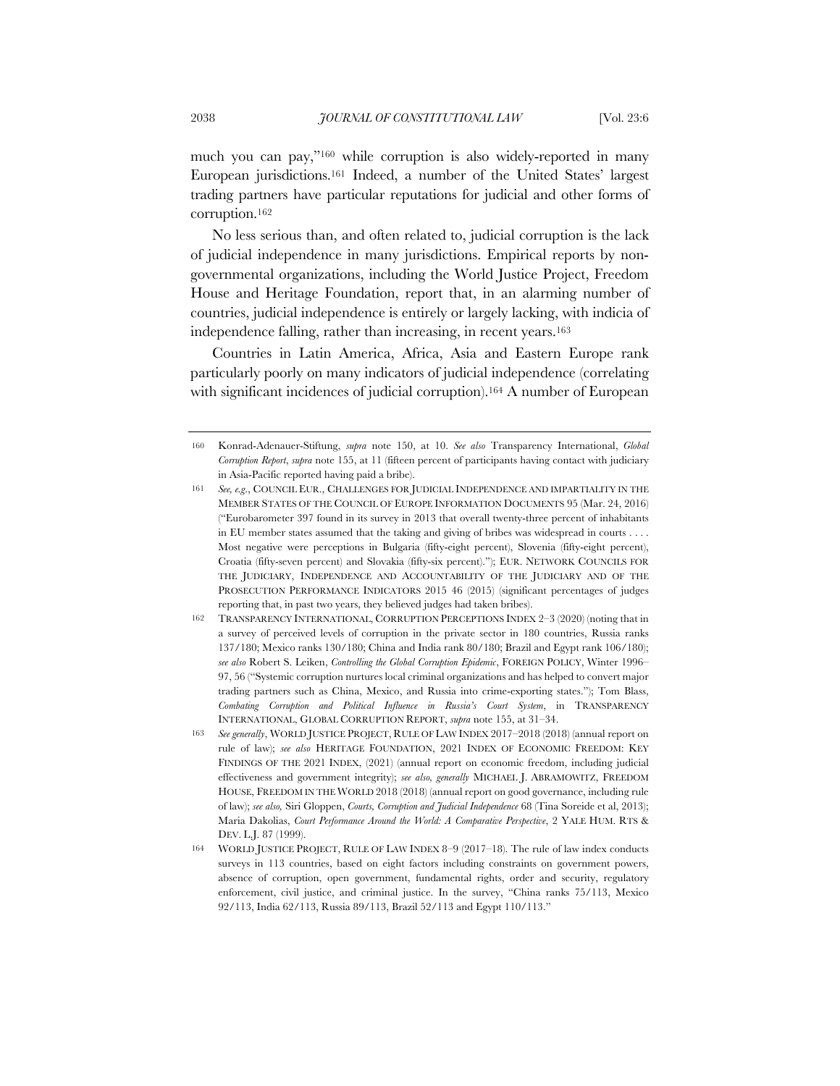much you can pay,"160 while corruption is also widely-reported in many European jurisdictions.161 Indeed, a number of the United States' largest trading partners have particular reputations for judicial and other forms of corruption.162

No less serious than, and often related to, judicial corruption is the lack of judicial independence in many jurisdictions. Empirical reports by nongovernmental organizations, including the World Justice Project, Freedom House and Heritage Foundation, report that, in an alarming number of countries, judicial independence is entirely or largely lacking, with indicia of independence falling, rather than increasing, in recent years.163

Countries in Latin America, Africa, Asia and Eastern Europe rank particularly poorly on many indicators of judicial independence (correlating with significant incidences of judicial corruption).164 A number of European

<sup>160</sup> Konrad-Adenauer-Stiftung, *supra* note 150, at 10. *See also* Transparency International, *Global Corruption Report*, *supra* note 155, at 11 (fifteen percent of participants having contact with judiciary in Asia-Pacific reported having paid a bribe).

<sup>161</sup> *See, e.g*., COUNCIL EUR., CHALLENGES FOR JUDICIAL INDEPENDENCE AND IMPARTIALITY IN THE MEMBER STATES OF THE COUNCIL OF EUROPE INFORMATION DOCUMENTS 95 (Mar. 24, 2016) ("Eurobarometer 397 found in its survey in 2013 that overall twenty-three percent of inhabitants in EU member states assumed that the taking and giving of bribes was widespread in courts . . . . Most negative were perceptions in Bulgaria (fifty-eight percent), Slovenia (fifty-eight percent), Croatia (fifty-seven percent) and Slovakia (fifty-six percent)."); EUR. NETWORK COUNCILS FOR THE JUDICIARY, INDEPENDENCE AND ACCOUNTABILITY OF THE JUDICIARY AND OF THE PROSECUTION PERFORMANCE INDICATORS 2015 46 (2015) (significant percentages of judges reporting that, in past two years, they believed judges had taken bribes).

<sup>162</sup> TRANSPARENCY INTERNATIONAL, CORRUPTION PERCEPTIONS INDEX 2–3 (2020) (noting that in a survey of perceived levels of corruption in the private sector in 180 countries, Russia ranks 137/180; Mexico ranks 130/180; China and India rank 80/180; Brazil and Egypt rank 106/180); *see also* Robert S. Leiken, *Controlling the Global Corruption Epidemic*, FOREIGN POLICY, Winter 1996– 97, 56 ("Systemic corruption nurtures local criminal organizations and has helped to convert major trading partners such as China, Mexico, and Russia into crime-exporting states."); Tom Blass, *Combating Corruption and Political Influence in Russia's Court System*, in TRANSPARENCY INTERNATIONAL, GLOBAL CORRUPTION REPORT, *supra* note 155, at 31–34.

<sup>163</sup> *See generally*, WORLD JUSTICE PROJECT, RULE OF LAW INDEX 2017–2018 (2018) (annual report on rule of law); *see also* HERITAGE FOUNDATION, 2021 INDEX OF ECONOMIC FREEDOM: KEY FINDINGS OF THE 2021 INDEX, (2021) (annual report on economic freedom, including judicial effectiveness and government integrity); *see also, generally* MICHAEL J. ABRAMOWITZ, FREEDOM HOUSE, FREEDOM IN THE WORLD 2018 (2018) (annual report on good governance, including rule of law); *see also,* Siri Gloppen, *Courts, Corruption and Judicial Independence* 68 (Tina Soreide et al, 2013); Maria Dakolias, *Court Performance Around the World: A Comparative Perspective*, 2 YALE HUM. RTS & DEV. L.J. 87 (1999).

<sup>164</sup> WORLD JUSTICE PROJECT, RULE OF LAW INDEX 8–9 (2017–18). The rule of law index conducts surveys in 113 countries, based on eight factors including constraints on government powers, absence of corruption, open government, fundamental rights, order and security, regulatory enforcement, civil justice, and criminal justice. In the survey, "China ranks 75/113, Mexico 92/113, India 62/113, Russia 89/113, Brazil 52/113 and Egypt 110/113."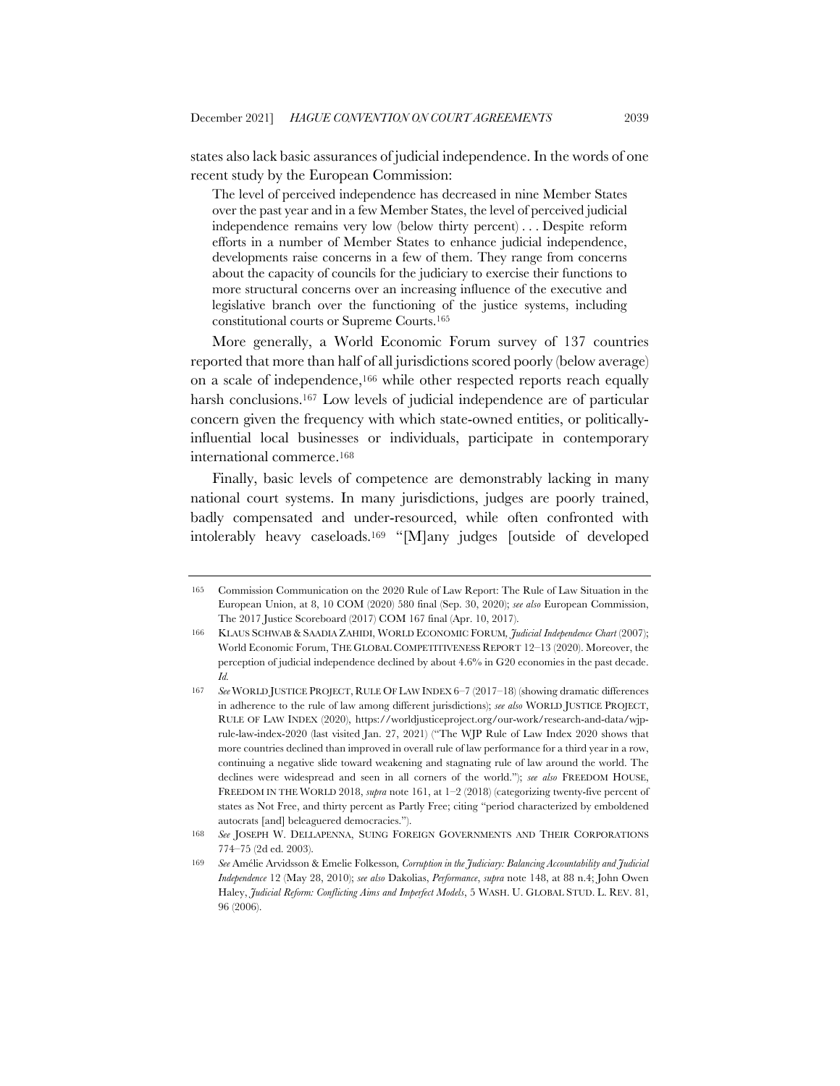states also lack basic assurances of judicial independence. In the words of one recent study by the European Commission:

The level of perceived independence has decreased in nine Member States over the past year and in a few Member States, the level of perceived judicial independence remains very low (below thirty percent) . . . Despite reform efforts in a number of Member States to enhance judicial independence, developments raise concerns in a few of them. They range from concerns about the capacity of councils for the judiciary to exercise their functions to more structural concerns over an increasing influence of the executive and legislative branch over the functioning of the justice systems, including constitutional courts or Supreme Courts.165

More generally, a World Economic Forum survey of 137 countries reported that more than half of all jurisdictions scored poorly (below average) on a scale of independence,166 while other respected reports reach equally harsh conclusions.<sup>167</sup> Low levels of judicial independence are of particular concern given the frequency with which state-owned entities, or politicallyinfluential local businesses or individuals, participate in contemporary international commerce.168

Finally, basic levels of competence are demonstrably lacking in many national court systems. In many jurisdictions, judges are poorly trained, badly compensated and under-resourced, while often confronted with intolerably heavy caseloads.169 "[M]any judges [outside of developed

<sup>165</sup> Commission Communication on the 2020 Rule of Law Report: The Rule of Law Situation in the European Union, at 8, 10 COM (2020) 580 final (Sep. 30, 2020); *see also* European Commission, The 2017 Justice Scoreboard (2017) COM 167 final (Apr. 10, 2017).

<sup>166</sup> KLAUS SCHWAB & SAADIA ZAHIDI, WORLD ECONOMIC FORUM*, Judicial Independence Chart* (2007); World Economic Forum, THE GLOBAL COMPETITIVENESS REPORT 12–13 (2020). Moreover, the perception of judicial independence declined by about 4.6% in G20 economies in the past decade. *Id.*

<sup>167</sup> *See* WORLD JUSTICE PROJECT, RULE OF LAW INDEX 6–7 (2017–18) (showing dramatic differences in adherence to the rule of law among different jurisdictions); *see also* WORLD JUSTICE PROJECT, RULE OF LAW INDEX (2020), https://worldjusticeproject.org/our-work/research-and-data/wjprule-law-index-2020 (last visited Jan. 27, 2021) ("The WJP Rule of Law Index 2020 shows that more countries declined than improved in overall rule of law performance for a third year in a row, continuing a negative slide toward weakening and stagnating rule of law around the world. The declines were widespread and seen in all corners of the world."); *see also* FREEDOM HOUSE, FREEDOM IN THE WORLD 2018, *supra* note 161, at 1-2 (2018) (categorizing twenty-five percent of states as Not Free, and thirty percent as Partly Free; citing "period characterized by emboldened autocrats [and] beleaguered democracies.").

<sup>168</sup> *See* JOSEPH W. DELLAPENNA, SUING FOREIGN GOVERNMENTS AND THEIR CORPORATIONS 774–75 (2d ed. 2003).

<sup>169</sup> *See* Amélie Arvidsson & Emelie Folkesson*, Corruption in the Judiciary: Balancing Accountability and Judicial Independence* 12 (May 28, 2010); *see also* Dakolias, *Performance*, *supra* note 148, at 88 n.4; John Owen Haley, *Judicial Reform: Conflicting Aims and Imperfect Models*, 5 WASH. U. GLOBAL STUD. L. REV. 81, 96 (2006).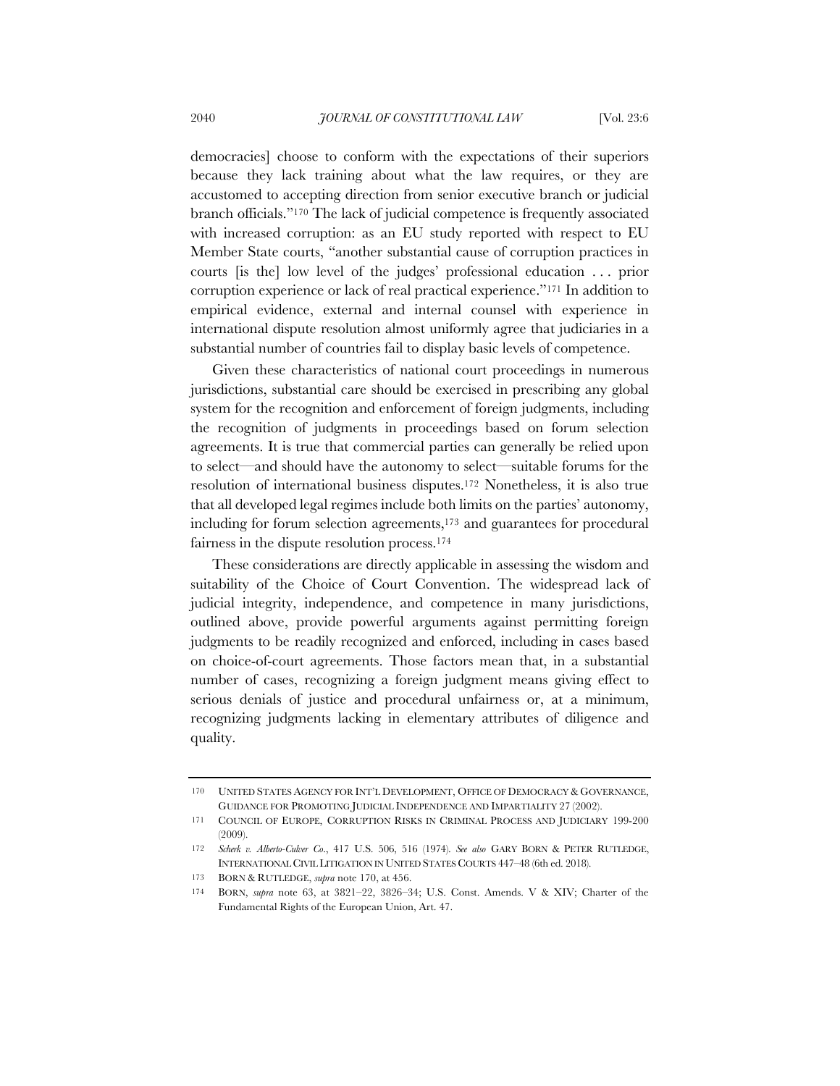democracies] choose to conform with the expectations of their superiors because they lack training about what the law requires, or they are accustomed to accepting direction from senior executive branch or judicial branch officials."170 The lack of judicial competence is frequently associated with increased corruption: as an EU study reported with respect to EU Member State courts, "another substantial cause of corruption practices in courts [is the] low level of the judges' professional education . . . prior corruption experience or lack of real practical experience."171 In addition to empirical evidence, external and internal counsel with experience in international dispute resolution almost uniformly agree that judiciaries in a substantial number of countries fail to display basic levels of competence.

Given these characteristics of national court proceedings in numerous jurisdictions, substantial care should be exercised in prescribing any global system for the recognition and enforcement of foreign judgments, including the recognition of judgments in proceedings based on forum selection agreements. It is true that commercial parties can generally be relied upon to select—and should have the autonomy to select—suitable forums for the resolution of international business disputes.172 Nonetheless, it is also true that all developed legal regimes include both limits on the parties' autonomy, including for forum selection agreements,173 and guarantees for procedural fairness in the dispute resolution process.174

These considerations are directly applicable in assessing the wisdom and suitability of the Choice of Court Convention. The widespread lack of judicial integrity, independence, and competence in many jurisdictions, outlined above, provide powerful arguments against permitting foreign judgments to be readily recognized and enforced, including in cases based on choice-of-court agreements. Those factors mean that, in a substantial number of cases, recognizing a foreign judgment means giving effect to serious denials of justice and procedural unfairness or, at a minimum, recognizing judgments lacking in elementary attributes of diligence and quality.

<sup>170</sup> UNITED STATES AGENCY FOR INT'L DEVELOPMENT, OFFICE OF DEMOCRACY & GOVERNANCE, GUIDANCE FOR PROMOTING JUDICIAL INDEPENDENCE AND IMPARTIALITY 27 (2002).

<sup>171</sup> COUNCIL OF EUROPE, CORRUPTION RISKS IN CRIMINAL PROCESS AND JUDICIARY 199-200 (2009).

<sup>172</sup> *Scherk v. Alberto-Culver Co*., 417 U.S. 506, 516 (1974). *See also* GARY BORN & PETER RUTLEDGE, INTERNATIONAL CIVIL LITIGATION IN UNITED STATES COURTS 447–48 (6th ed. 2018).

<sup>173</sup> BORN & RUTLEDGE, *supra* note 170, at 456.

<sup>174</sup> BORN, *supra* note 63, at 3821–22, 3826–34; U.S. Const. Amends. V & XIV; Charter of the Fundamental Rights of the European Union, Art. 47.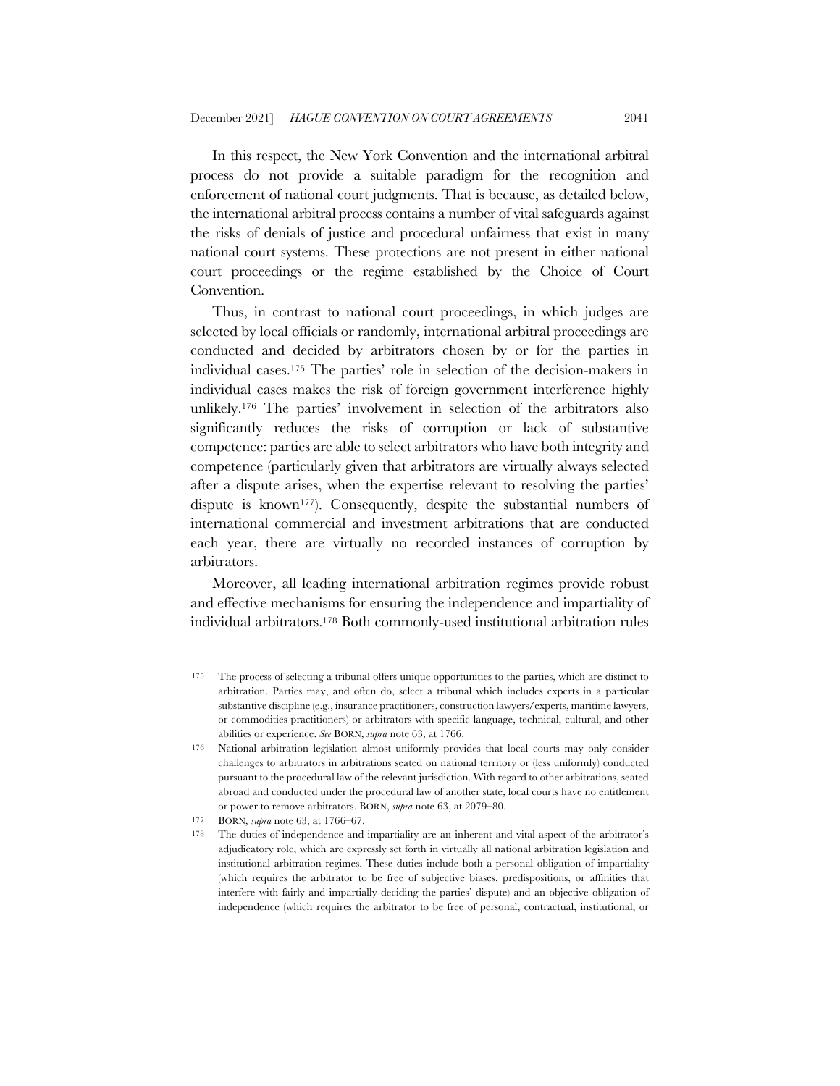In this respect, the New York Convention and the international arbitral process do not provide a suitable paradigm for the recognition and enforcement of national court judgments. That is because, as detailed below, the international arbitral process contains a number of vital safeguards against the risks of denials of justice and procedural unfairness that exist in many national court systems. These protections are not present in either national court proceedings or the regime established by the Choice of Court Convention.

Thus, in contrast to national court proceedings, in which judges are selected by local officials or randomly, international arbitral proceedings are conducted and decided by arbitrators chosen by or for the parties in individual cases.175 The parties' role in selection of the decision-makers in individual cases makes the risk of foreign government interference highly unlikely.176 The parties' involvement in selection of the arbitrators also significantly reduces the risks of corruption or lack of substantive competence: parties are able to select arbitrators who have both integrity and competence (particularly given that arbitrators are virtually always selected after a dispute arises, when the expertise relevant to resolving the parties' dispute is known<sup>177</sup>). Consequently, despite the substantial numbers of international commercial and investment arbitrations that are conducted each year, there are virtually no recorded instances of corruption by arbitrators.

Moreover, all leading international arbitration regimes provide robust and effective mechanisms for ensuring the independence and impartiality of individual arbitrators.178 Both commonly-used institutional arbitration rules

<sup>175</sup> The process of selecting a tribunal offers unique opportunities to the parties, which are distinct to arbitration. Parties may, and often do, select a tribunal which includes experts in a particular substantive discipline (e.g., insurance practitioners, construction lawyers/experts, maritime lawyers, or commodities practitioners) or arbitrators with specific language, technical, cultural, and other abilities or experience. *See* BORN, *supra* note 63, at 1766.

<sup>176</sup> National arbitration legislation almost uniformly provides that local courts may only consider challenges to arbitrators in arbitrations seated on national territory or (less uniformly) conducted pursuant to the procedural law of the relevant jurisdiction. With regard to other arbitrations, seated abroad and conducted under the procedural law of another state, local courts have no entitlement or power to remove arbitrators. BORN, *supra* note 63, at 2079–80.

<sup>177</sup> BORN, *supra* note 63, at 1766–67.

<sup>178</sup> The duties of independence and impartiality are an inherent and vital aspect of the arbitrator's adjudicatory role, which are expressly set forth in virtually all national arbitration legislation and institutional arbitration regimes. These duties include both a personal obligation of impartiality (which requires the arbitrator to be free of subjective biases, predispositions, or affinities that interfere with fairly and impartially deciding the parties' dispute) and an objective obligation of independence (which requires the arbitrator to be free of personal, contractual, institutional, or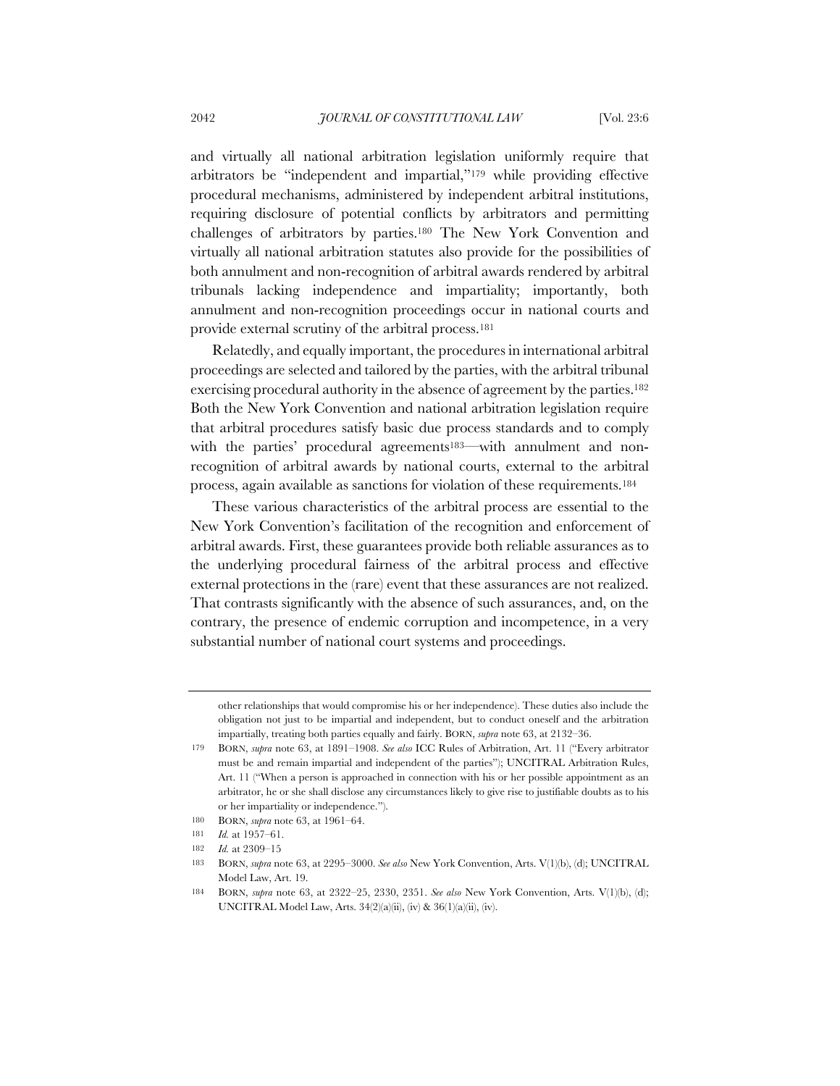and virtually all national arbitration legislation uniformly require that arbitrators be "independent and impartial,"179 while providing effective procedural mechanisms, administered by independent arbitral institutions, requiring disclosure of potential conflicts by arbitrators and permitting challenges of arbitrators by parties.180 The New York Convention and virtually all national arbitration statutes also provide for the possibilities of both annulment and non-recognition of arbitral awards rendered by arbitral tribunals lacking independence and impartiality; importantly, both annulment and non-recognition proceedings occur in national courts and provide external scrutiny of the arbitral process.181

Relatedly, and equally important, the procedures in international arbitral proceedings are selected and tailored by the parties, with the arbitral tribunal exercising procedural authority in the absence of agreement by the parties.182 Both the New York Convention and national arbitration legislation require that arbitral procedures satisfy basic due process standards and to comply with the parties' procedural agreements<sup>183—</sup>with annulment and nonrecognition of arbitral awards by national courts, external to the arbitral process, again available as sanctions for violation of these requirements.184

These various characteristics of the arbitral process are essential to the New York Convention's facilitation of the recognition and enforcement of arbitral awards. First, these guarantees provide both reliable assurances as to the underlying procedural fairness of the arbitral process and effective external protections in the (rare) event that these assurances are not realized. That contrasts significantly with the absence of such assurances, and, on the contrary, the presence of endemic corruption and incompetence, in a very substantial number of national court systems and proceedings.

other relationships that would compromise his or her independence). These duties also include the obligation not just to be impartial and independent, but to conduct oneself and the arbitration impartially, treating both parties equally and fairly. BORN, *supra* note 63, at 2132–36.

<sup>179</sup> BORN, *supra* note 63, at 1891–1908. *See also* ICC Rules of Arbitration, Art. 11 ("Every arbitrator must be and remain impartial and independent of the parties"); UNCITRAL Arbitration Rules, Art. 11 ("When a person is approached in connection with his or her possible appointment as an arbitrator, he or she shall disclose any circumstances likely to give rise to justifiable doubts as to his or her impartiality or independence.").

<sup>180</sup> BORN, *supra* note 63, at 1961–64.

<sup>181</sup> *Id.* at 1957–61.

<sup>182</sup> *Id.* at 2309–15

<sup>183</sup> BORN, *supra* note 63, at 2295–3000. *See also* New York Convention, Arts. V(1)(b), (d); UNCITRAL Model Law, Art. 19.

<sup>184</sup> BORN, *supra* note 63, at 2322–25, 2330, 2351. *See also* New York Convention, Arts. V(1)(b), (d); UNCITRAL Model Law, Arts. 34(2)(a)(ii), (iv) & 36(1)(a)(ii), (iv).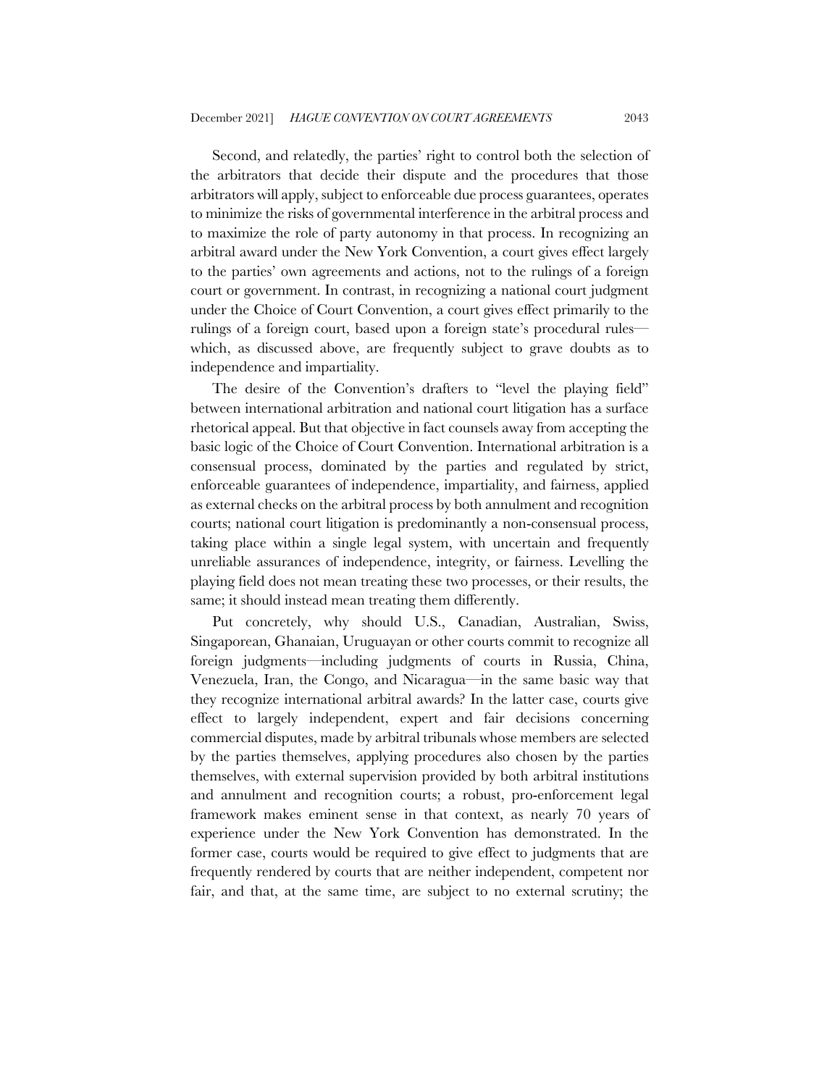Second, and relatedly, the parties' right to control both the selection of the arbitrators that decide their dispute and the procedures that those arbitrators will apply, subject to enforceable due process guarantees, operates to minimize the risks of governmental interference in the arbitral process and to maximize the role of party autonomy in that process. In recognizing an arbitral award under the New York Convention, a court gives effect largely to the parties' own agreements and actions, not to the rulings of a foreign court or government. In contrast, in recognizing a national court judgment under the Choice of Court Convention, a court gives effect primarily to the rulings of a foreign court, based upon a foreign state's procedural rules which, as discussed above, are frequently subject to grave doubts as to independence and impartiality.

The desire of the Convention's drafters to "level the playing field" between international arbitration and national court litigation has a surface rhetorical appeal. But that objective in fact counsels away from accepting the basic logic of the Choice of Court Convention. International arbitration is a consensual process, dominated by the parties and regulated by strict, enforceable guarantees of independence, impartiality, and fairness, applied as external checks on the arbitral process by both annulment and recognition courts; national court litigation is predominantly a non-consensual process, taking place within a single legal system, with uncertain and frequently unreliable assurances of independence, integrity, or fairness. Levelling the playing field does not mean treating these two processes, or their results, the same; it should instead mean treating them differently.

Put concretely, why should U.S., Canadian, Australian, Swiss, Singaporean, Ghanaian, Uruguayan or other courts commit to recognize all foreign judgments—including judgments of courts in Russia, China, Venezuela, Iran, the Congo, and Nicaragua—in the same basic way that they recognize international arbitral awards? In the latter case, courts give effect to largely independent, expert and fair decisions concerning commercial disputes, made by arbitral tribunals whose members are selected by the parties themselves, applying procedures also chosen by the parties themselves, with external supervision provided by both arbitral institutions and annulment and recognition courts; a robust, pro-enforcement legal framework makes eminent sense in that context, as nearly 70 years of experience under the New York Convention has demonstrated. In the former case, courts would be required to give effect to judgments that are frequently rendered by courts that are neither independent, competent nor fair, and that, at the same time, are subject to no external scrutiny; the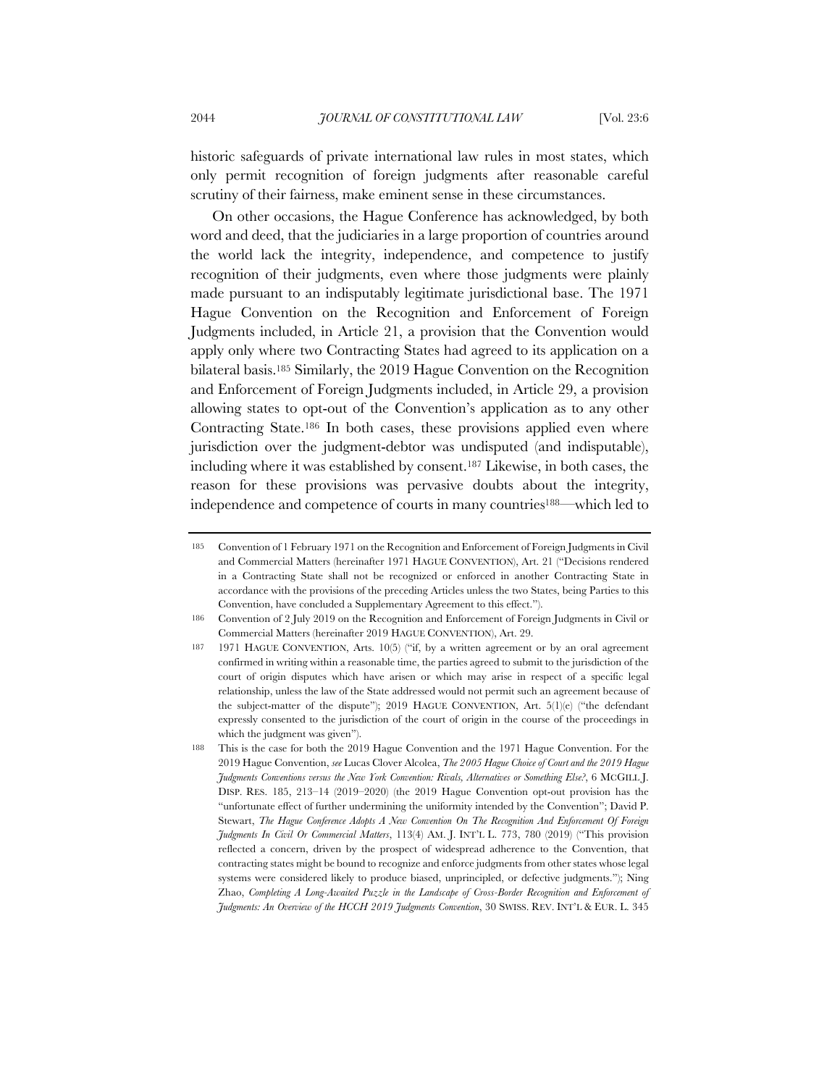historic safeguards of private international law rules in most states, which only permit recognition of foreign judgments after reasonable careful scrutiny of their fairness, make eminent sense in these circumstances.

On other occasions, the Hague Conference has acknowledged, by both word and deed, that the judiciaries in a large proportion of countries around the world lack the integrity, independence, and competence to justify recognition of their judgments, even where those judgments were plainly made pursuant to an indisputably legitimate jurisdictional base. The 1971 Hague Convention on the Recognition and Enforcement of Foreign Judgments included, in Article 21, a provision that the Convention would apply only where two Contracting States had agreed to its application on a bilateral basis.185 Similarly, the 2019 Hague Convention on the Recognition and Enforcement of Foreign Judgments included, in Article 29, a provision allowing states to opt-out of the Convention's application as to any other Contracting State.186 In both cases, these provisions applied even where jurisdiction over the judgment-debtor was undisputed (and indisputable), including where it was established by consent.187 Likewise, in both cases, the reason for these provisions was pervasive doubts about the integrity, independence and competence of courts in many countries188—which led to

<sup>185</sup> Convention of 1 February 1971 on the Recognition and Enforcement of Foreign Judgments in Civil and Commercial Matters (hereinafter 1971 HAGUE CONVENTION), Art. 21 ("Decisions rendered in a Contracting State shall not be recognized or enforced in another Contracting State in accordance with the provisions of the preceding Articles unless the two States, being Parties to this Convention, have concluded a Supplementary Agreement to this effect.").

<sup>186</sup> Convention of 2 July 2019 on the Recognition and Enforcement of Foreign Judgments in Civil or Commercial Matters (hereinafter 2019 HAGUE CONVENTION), Art. 29.

<sup>187</sup> 1971 HAGUE CONVENTION, Arts. 10(5) ("if, by a written agreement or by an oral agreement confirmed in writing within a reasonable time, the parties agreed to submit to the jurisdiction of the court of origin disputes which have arisen or which may arise in respect of a specific legal relationship, unless the law of the State addressed would not permit such an agreement because of the subject-matter of the dispute"); 2019 HAGUE CONVENTION, Art. 5(1)(e) ("the defendant expressly consented to the jurisdiction of the court of origin in the course of the proceedings in which the judgment was given").

<sup>188</sup> This is the case for both the 2019 Hague Convention and the 1971 Hague Convention. For the 2019 Hague Convention, *see* Lucas Clover Alcolea, *The 2005 Hague Choice of Court and the 2019 Hague Judgments Conventions versus the New York Convention: Rivals, Alternatives or Something Else?*, 6 MCGILL J. DISP. RES. 185, 213–14 (2019–2020) (the 2019 Hague Convention opt-out provision has the "unfortunate effect of further undermining the uniformity intended by the Convention"; David P. Stewart, *The Hague Conference Adopts A New Convention On The Recognition And Enforcement Of Foreign Judgments In Civil Or Commercial Matters*, 113(4) AM. J. INT'L L. 773, 780 (2019) ("This provision reflected a concern, driven by the prospect of widespread adherence to the Convention, that contracting states might be bound to recognize and enforce judgments from other states whose legal systems were considered likely to produce biased, unprincipled, or defective judgments."); Ning Zhao, *Completing A Long-Awaited Puzzle in the Landscape of Cross-Border Recognition and Enforcement of Judgments: An Overview of the HCCH 2019 Judgments Convention*, 30 SWISS. REV. INT'L & EUR. L. 345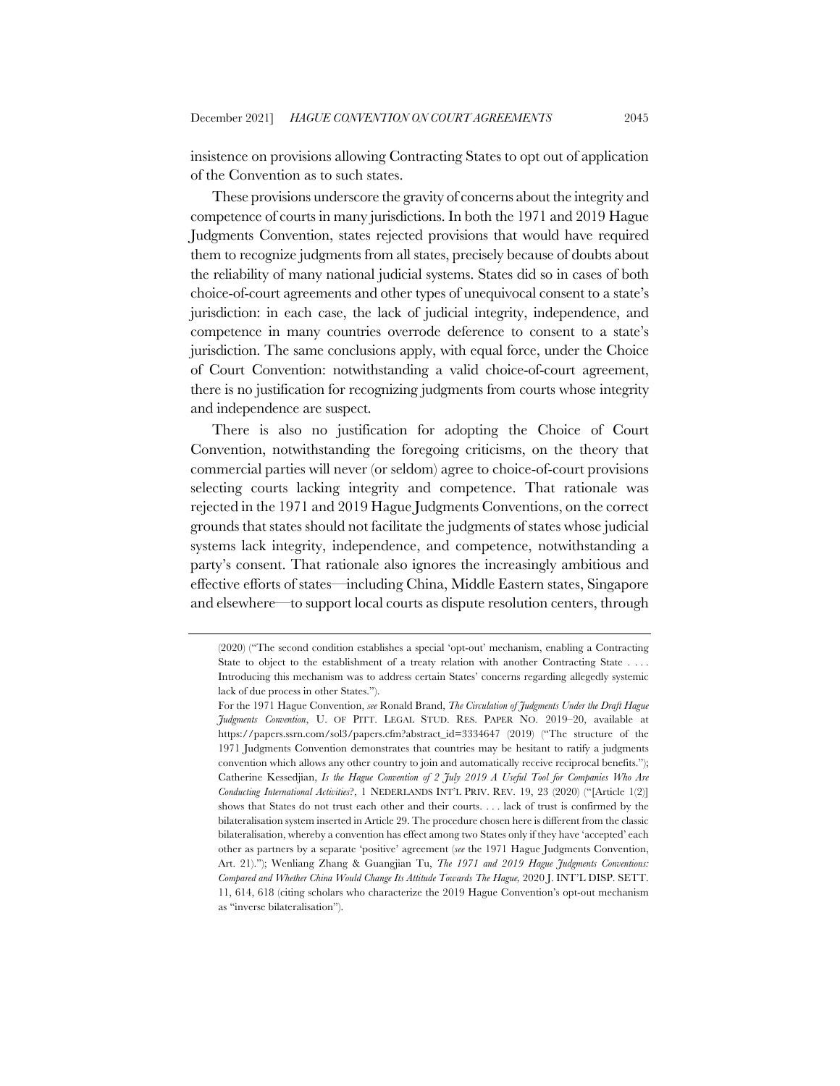insistence on provisions allowing Contracting States to opt out of application of the Convention as to such states.

These provisions underscore the gravity of concerns about the integrity and competence of courts in many jurisdictions. In both the 1971 and 2019 Hague Judgments Convention, states rejected provisions that would have required them to recognize judgments from all states, precisely because of doubts about the reliability of many national judicial systems. States did so in cases of both choice-of-court agreements and other types of unequivocal consent to a state's jurisdiction: in each case, the lack of judicial integrity, independence, and competence in many countries overrode deference to consent to a state's jurisdiction. The same conclusions apply, with equal force, under the Choice of Court Convention: notwithstanding a valid choice-of-court agreement, there is no justification for recognizing judgments from courts whose integrity and independence are suspect.

There is also no justification for adopting the Choice of Court Convention, notwithstanding the foregoing criticisms, on the theory that commercial parties will never (or seldom) agree to choice-of-court provisions selecting courts lacking integrity and competence. That rationale was rejected in the 1971 and 2019 Hague Judgments Conventions, on the correct grounds that states should not facilitate the judgments of states whose judicial systems lack integrity, independence, and competence, notwithstanding a party's consent. That rationale also ignores the increasingly ambitious and effective efforts of states—including China, Middle Eastern states, Singapore and elsewhere—to support local courts as dispute resolution centers, through

<sup>(2020) (&</sup>quot;The second condition establishes a special 'opt-out' mechanism, enabling a Contracting State to object to the establishment of a treaty relation with another Contracting State . . . . Introducing this mechanism was to address certain States' concerns regarding allegedly systemic lack of due process in other States.").

For the 1971 Hague Convention, *see* Ronald Brand, *The Circulation of Judgments Under the Draft Hague Judgments Convention*, U. OF PITT. LEGAL STUD. RES. PAPER NO. 2019–20, available at https://papers.ssrn.com/sol3/papers.cfm?abstract\_id=3334647 (2019) ("The structure of the 1971 Judgments Convention demonstrates that countries may be hesitant to ratify a judgments convention which allows any other country to join and automatically receive reciprocal benefits."); Catherine Kessedjian, *Is the Hague Convention of 2 July 2019 A Useful Tool for Companies Who Are Conducting International Activities*?, 1 NEDERLANDS INT'L PRIV. REV. 19, 23 (2020) ("[Article 1(2)] shows that States do not trust each other and their courts. . . . lack of trust is confirmed by the bilateralisation system inserted in Article 29. The procedure chosen here is different from the classic bilateralisation, whereby a convention has effect among two States only if they have 'accepted' each other as partners by a separate 'positive' agreement (*see* the 1971 Hague Judgments Convention, Art. 21)."); Wenliang Zhang & Guangjian Tu, *The 1971 and 2019 Hague Judgments Conventions: Compared and Whether China Would Change Its Attitude Towards The Hague,* 2020 J. INT'L DISP. SETT. 11, 614, 618 (citing scholars who characterize the 2019 Hague Convention's opt-out mechanism as "inverse bilateralisation").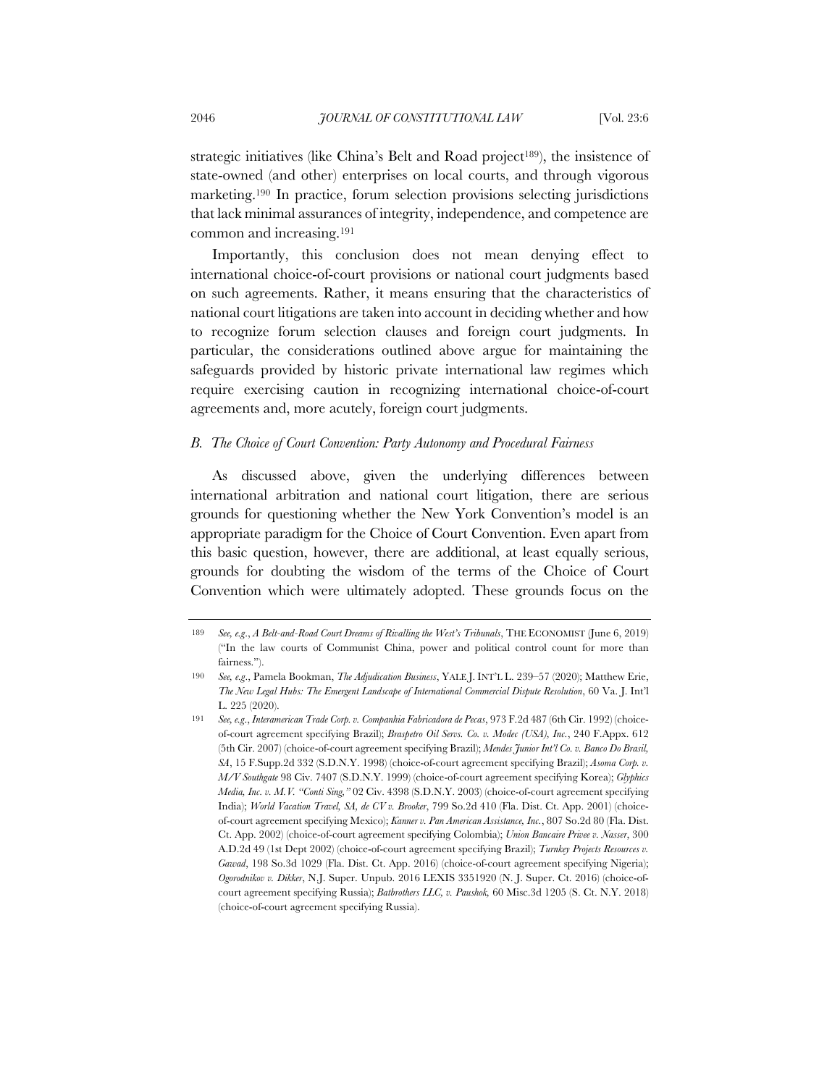strategic initiatives (like China's Belt and Road project189), the insistence of state-owned (and other) enterprises on local courts, and through vigorous marketing.190 In practice, forum selection provisions selecting jurisdictions that lack minimal assurances of integrity, independence, and competence are common and increasing.191

Importantly, this conclusion does not mean denying effect to international choice-of-court provisions or national court judgments based on such agreements. Rather, it means ensuring that the characteristics of national court litigations are taken into account in deciding whether and how to recognize forum selection clauses and foreign court judgments. In particular, the considerations outlined above argue for maintaining the safeguards provided by historic private international law regimes which require exercising caution in recognizing international choice-of-court agreements and, more acutely, foreign court judgments.

#### *B. The Choice of Court Convention: Party Autonomy and Procedural Fairness*

As discussed above, given the underlying differences between international arbitration and national court litigation, there are serious grounds for questioning whether the New York Convention's model is an appropriate paradigm for the Choice of Court Convention. Even apart from this basic question, however, there are additional, at least equally serious, grounds for doubting the wisdom of the terms of the Choice of Court Convention which were ultimately adopted. These grounds focus on the

<sup>189</sup> *See, e.g*., *A Belt-and-Road Court Dreams of Rivalling the West's Tribunals*, THE ECONOMIST (June 6, 2019) ("In the law courts of Communist China, power and political control count for more than fairness.").

<sup>190</sup> *See, e.g*., Pamela Bookman, *The Adjudication Business*, YALE J. INT'L L. 239–57 (2020); Matthew Erie, *The New Legal Hubs: The Emergent Landscape of International Commercial Dispute Resolution*, 60 Va. J. Int'l L. 225 (2020).

<sup>191</sup> *See, e.g*., *Interamerican Trade Corp. v. Companhia Fabricadora de Pecas*, 973 F.2d 487 (6th Cir. 1992) (choiceof-court agreement specifying Brazil); *Braspetro Oil Servs. Co. v. Modec (USA), Inc.*, 240 F.Appx. 612 (5th Cir. 2007) (choice-of-court agreement specifying Brazil); *Mendes Junior Int'l Co. v. Banco Do Brasil, SA*, 15 F.Supp.2d 332 (S.D.N.Y. 1998) (choice-of-court agreement specifying Brazil); *Asoma Corp. v. M/V Southgate* 98 Civ. 7407 (S.D.N.Y. 1999) (choice-of-court agreement specifying Korea); *Glyphics Media, Inc. v. M.V. "Conti Sing,"* 02 Civ. 4398 (S.D.N.Y. 2003) (choice-of-court agreement specifying India); *World Vacation Travel, SA, de CV v. Brooker*, 799 So.2d 410 (Fla. Dist. Ct. App. 2001) (choiceof-court agreement specifying Mexico); *Kanner v. Pan American Assistance, Inc.*, 807 So.2d 80 (Fla. Dist. Ct. App. 2002) (choice-of-court agreement specifying Colombia); *Union Bancaire Privee v. Nasser*, 300 A.D.2d 49 (1st Dept 2002) (choice-of-court agreement specifying Brazil); *Turnkey Projects Resources v. Gawad*, 198 So.3d 1029 (Fla. Dist. Ct. App. 2016) (choice-of-court agreement specifying Nigeria); *Ogorodnikov v. Dikker*, N.J. Super. Unpub. 2016 LEXIS 3351920 (N. J. Super. Ct. 2016) (choice-ofcourt agreement specifying Russia); *Batbrothers LLC, v. Paushok,* 60 Misc.3d 1205 (S. Ct. N.Y. 2018) (choice-of-court agreement specifying Russia).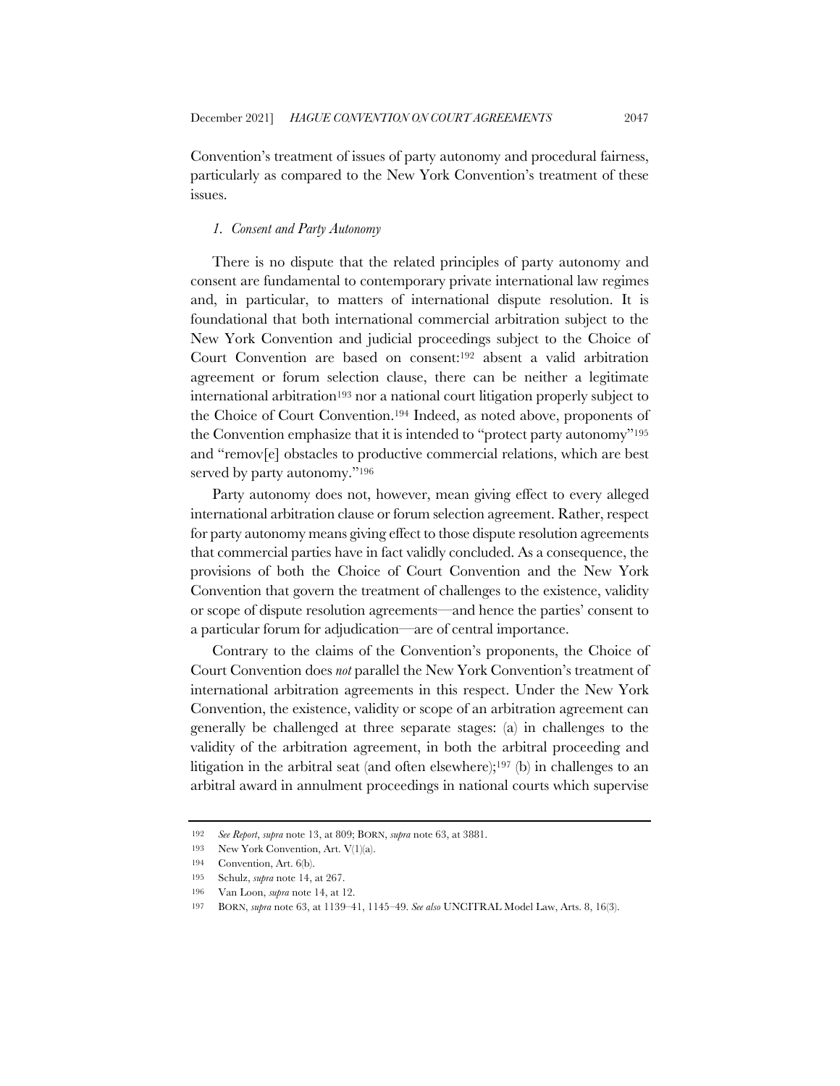Convention's treatment of issues of party autonomy and procedural fairness, particularly as compared to the New York Convention's treatment of these issues.

### *1. Consent and Party Autonomy*

There is no dispute that the related principles of party autonomy and consent are fundamental to contemporary private international law regimes and, in particular, to matters of international dispute resolution. It is foundational that both international commercial arbitration subject to the New York Convention and judicial proceedings subject to the Choice of Court Convention are based on consent:192 absent a valid arbitration agreement or forum selection clause, there can be neither a legitimate international arbitration<sup>193</sup> nor a national court litigation properly subject to the Choice of Court Convention.194 Indeed, as noted above, proponents of the Convention emphasize that it is intended to "protect party autonomy"195 and "remov[e] obstacles to productive commercial relations, which are best served by party autonomy."<sup>196</sup>

Party autonomy does not, however, mean giving effect to every alleged international arbitration clause or forum selection agreement. Rather, respect for party autonomy means giving effect to those dispute resolution agreements that commercial parties have in fact validly concluded. As a consequence, the provisions of both the Choice of Court Convention and the New York Convention that govern the treatment of challenges to the existence, validity or scope of dispute resolution agreements—and hence the parties' consent to a particular forum for adjudication—are of central importance.

Contrary to the claims of the Convention's proponents, the Choice of Court Convention does *not* parallel the New York Convention's treatment of international arbitration agreements in this respect. Under the New York Convention, the existence, validity or scope of an arbitration agreement can generally be challenged at three separate stages: (a) in challenges to the validity of the arbitration agreement, in both the arbitral proceeding and litigation in the arbitral seat (and often elsewhere);197 (b) in challenges to an arbitral award in annulment proceedings in national courts which supervise

<sup>192</sup> *See Report*, *supra* note 13, at 809; BORN, *supra* note 63, at 3881.

<sup>193</sup> New York Convention, Art. V(1)(a).

<sup>194</sup> Convention, Art. 6(b).

<sup>195</sup> Schulz, *supra* note 14, at 267.

<sup>196</sup> Van Loon, *supra* note 14, at 12.

<sup>197</sup> BORN, *supra* note 63, at 1139–41, 1145–49. *See also* UNCITRAL Model Law, Arts. 8, 16(3).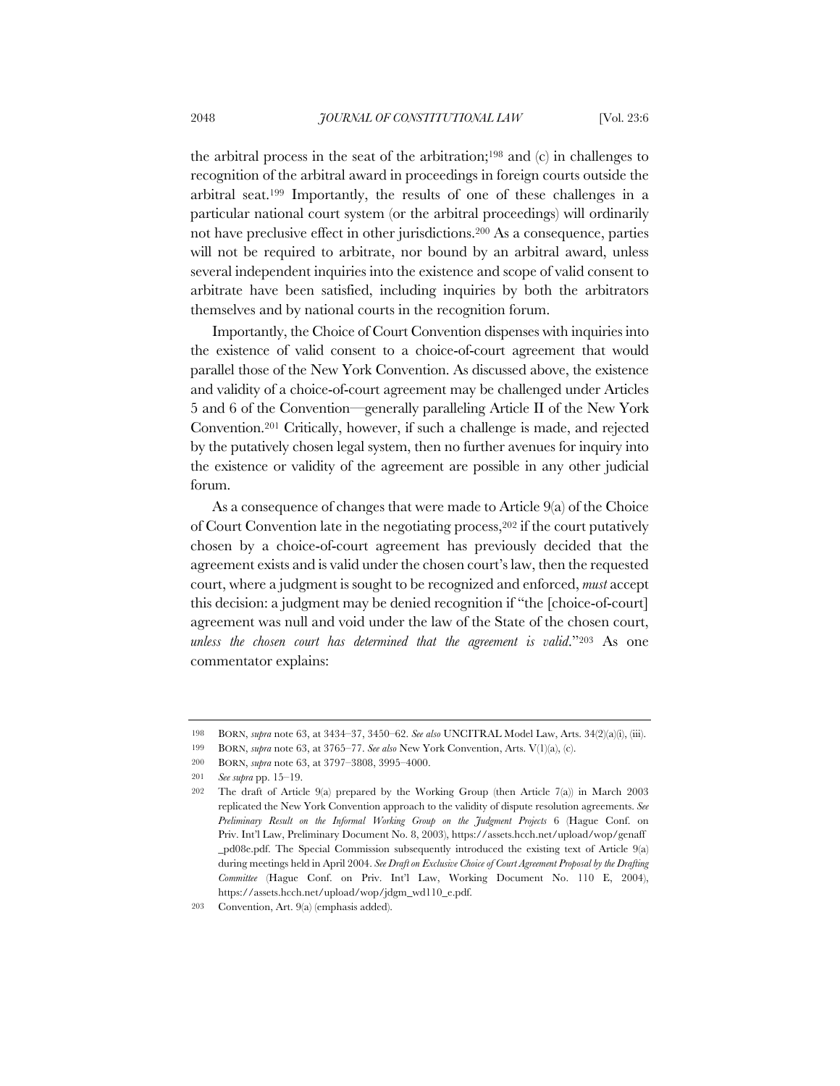the arbitral process in the seat of the arbitration;<sup>198</sup> and  $(c)$  in challenges to recognition of the arbitral award in proceedings in foreign courts outside the arbitral seat.199 Importantly, the results of one of these challenges in a particular national court system (or the arbitral proceedings) will ordinarily not have preclusive effect in other jurisdictions.200 As a consequence, parties will not be required to arbitrate, nor bound by an arbitral award, unless several independent inquiries into the existence and scope of valid consent to arbitrate have been satisfied, including inquiries by both the arbitrators themselves and by national courts in the recognition forum.

Importantly, the Choice of Court Convention dispenses with inquiries into the existence of valid consent to a choice-of-court agreement that would parallel those of the New York Convention. As discussed above, the existence and validity of a choice-of-court agreement may be challenged under Articles 5 and 6 of the Convention—generally paralleling Article II of the New York Convention.201 Critically, however, if such a challenge is made, and rejected by the putatively chosen legal system, then no further avenues for inquiry into the existence or validity of the agreement are possible in any other judicial forum.

As a consequence of changes that were made to Article 9(a) of the Choice of Court Convention late in the negotiating process,202 if the court putatively chosen by a choice-of-court agreement has previously decided that the agreement exists and is valid under the chosen court's law, then the requested court, where a judgment is sought to be recognized and enforced, *must* accept this decision: a judgment may be denied recognition if "the [choice-of-court] agreement was null and void under the law of the State of the chosen court, *unless the chosen court has determined that the agreement is valid*."203 As one commentator explains:

<sup>198</sup> BORN, *supra* note 63, at 3434–37, 3450–62. *See also* UNCITRAL Model Law, Arts. 34(2)(a)(i), (iii).

<sup>199</sup> BORN, *supra* note 63, at 3765–77. *See also* New York Convention, Arts. V(1)(a), (c).

<sup>200</sup> BORN, *supra* note 63, at 3797–3808, 3995–4000.

<sup>201</sup> *See supra* pp. 15–19.

<sup>202</sup> The draft of Article 9(a) prepared by the Working Group (then Article 7(a)) in March 2003 replicated the New York Convention approach to the validity of dispute resolution agreements. *See Preliminary Result on the Informal Working Group on the Judgment Projects* 6 (Hague Conf. on Priv. Int'l Law, Preliminary Document No. 8, 2003), https://assets.hcch.net/upload/wop/genaff \_pd08e.pdf. The Special Commission subsequently introduced the existing text of Article 9(a) during meetings held in April 2004. *See Draft on Exclusive Choice of Court Agreement Proposal by the Drafting Committee* (Hague Conf. on Priv. Int'l Law, Working Document No. 110 E, 2004), https://assets.hcch.net/upload/wop/jdgm\_wd110\_e.pdf.

<sup>203</sup> Convention, Art. 9(a) (emphasis added).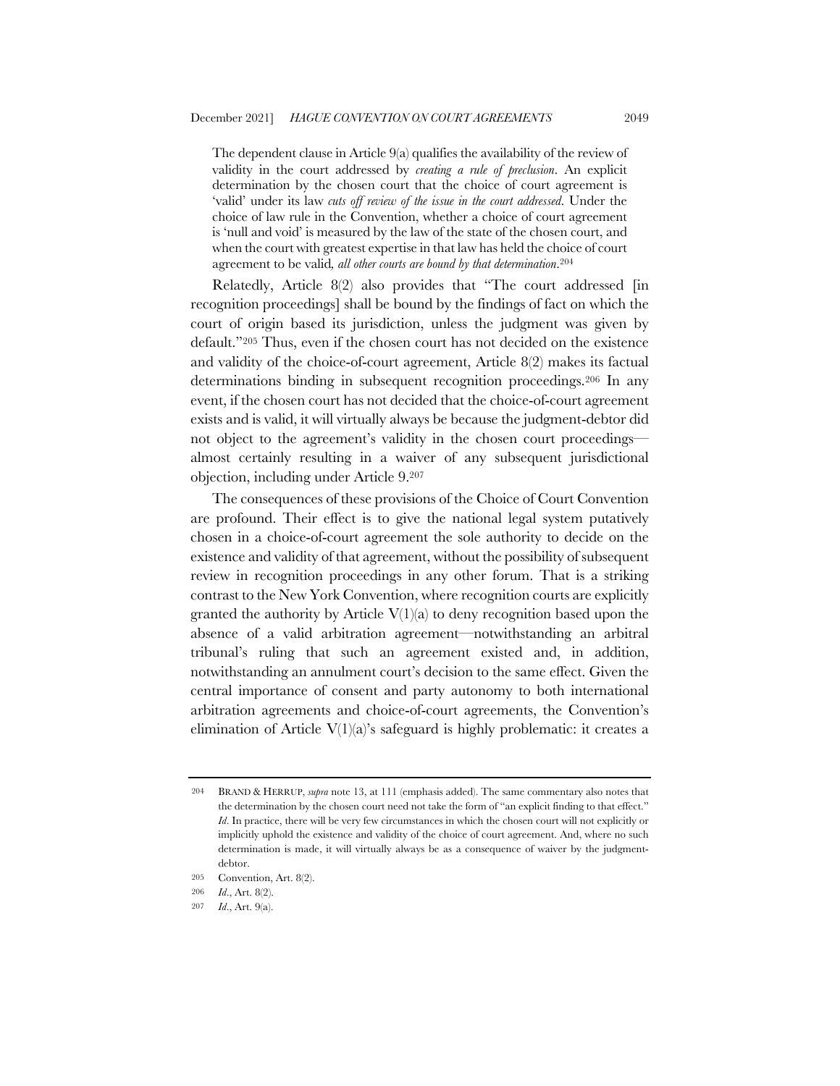The dependent clause in Article 9(a) qualifies the availability of the review of validity in the court addressed by *creating a rule of preclusion*. An explicit determination by the chosen court that the choice of court agreement is 'valid' under its law *cuts off review of the issue in the court addressed*. Under the choice of law rule in the Convention, whether a choice of court agreement is 'null and void' is measured by the law of the state of the chosen court, and when the court with greatest expertise in that law has held the choice of court agreement to be valid*, all other courts are bound by that determination*.204

Relatedly, Article 8(2) also provides that "The court addressed [in recognition proceedings] shall be bound by the findings of fact on which the court of origin based its jurisdiction, unless the judgment was given by default."205 Thus, even if the chosen court has not decided on the existence and validity of the choice-of-court agreement, Article 8(2) makes its factual determinations binding in subsequent recognition proceedings.206 In any event, if the chosen court has not decided that the choice-of-court agreement exists and is valid, it will virtually always be because the judgment-debtor did not object to the agreement's validity in the chosen court proceedings almost certainly resulting in a waiver of any subsequent jurisdictional objection, including under Article 9.207

The consequences of these provisions of the Choice of Court Convention are profound. Their effect is to give the national legal system putatively chosen in a choice-of-court agreement the sole authority to decide on the existence and validity of that agreement, without the possibility of subsequent review in recognition proceedings in any other forum. That is a striking contrast to the New York Convention, where recognition courts are explicitly granted the authority by Article  $V(1)(a)$  to deny recognition based upon the absence of a valid arbitration agreement—notwithstanding an arbitral tribunal's ruling that such an agreement existed and, in addition, notwithstanding an annulment court's decision to the same effect. Given the central importance of consent and party autonomy to both international arbitration agreements and choice-of-court agreements, the Convention's elimination of Article  $V(1)(a)$ 's safeguard is highly problematic: it creates a

<sup>204</sup> BRAND & HERRUP, *supra* note 13, at 111 (emphasis added). The same commentary also notes that the determination by the chosen court need not take the form of "an explicit finding to that effect." *Id*. In practice, there will be very few circumstances in which the chosen court will not explicitly or implicitly uphold the existence and validity of the choice of court agreement. And, where no such determination is made, it will virtually always be as a consequence of waiver by the judgmentdebtor.

<sup>205</sup> Convention, Art. 8(2).

<sup>206</sup> *Id*., Art. 8(2).

<sup>207</sup> *Id*., Art. 9(a).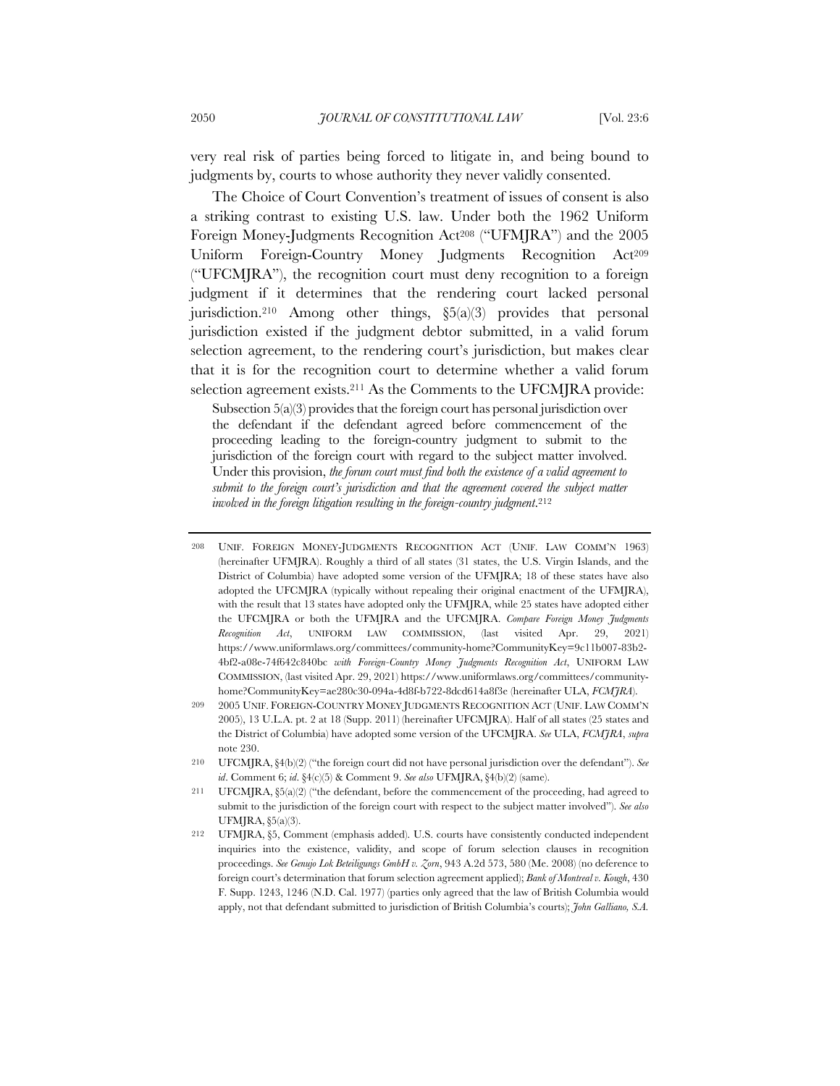very real risk of parties being forced to litigate in, and being bound to judgments by, courts to whose authority they never validly consented.

The Choice of Court Convention's treatment of issues of consent is also a striking contrast to existing U.S. law. Under both the 1962 Uniform Foreign Money-Judgments Recognition Act<sup>208</sup> ("UFMJRA") and the 2005 Uniform Foreign-Country Money Judgments Recognition Act209 ("UFCMJRA"), the recognition court must deny recognition to a foreign judgment if it determines that the rendering court lacked personal jurisdiction.<sup>210</sup> Among other things,  $\S5(a)(3)$  provides that personal jurisdiction existed if the judgment debtor submitted, in a valid forum selection agreement, to the rendering court's jurisdiction, but makes clear that it is for the recognition court to determine whether a valid forum selection agreement exists.211 As the Comments to the UFCMJRA provide:

Subsection 5(a)(3) provides that the foreign court has personal jurisdiction over the defendant if the defendant agreed before commencement of the proceeding leading to the foreign-country judgment to submit to the jurisdiction of the foreign court with regard to the subject matter involved. Under this provision, *the forum court must find both the existence of a valid agreement to submit to the foreign court's jurisdiction and that the agreement covered the subject matter involved in the foreign litigation resulting in the foreign-country judgment*.212

<sup>208</sup> UNIF. FOREIGN MONEY-JUDGMENTS RECOGNITION ACT (UNIF. LAW COMM'N 1963) (hereinafter UFMJRA). Roughly a third of all states (31 states, the U.S. Virgin Islands, and the District of Columbia) have adopted some version of the UFMJRA; 18 of these states have also adopted the UFCMJRA (typically without repealing their original enactment of the UFMJRA), with the result that 13 states have adopted only the UFMJRA, while 25 states have adopted either the UFCMJRA or both the UFMJRA and the UFCMJRA. *Compare Foreign Money Judgments Recognition Act*, UNIFORM LAW COMMISSION, (last visited Apr. 29, 2021) https://www.uniformlaws.org/committees/community-home?CommunityKey=9c11b007-83b2- 4bf2-a08e-74f642c840bc *with Foreign-Country Money Judgments Recognition Act*, UNIFORM LAW COMMISSION, (last visited Apr. 29, 2021) https://www.uniformlaws.org/committees/communityhome?CommunityKey=ae280c30-094a-4d8f-b722-8dcd614a8f3e (hereinafter ULA, *FCMJRA*).

<sup>209</sup> 2005 UNIF. FOREIGN-COUNTRY MONEY JUDGMENTS RECOGNITION ACT (UNIF. LAW COMM'N 2005), 13 U.L.A. pt. 2 at 18 (Supp. 2011) (hereinafter UFCMJRA). Half of all states (25 states and the District of Columbia) have adopted some version of the UFCMJRA. *See* ULA, *FCMJRA*, *supra* note 230.

<sup>210</sup> UFCMJRA,§4(b)(2) ("the foreign court did not have personal jurisdiction over the defendant"). *See id*. Comment 6; *id*. §4(c)(5) & Comment 9. *See also* UFMJRA, §4(b)(2) (same).

<sup>211</sup> UFCMJRA, §5(a)(2) ("the defendant, before the commencement of the proceeding, had agreed to submit to the jurisdiction of the foreign court with respect to the subject matter involved"). *See also*  UFMJRA, §5(a)(3).

<sup>212</sup> UFMJRA, §5, Comment (emphasis added). U.S. courts have consistently conducted independent inquiries into the existence, validity, and scope of forum selection clauses in recognition proceedings. *See Genujo Lok Beteiligungs GmbH v. Zorn*, 943 A.2d 573, 580 (Me. 2008) (no deference to foreign court's determination that forum selection agreement applied); *Bank of Montreal v. Kough*, 430 F. Supp. 1243, 1246 (N.D. Cal. 1977) (parties only agreed that the law of British Columbia would apply, not that defendant submitted to jurisdiction of British Columbia's courts); *John Galliano, S.A.*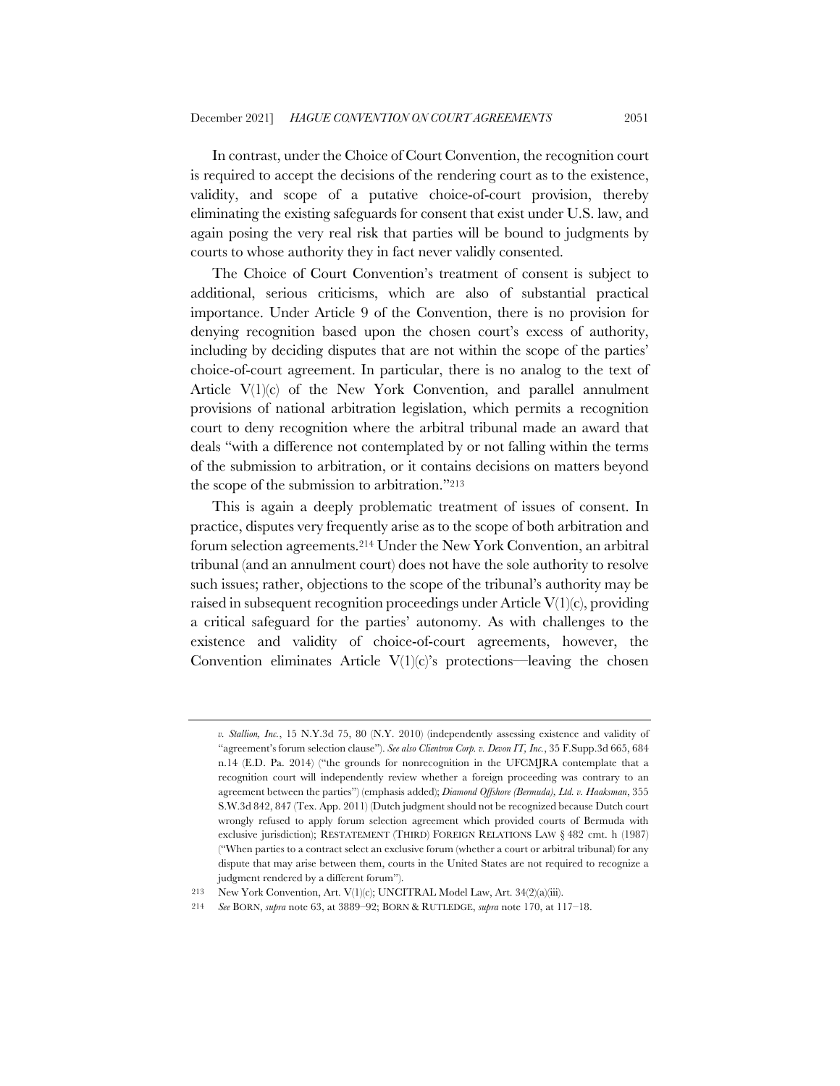In contrast, under the Choice of Court Convention, the recognition court is required to accept the decisions of the rendering court as to the existence, validity, and scope of a putative choice-of-court provision, thereby eliminating the existing safeguards for consent that exist under U.S. law, and again posing the very real risk that parties will be bound to judgments by courts to whose authority they in fact never validly consented.

The Choice of Court Convention's treatment of consent is subject to additional, serious criticisms, which are also of substantial practical importance. Under Article 9 of the Convention, there is no provision for denying recognition based upon the chosen court's excess of authority, including by deciding disputes that are not within the scope of the parties' choice-of-court agreement. In particular, there is no analog to the text of Article V(1)(c) of the New York Convention, and parallel annulment provisions of national arbitration legislation, which permits a recognition court to deny recognition where the arbitral tribunal made an award that deals "with a difference not contemplated by or not falling within the terms of the submission to arbitration, or it contains decisions on matters beyond the scope of the submission to arbitration."213

This is again a deeply problematic treatment of issues of consent. In practice, disputes very frequently arise as to the scope of both arbitration and forum selection agreements.214 Under the New York Convention, an arbitral tribunal (and an annulment court) does not have the sole authority to resolve such issues; rather, objections to the scope of the tribunal's authority may be raised in subsequent recognition proceedings under Article V(1)(c), providing a critical safeguard for the parties' autonomy. As with challenges to the existence and validity of choice-of-court agreements, however, the Convention eliminates Article  $V(1)(c)$ 's protections—leaving the chosen

*v. Stallion, Inc.*, 15 N.Y.3d 75, 80 (N.Y. 2010) (independently assessing existence and validity of "agreement's forum selection clause"). *See also Clientron Corp. v. Devon IT, Inc.*, 35 F.Supp.3d 665, 684 n.14 (E.D. Pa. 2014) ("the grounds for nonrecognition in the UFCMJRA contemplate that a recognition court will independently review whether a foreign proceeding was contrary to an agreement between the parties") (emphasis added); *Diamond Offshore (Bermuda), Ltd. v. Haaksman*, 355 S.W.3d 842, 847 (Tex. App. 2011) (Dutch judgment should not be recognized because Dutch court wrongly refused to apply forum selection agreement which provided courts of Bermuda with exclusive jurisdiction); RESTATEMENT (THIRD) FOREIGN RELATIONS LAW § 482 cmt. h (1987) ("When parties to a contract select an exclusive forum (whether a court or arbitral tribunal) for any dispute that may arise between them, courts in the United States are not required to recognize a judgment rendered by a different forum").

<sup>213</sup> New York Convention, Art. V(1)(c); UNCITRAL Model Law, Art. 34(2)(a)(iii).

<sup>214</sup> *See* BORN, *supra* note 63, at 3889–92; BORN & RUTLEDGE, *supra* note 170, at 117–18.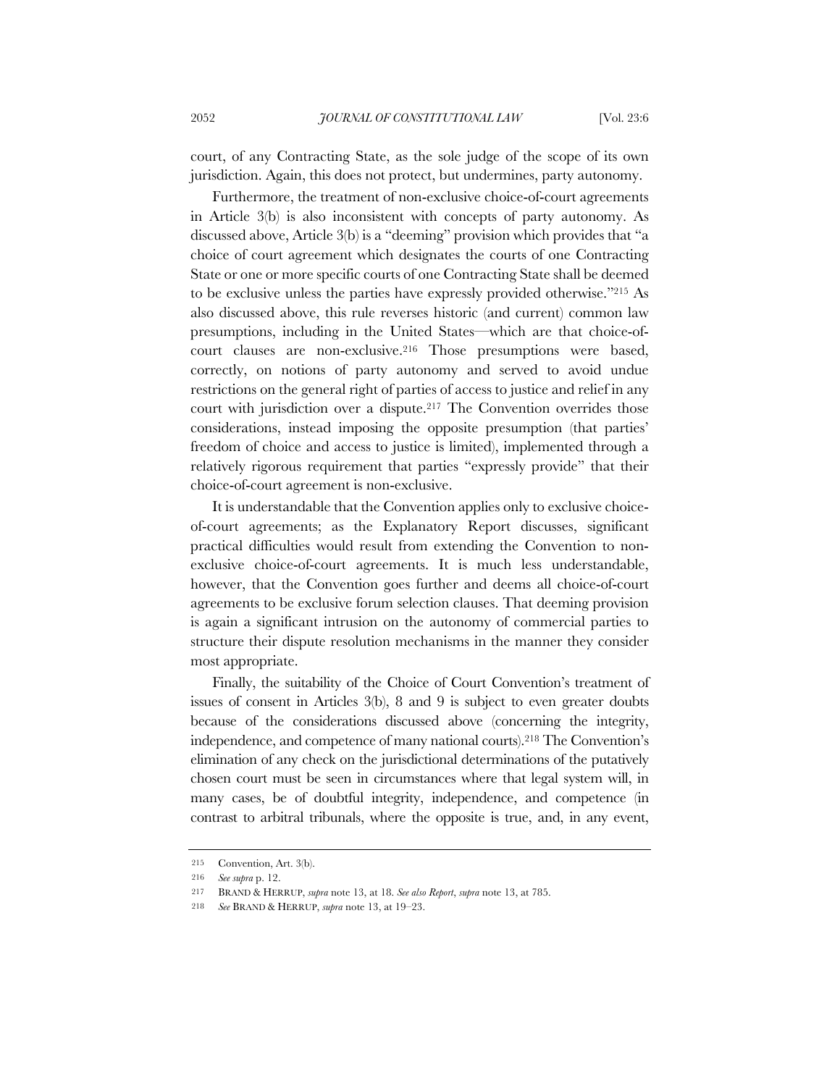court, of any Contracting State, as the sole judge of the scope of its own jurisdiction. Again, this does not protect, but undermines, party autonomy.

Furthermore, the treatment of non-exclusive choice-of-court agreements in Article 3(b) is also inconsistent with concepts of party autonomy. As discussed above, Article 3(b) is a "deeming" provision which provides that "a choice of court agreement which designates the courts of one Contracting State or one or more specific courts of one Contracting State shall be deemed to be exclusive unless the parties have expressly provided otherwise."215 As also discussed above, this rule reverses historic (and current) common law presumptions, including in the United States—which are that choice-ofcourt clauses are non-exclusive.216 Those presumptions were based, correctly, on notions of party autonomy and served to avoid undue restrictions on the general right of parties of access to justice and relief in any court with jurisdiction over a dispute.217 The Convention overrides those considerations, instead imposing the opposite presumption (that parties' freedom of choice and access to justice is limited), implemented through a relatively rigorous requirement that parties "expressly provide" that their choice-of-court agreement is non-exclusive.

It is understandable that the Convention applies only to exclusive choiceof-court agreements; as the Explanatory Report discusses, significant practical difficulties would result from extending the Convention to nonexclusive choice-of-court agreements. It is much less understandable, however, that the Convention goes further and deems all choice-of-court agreements to be exclusive forum selection clauses. That deeming provision is again a significant intrusion on the autonomy of commercial parties to structure their dispute resolution mechanisms in the manner they consider most appropriate.

Finally, the suitability of the Choice of Court Convention's treatment of issues of consent in Articles 3(b), 8 and 9 is subject to even greater doubts because of the considerations discussed above (concerning the integrity, independence, and competence of many national courts).218 The Convention's elimination of any check on the jurisdictional determinations of the putatively chosen court must be seen in circumstances where that legal system will, in many cases, be of doubtful integrity, independence, and competence (in contrast to arbitral tribunals, where the opposite is true, and, in any event,

<sup>215</sup> Convention, Art. 3(b).

<sup>216</sup> *See supra* p. 12.

<sup>217</sup> BRAND & HERRUP, *supra* note 13, at 18. *See also Report*, *supra* note 13, at 785.

<sup>218</sup> *See* BRAND & HERRUP, *supra* note 13, at 19–23.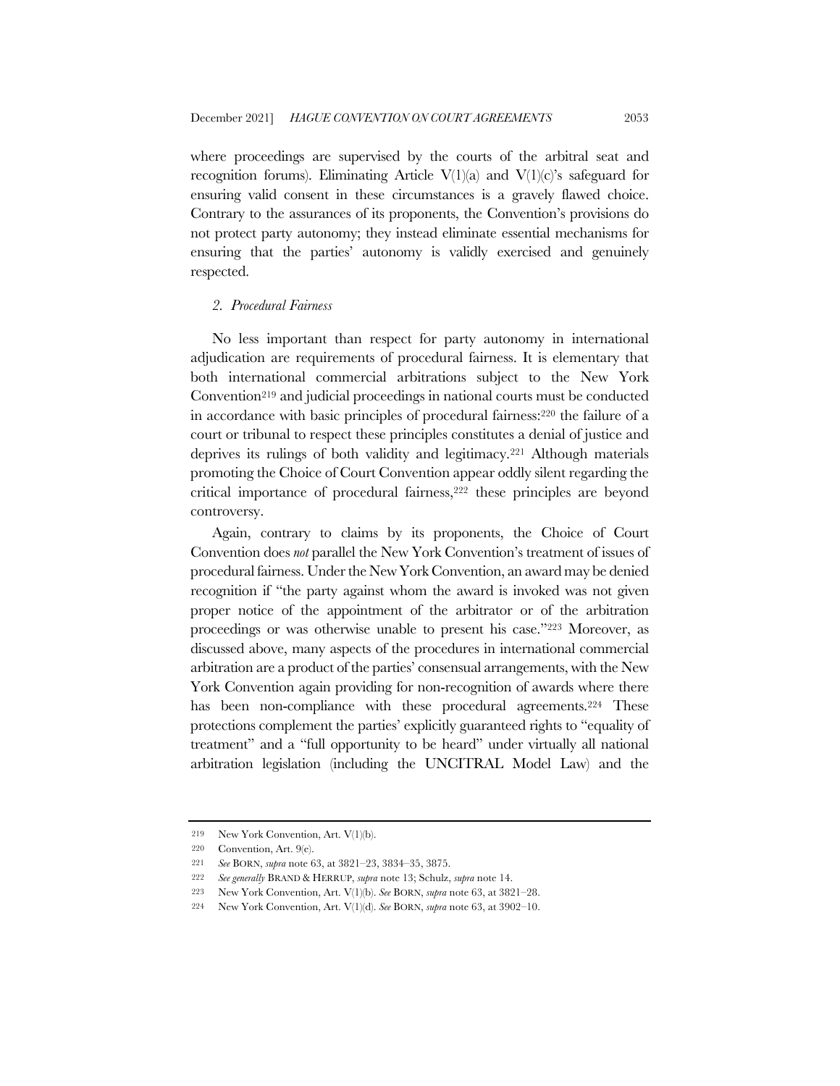where proceedings are supervised by the courts of the arbitral seat and recognition forums). Eliminating Article  $V(1)(a)$  and  $V(1)(c)$ 's safeguard for ensuring valid consent in these circumstances is a gravely flawed choice. Contrary to the assurances of its proponents, the Convention's provisions do not protect party autonomy; they instead eliminate essential mechanisms for ensuring that the parties' autonomy is validly exercised and genuinely respected.

#### *2. Procedural Fairness*

No less important than respect for party autonomy in international adjudication are requirements of procedural fairness. It is elementary that both international commercial arbitrations subject to the New York Convention219 and judicial proceedings in national courts must be conducted in accordance with basic principles of procedural fairness:220 the failure of a court or tribunal to respect these principles constitutes a denial of justice and deprives its rulings of both validity and legitimacy.221 Although materials promoting the Choice of Court Convention appear oddly silent regarding the critical importance of procedural fairness,222 these principles are beyond controversy.

Again, contrary to claims by its proponents, the Choice of Court Convention does *not* parallel the New York Convention's treatment of issues of procedural fairness. Under the New York Convention, an award may be denied recognition if "the party against whom the award is invoked was not given proper notice of the appointment of the arbitrator or of the arbitration proceedings or was otherwise unable to present his case."223 Moreover, as discussed above, many aspects of the procedures in international commercial arbitration are a product of the parties' consensual arrangements, with the New York Convention again providing for non-recognition of awards where there has been non-compliance with these procedural agreements.<sup>224</sup> These protections complement the parties' explicitly guaranteed rights to "equality of treatment" and a "full opportunity to be heard" under virtually all national arbitration legislation (including the UNCITRAL Model Law) and the

<sup>219</sup> New York Convention, Art. V(1)(b).

<sup>220</sup> Convention, Art. 9(e).

<sup>221</sup> *See* BORN, *supra* note 63, at 3821–23, 3834–35, 3875.

<sup>222</sup> *See generally* BRAND & HERRUP, *supra* note 13; Schulz, *supra* note 14.

<sup>223</sup> New York Convention, Art. V(1)(b). *See* BORN, *supra* note 63, at 3821–28.

<sup>224</sup> New York Convention, Art. V(1)(d). *See* BORN, *supra* note 63, at 3902–10.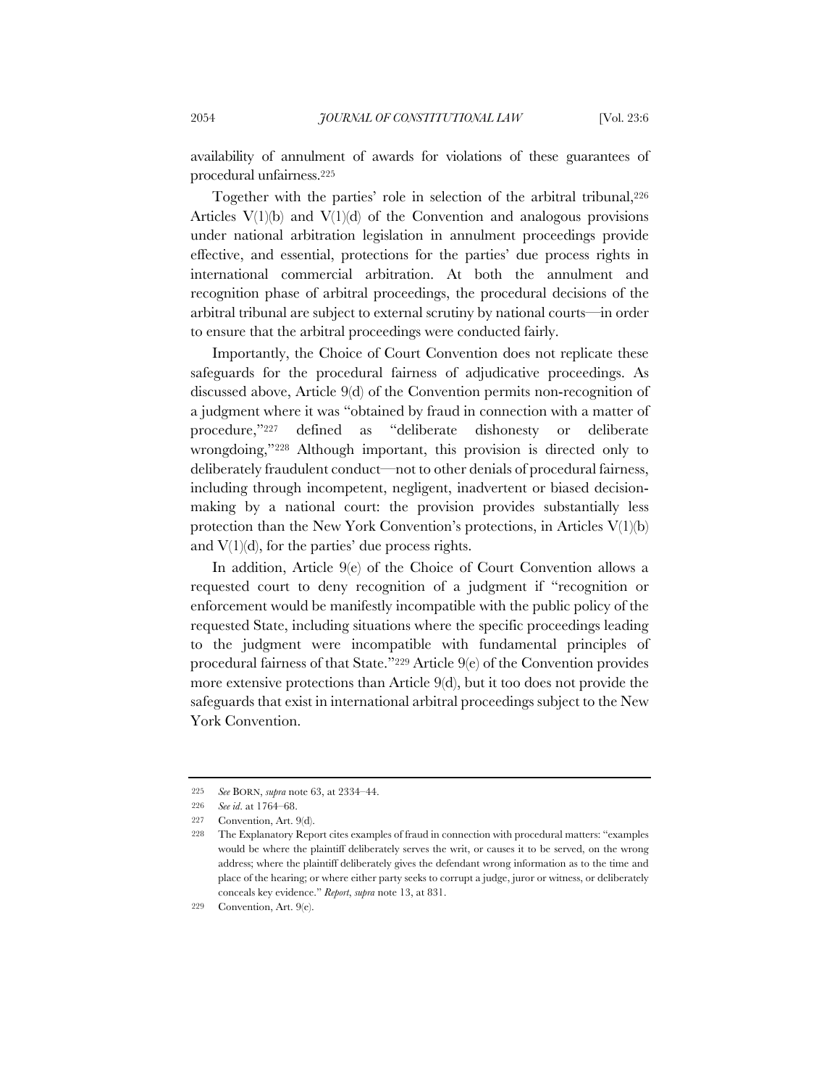availability of annulment of awards for violations of these guarantees of procedural unfairness.225

Together with the parties' role in selection of the arbitral tribunal,226 Articles  $V(1)(b)$  and  $V(1)(d)$  of the Convention and analogous provisions under national arbitration legislation in annulment proceedings provide effective, and essential, protections for the parties' due process rights in international commercial arbitration. At both the annulment and recognition phase of arbitral proceedings, the procedural decisions of the arbitral tribunal are subject to external scrutiny by national courts—in order to ensure that the arbitral proceedings were conducted fairly.

Importantly, the Choice of Court Convention does not replicate these safeguards for the procedural fairness of adjudicative proceedings. As discussed above, Article 9(d) of the Convention permits non-recognition of a judgment where it was "obtained by fraud in connection with a matter of procedure,"227 defined as "deliberate dishonesty or deliberate wrongdoing,"228 Although important, this provision is directed only to deliberately fraudulent conduct—not to other denials of procedural fairness, including through incompetent, negligent, inadvertent or biased decisionmaking by a national court: the provision provides substantially less protection than the New York Convention's protections, in Articles V(1)(b) and  $V(1)(d)$ , for the parties' due process rights.

In addition, Article 9(e) of the Choice of Court Convention allows a requested court to deny recognition of a judgment if "recognition or enforcement would be manifestly incompatible with the public policy of the requested State, including situations where the specific proceedings leading to the judgment were incompatible with fundamental principles of procedural fairness of that State."229 Article 9(e) of the Convention provides more extensive protections than Article 9(d), but it too does not provide the safeguards that exist in international arbitral proceedings subject to the New York Convention.

<sup>225</sup> *See* BORN, *supra* note 63, at 2334–44.

<sup>226</sup> *See id*. at 1764–68.

<sup>227</sup> Convention, Art. 9(d).

<sup>228</sup> The Explanatory Report cites examples of fraud in connection with procedural matters: "examples would be where the plaintiff deliberately serves the writ, or causes it to be served, on the wrong address; where the plaintiff deliberately gives the defendant wrong information as to the time and place of the hearing; or where either party seeks to corrupt a judge, juror or witness, or deliberately conceals key evidence." *Report*, *supra* note 13, at 831.

<sup>229</sup> Convention, Art. 9(e).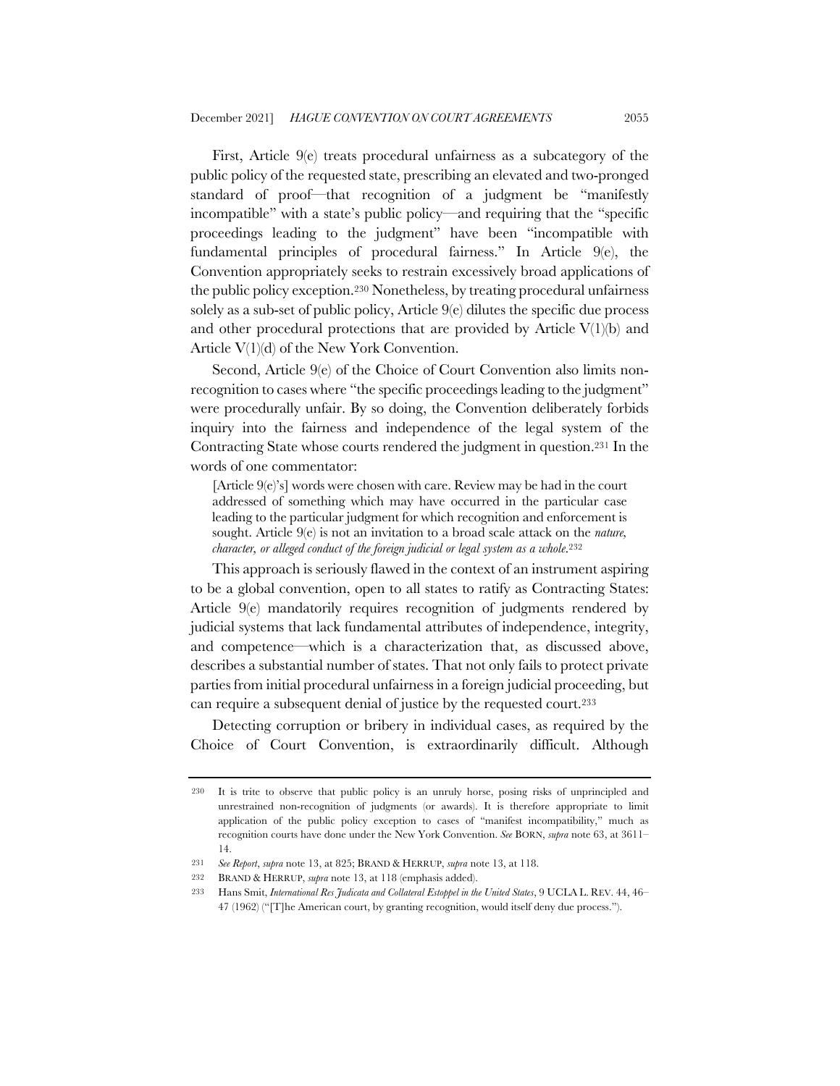First, Article 9(e) treats procedural unfairness as a subcategory of the public policy of the requested state, prescribing an elevated and two-pronged standard of proof—that recognition of a judgment be "manifestly incompatible" with a state's public policy—and requiring that the "specific proceedings leading to the judgment" have been "incompatible with fundamental principles of procedural fairness." In Article 9(e), the Convention appropriately seeks to restrain excessively broad applications of the public policy exception.230 Nonetheless, by treating procedural unfairness solely as a sub-set of public policy, Article 9(e) dilutes the specific due process and other procedural protections that are provided by Article  $V(1)(b)$  and Article V(1)(d) of the New York Convention.

Second, Article 9(e) of the Choice of Court Convention also limits nonrecognition to cases where "the specific proceedings leading to the judgment" were procedurally unfair. By so doing, the Convention deliberately forbids inquiry into the fairness and independence of the legal system of the Contracting State whose courts rendered the judgment in question.231 In the words of one commentator:

[Article 9(e)'s] words were chosen with care. Review may be had in the court addressed of something which may have occurred in the particular case leading to the particular judgment for which recognition and enforcement is sought. Article 9(e) is not an invitation to a broad scale attack on the *nature, character, or alleged conduct of the foreign judicial or legal system as a whole*.<sup>232</sup>

This approach is seriously flawed in the context of an instrument aspiring to be a global convention, open to all states to ratify as Contracting States: Article 9(e) mandatorily requires recognition of judgments rendered by judicial systems that lack fundamental attributes of independence, integrity, and competence—which is a characterization that, as discussed above, describes a substantial number of states. That not only fails to protect private parties from initial procedural unfairness in a foreign judicial proceeding, but can require a subsequent denial of justice by the requested court.233

Detecting corruption or bribery in individual cases, as required by the Choice of Court Convention, is extraordinarily difficult. Although

<sup>230</sup> It is trite to observe that public policy is an unruly horse, posing risks of unprincipled and unrestrained non-recognition of judgments (or awards). It is therefore appropriate to limit application of the public policy exception to cases of "manifest incompatibility," much as recognition courts have done under the New York Convention. *See* BORN, *supra* note 63, at 3611– 14.

<sup>231</sup> *See Report*, *supra* note 13, at 825; BRAND & HERRUP, *supra* note 13, at 118.

<sup>232</sup> BRAND & HERRUP, *supra* note 13, at 118 (emphasis added).

<sup>233</sup> Hans Smit, *International Res Judicata and Collateral Estoppel in the United States*, 9 UCLA L. REV. 44, 46– 47 (1962) ("[T]he American court, by granting recognition, would itself deny due process.").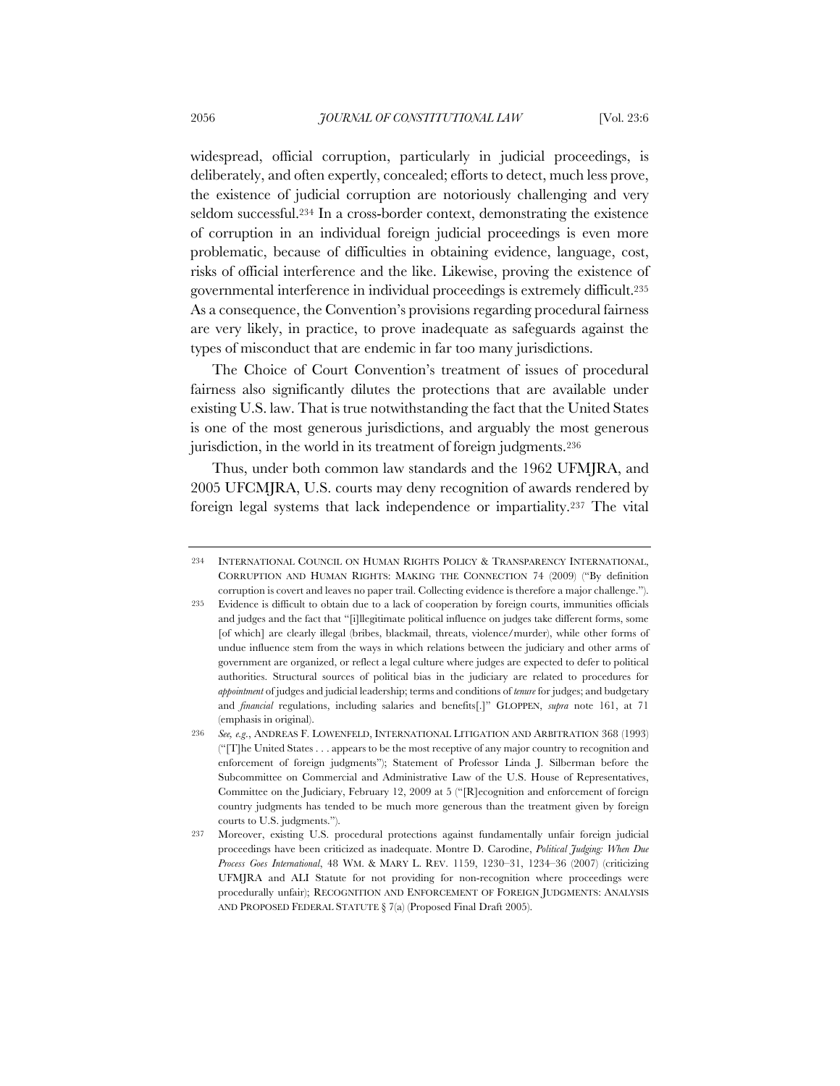widespread, official corruption, particularly in judicial proceedings, is deliberately, and often expertly, concealed; efforts to detect, much less prove, the existence of judicial corruption are notoriously challenging and very seldom successful.234 In a cross-border context, demonstrating the existence of corruption in an individual foreign judicial proceedings is even more problematic, because of difficulties in obtaining evidence, language, cost, risks of official interference and the like. Likewise, proving the existence of governmental interference in individual proceedings is extremely difficult.235 As a consequence, the Convention's provisions regarding procedural fairness are very likely, in practice, to prove inadequate as safeguards against the types of misconduct that are endemic in far too many jurisdictions.

The Choice of Court Convention's treatment of issues of procedural fairness also significantly dilutes the protections that are available under existing U.S. law. That is true notwithstanding the fact that the United States is one of the most generous jurisdictions, and arguably the most generous jurisdiction, in the world in its treatment of foreign judgments.<sup>236</sup>

Thus, under both common law standards and the 1962 UFMJRA, and 2005 UFCMJRA, U.S. courts may deny recognition of awards rendered by foreign legal systems that lack independence or impartiality.237 The vital

<sup>234</sup> INTERNATIONAL COUNCIL ON HUMAN RIGHTS POLICY & TRANSPARENCY INTERNATIONAL, CORRUPTION AND HUMAN RIGHTS: MAKING THE CONNECTION 74 (2009) ("By definition corruption is covert and leaves no paper trail. Collecting evidence is therefore a major challenge.").

<sup>235</sup> Evidence is difficult to obtain due to a lack of cooperation by foreign courts, immunities officials and judges and the fact that "[i]llegitimate political influence on judges take different forms, some [of which] are clearly illegal (bribes, blackmail, threats, violence/murder), while other forms of undue influence stem from the ways in which relations between the judiciary and other arms of government are organized, or reflect a legal culture where judges are expected to defer to political authorities. Structural sources of political bias in the judiciary are related to procedures for *appointment* of judges and judicial leadership; terms and conditions of *tenure* for judges; and budgetary and *financial* regulations, including salaries and benefits[.]" GLOPPEN, *supra* note 161, at 71 (emphasis in original).

<sup>236</sup> *See, e.g*., ANDREAS F. LOWENFELD, INTERNATIONAL LITIGATION AND ARBITRATION 368 (1993) ("[T]he United States . . . appears to be the most receptive of any major country to recognition and enforcement of foreign judgments"); Statement of Professor Linda J. Silberman before the Subcommittee on Commercial and Administrative Law of the U.S. House of Representatives, Committee on the Judiciary, February 12, 2009 at 5 ("[R]ecognition and enforcement of foreign country judgments has tended to be much more generous than the treatment given by foreign courts to U.S. judgments.").

<sup>237</sup> Moreover, existing U.S. procedural protections against fundamentally unfair foreign judicial proceedings have been criticized as inadequate. Montre D. Carodine, *Political Judging: When Due Process Goes International*, 48 WM. & MARY L. REV. 1159, 1230–31, 1234–36 (2007) (criticizing UFMJRA and ALI Statute for not providing for non-recognition where proceedings were procedurally unfair); RECOGNITION AND ENFORCEMENT OF FOREIGN JUDGMENTS: ANALYSIS AND PROPOSED FEDERAL STATUTE § 7(a) (Proposed Final Draft 2005).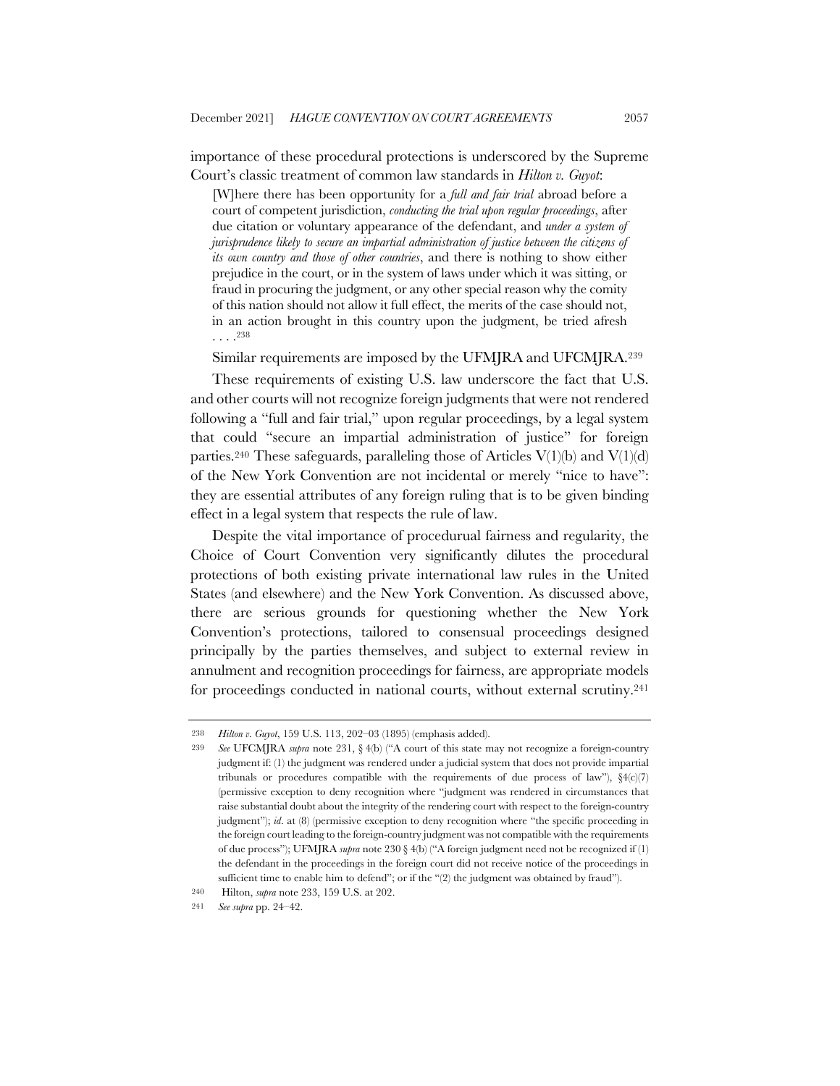importance of these procedural protections is underscored by the Supreme Court's classic treatment of common law standards in *Hilton v. Guyot*:

[W]here there has been opportunity for a *full and fair trial* abroad before a court of competent jurisdiction, *conducting the trial upon regular proceedings*, after due citation or voluntary appearance of the defendant, and *under a system of jurisprudence likely to secure an impartial administration of justice between the citizens of its own country and those of other countries*, and there is nothing to show either prejudice in the court, or in the system of laws under which it was sitting, or fraud in procuring the judgment, or any other special reason why the comity of this nation should not allow it full effect, the merits of the case should not, in an action brought in this country upon the judgment, be tried afresh  $\ldots$ <sup>238</sup>

Similar requirements are imposed by the UFMJRA and UFCMJRA.239

These requirements of existing U.S. law underscore the fact that U.S. and other courts will not recognize foreign judgments that were not rendered following a "full and fair trial," upon regular proceedings, by a legal system that could "secure an impartial administration of justice" for foreign parties.<sup>240</sup> These safeguards, paralleling those of Articles  $V(1)(b)$  and  $V(1)(d)$ of the New York Convention are not incidental or merely "nice to have": they are essential attributes of any foreign ruling that is to be given binding effect in a legal system that respects the rule of law.

Despite the vital importance of procedurual fairness and regularity, the Choice of Court Convention very significantly dilutes the procedural protections of both existing private international law rules in the United States (and elsewhere) and the New York Convention. As discussed above, there are serious grounds for questioning whether the New York Convention's protections, tailored to consensual proceedings designed principally by the parties themselves, and subject to external review in annulment and recognition proceedings for fairness, are appropriate models for proceedings conducted in national courts, without external scrutiny.241

<sup>238</sup> *Hilton v. Guyot*, 159 U.S. 113, 202–03 (1895) (emphasis added).

<sup>239</sup> *See* UFCMJRA *supra* note 231, § 4(b) ("A court of this state may not recognize a foreign-country judgment if: (1) the judgment was rendered under a judicial system that does not provide impartial tribunals or procedures compatible with the requirements of due process of law"),  $\S(1c)(7)$ (permissive exception to deny recognition where "judgment was rendered in circumstances that raise substantial doubt about the integrity of the rendering court with respect to the foreign-country judgment"); *id*. at (8) (permissive exception to deny recognition where "the specific proceeding in the foreign court leading to the foreign-country judgment was not compatible with the requirements of due process"); UFMJRA *supra* note 230 § 4(b) ("A foreign judgment need not be recognized if (1) the defendant in the proceedings in the foreign court did not receive notice of the proceedings in sufficient time to enable him to defend"; or if the "(2) the judgment was obtained by fraud").

<sup>240</sup> Hilton, *supra* note 233, 159 U.S. at 202.

<sup>241</sup> *See supra* pp. 24–42.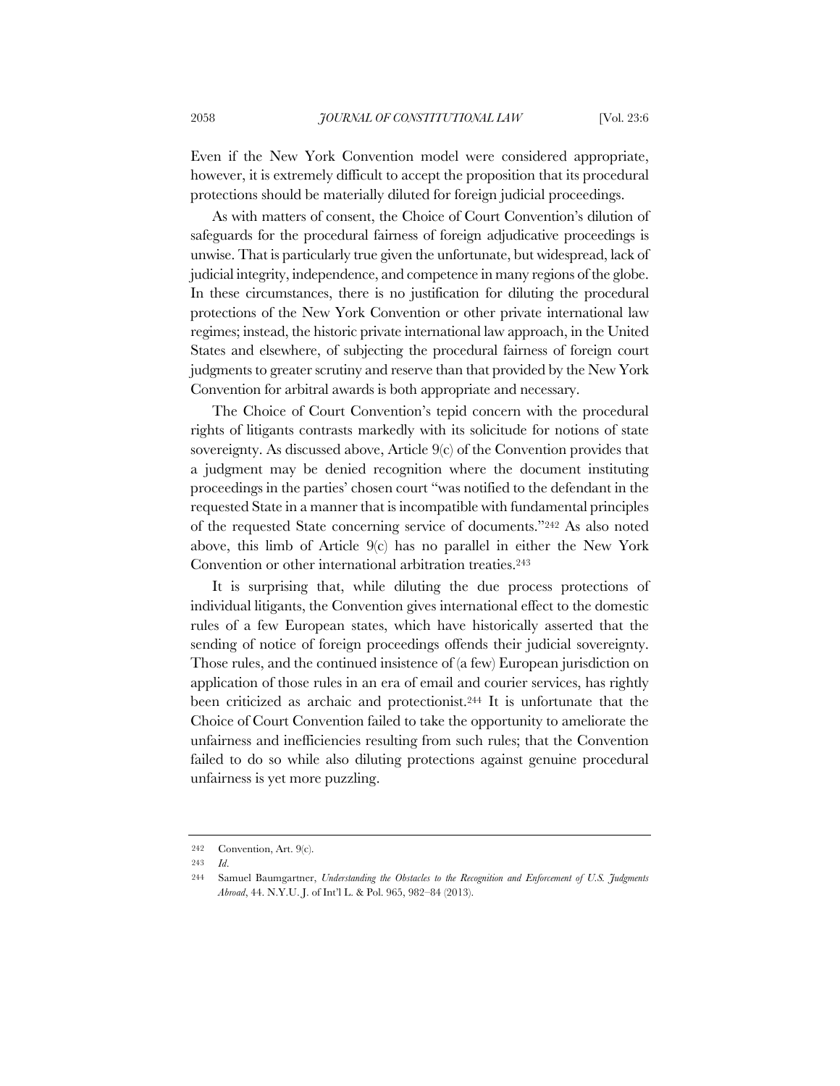Even if the New York Convention model were considered appropriate, however, it is extremely difficult to accept the proposition that its procedural protections should be materially diluted for foreign judicial proceedings.

As with matters of consent, the Choice of Court Convention's dilution of safeguards for the procedural fairness of foreign adjudicative proceedings is unwise. That is particularly true given the unfortunate, but widespread, lack of judicial integrity, independence, and competence in many regions of the globe. In these circumstances, there is no justification for diluting the procedural protections of the New York Convention or other private international law regimes; instead, the historic private international law approach, in the United States and elsewhere, of subjecting the procedural fairness of foreign court judgments to greater scrutiny and reserve than that provided by the New York Convention for arbitral awards is both appropriate and necessary.

The Choice of Court Convention's tepid concern with the procedural rights of litigants contrasts markedly with its solicitude for notions of state sovereignty. As discussed above, Article 9(c) of the Convention provides that a judgment may be denied recognition where the document instituting proceedings in the parties' chosen court "was notified to the defendant in the requested State in a manner that is incompatible with fundamental principles of the requested State concerning service of documents."242 As also noted above, this limb of Article 9(c) has no parallel in either the New York Convention or other international arbitration treaties.243

It is surprising that, while diluting the due process protections of individual litigants, the Convention gives international effect to the domestic rules of a few European states, which have historically asserted that the sending of notice of foreign proceedings offends their judicial sovereignty. Those rules, and the continued insistence of (a few) European jurisdiction on application of those rules in an era of email and courier services, has rightly been criticized as archaic and protectionist.244 It is unfortunate that the Choice of Court Convention failed to take the opportunity to ameliorate the unfairness and inefficiencies resulting from such rules; that the Convention failed to do so while also diluting protections against genuine procedural unfairness is yet more puzzling.

<sup>242</sup> Convention, Art. 9(c).

<sup>243</sup> *Id*.

<sup>244</sup> Samuel Baumgartner, *Understanding the Obstacles to the Recognition and Enforcement of U.S. Judgments Abroad*, 44. N.Y.U. J. of Int'l L. & Pol. 965, 982–84 (2013).